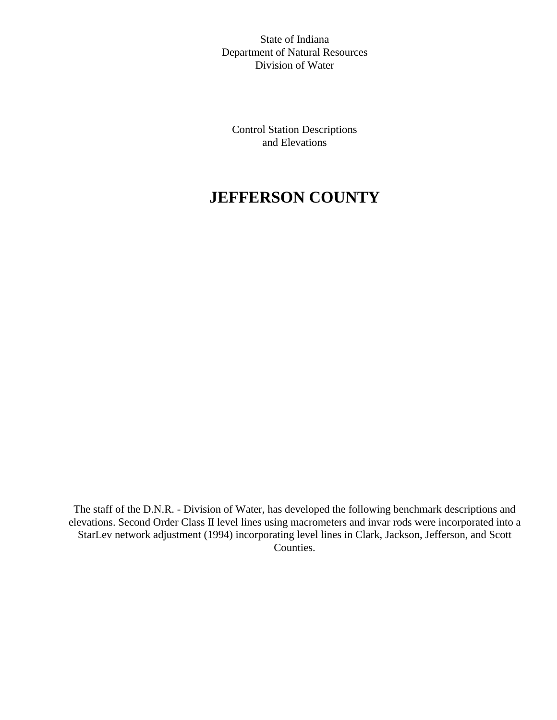State of Indiana Department of Natural Resources Division of Water

Control Station Descriptions and Elevations

# **JEFFERSON COUNTY**

The staff of the D.N.R. - Division of Water, has developed the following benchmark descriptions and elevations. Second Order Class II level lines using macrometers and invar rods were incorporated into a StarLev network adjustment (1994) incorporating level lines in Clark, Jackson, Jefferson, and Scott Counties.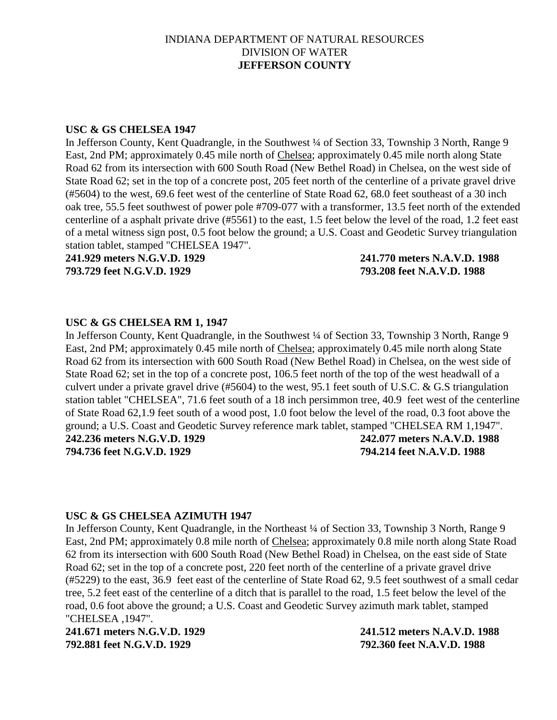# INDIANA DEPARTMENT OF NATURAL RESOURCES DIVISION OF WATER **JEFFERSON COUNTY**

#### **USC & GS CHELSEA 1947**

In Jefferson County, Kent Quadrangle, in the Southwest ¼ of Section 33, Township 3 North, Range 9 East, 2nd PM; approximately 0.45 mile north of Chelsea; approximately 0.45 mile north along State Road 62 from its intersection with 600 South Road (New Bethel Road) in Chelsea, on the west side of State Road 62; set in the top of a concrete post, 205 feet north of the centerline of a private gravel drive (#5604) to the west, 69.6 feet west of the centerline of State Road 62, 68.0 feet southeast of a 30 inch oak tree, 55.5 feet southwest of power pole #709-077 with a transformer, 13.5 feet north of the extended centerline of a asphalt private drive (#5561) to the east, 1.5 feet below the level of the road, 1.2 feet east of a metal witness sign post, 0.5 foot below the ground; a U.S. Coast and Geodetic Survey triangulation station tablet, stamped "CHELSEA 1947".

**241.929 meters N.G.V.D. 1929 241.770 meters N.A.V.D. 1988 793.729 feet N.G.V.D. 1929 793.208 feet N.A.V.D. 1988**

#### **USC & GS CHELSEA RM 1, 1947**

In Jefferson County, Kent Quadrangle, in the Southwest ¼ of Section 33, Township 3 North, Range 9 East, 2nd PM; approximately 0.45 mile north of Chelsea; approximately 0.45 mile north along State Road 62 from its intersection with 600 South Road (New Bethel Road) in Chelsea, on the west side of State Road 62; set in the top of a concrete post, 106.5 feet north of the top of the west headwall of a culvert under a private gravel drive (#5604) to the west, 95.1 feet south of U.S.C. & G.S triangulation station tablet "CHELSEA", 71.6 feet south of a 18 inch persimmon tree, 40.9 feet west of the centerline of State Road 62,1.9 feet south of a wood post, 1.0 foot below the level of the road, 0.3 foot above the ground; a U.S. Coast and Geodetic Survey reference mark tablet, stamped "CHELSEA RM 1,1947".

**794.736 feet N.G.V.D. 1929 794.214 feet N.A.V.D. 1988**

**242.236 meters N.G.V.D. 1929 242.077 meters N.A.V.D. 1988**

#### **USC & GS CHELSEA AZIMUTH 1947**

In Jefferson County, Kent Quadrangle, in the Northeast ¼ of Section 33, Township 3 North, Range 9 East, 2nd PM; approximately 0.8 mile north of Chelsea; approximately 0.8 mile north along State Road 62 from its intersection with 600 South Road (New Bethel Road) in Chelsea, on the east side of State Road 62; set in the top of a concrete post, 220 feet north of the centerline of a private gravel drive (#5229) to the east, 36.9 feet east of the centerline of State Road 62, 9.5 feet southwest of a small cedar tree, 5.2 feet east of the centerline of a ditch that is parallel to the road, 1.5 feet below the level of the road, 0.6 foot above the ground; a U.S. Coast and Geodetic Survey azimuth mark tablet, stamped "CHELSEA ,1947".

**241.671 meters N.G.V.D. 1929 241.512 meters N.A.V.D. 1988 792.881 feet N.G.V.D. 1929 792.360 feet N.A.V.D. 1988**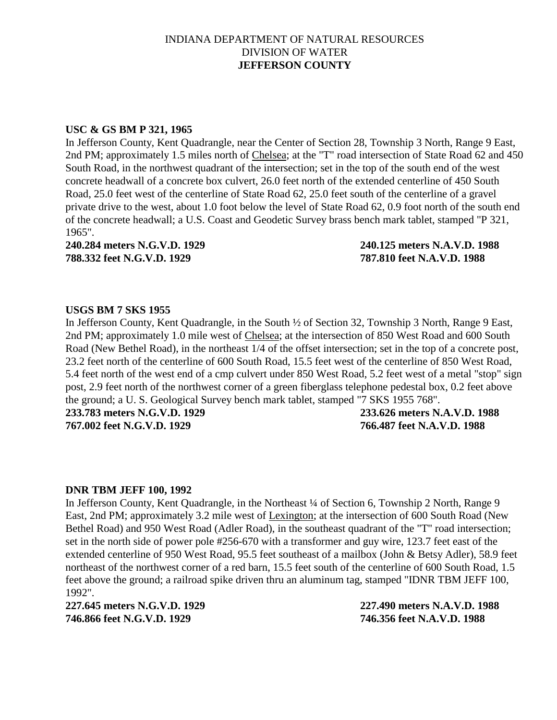# INDIANA DEPARTMENT OF NATURAL RESOURCES DIVISION OF WATER **JEFFERSON COUNTY**

#### **USC & GS BM P 321, 1965**

In Jefferson County, Kent Quadrangle, near the Center of Section 28, Township 3 North, Range 9 East, 2nd PM; approximately 1.5 miles north of Chelsea; at the "T" road intersection of State Road 62 and 450 South Road, in the northwest quadrant of the intersection; set in the top of the south end of the west concrete headwall of a concrete box culvert, 26.0 feet north of the extended centerline of 450 South Road, 25.0 feet west of the centerline of State Road 62, 25.0 feet south of the centerline of a gravel private drive to the west, about 1.0 foot below the level of State Road 62, 0.9 foot north of the south end of the concrete headwall; a U.S. Coast and Geodetic Survey brass bench mark tablet, stamped "P 321, 1965".

**788.332 feet N.G.V.D. 1929 787.810 feet N.A.V.D. 1988**

**240.284 meters N.G.V.D. 1929 240.125 meters N.A.V.D. 1988**

#### **USGS BM 7 SKS 1955**

In Jefferson County, Kent Quadrangle, in the South ½ of Section 32, Township 3 North, Range 9 East, 2nd PM; approximately 1.0 mile west of Chelsea; at the intersection of 850 West Road and 600 South Road (New Bethel Road), in the northeast 1/4 of the offset intersection; set in the top of a concrete post, 23.2 feet north of the centerline of 600 South Road, 15.5 feet west of the centerline of 850 West Road, 5.4 feet north of the west end of a cmp culvert under 850 West Road, 5.2 feet west of a metal "stop" sign post, 2.9 feet north of the northwest corner of a green fiberglass telephone pedestal box, 0.2 feet above the ground; a U. S. Geological Survey bench mark tablet, stamped "7 SKS 1955 768".

**233.783 meters N.G.V.D. 1929 233.626 meters N.A.V.D. 1988 767.002 feet N.G.V.D. 1929 766.487 feet N.A.V.D. 1988**

#### **DNR TBM JEFF 100, 1992**

In Jefferson County, Kent Quadrangle, in the Northeast ¼ of Section 6, Township 2 North, Range 9 East, 2nd PM; approximately 3.2 mile west of Lexington; at the intersection of 600 South Road (New Bethel Road) and 950 West Road (Adler Road), in the southeast quadrant of the "T" road intersection; set in the north side of power pole #256-670 with a transformer and guy wire, 123.7 feet east of the extended centerline of 950 West Road, 95.5 feet southeast of a mailbox (John & Betsy Adler), 58.9 feet northeast of the northwest corner of a red barn, 15.5 feet south of the centerline of 600 South Road, 1.5 feet above the ground; a railroad spike driven thru an aluminum tag, stamped "IDNR TBM JEFF 100, 1992".

**746.866 feet N.G.V.D. 1929 746.356 feet N.A.V.D. 1988**

**227.645 meters N.G.V.D. 1929 227.490 meters N.A.V.D. 1988**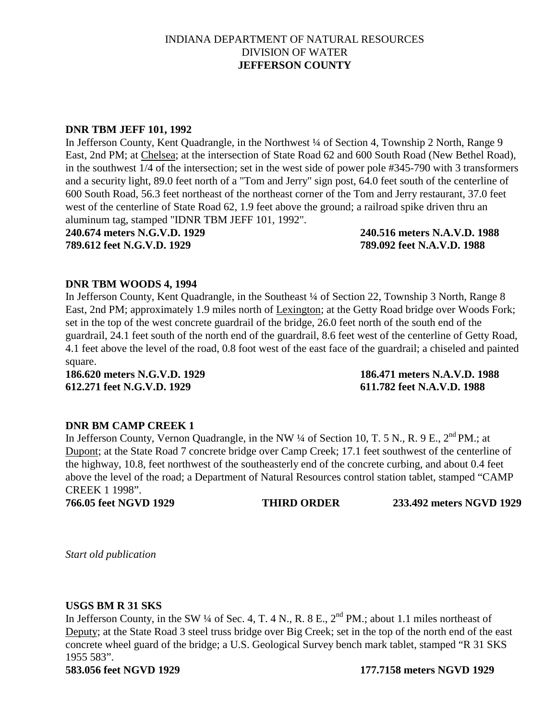# INDIANA DEPARTMENT OF NATURAL RESOURCES DIVISION OF WATER **JEFFERSON COUNTY**

#### **DNR TBM JEFF 101, 1992**

In Jefferson County, Kent Quadrangle, in the Northwest ¼ of Section 4, Township 2 North, Range 9 East, 2nd PM; at Chelsea; at the intersection of State Road 62 and 600 South Road (New Bethel Road), in the southwest 1/4 of the intersection; set in the west side of power pole #345-790 with 3 transformers and a security light, 89.0 feet north of a "Tom and Jerry" sign post, 64.0 feet south of the centerline of 600 South Road, 56.3 feet northeast of the northeast corner of the Tom and Jerry restaurant, 37.0 feet west of the centerline of State Road 62, 1.9 feet above the ground; a railroad spike driven thru an aluminum tag, stamped "IDNR TBM JEFF 101, 1992".

**240.674 meters N.G.V.D. 1929 240.516 meters N.A.V.D. 1988 789.612 feet N.G.V.D. 1929 789.092 feet N.A.V.D. 1988**

#### **DNR TBM WOODS 4, 1994**

In Jefferson County, Kent Quadrangle, in the Southeast ¼ of Section 22, Township 3 North, Range 8 East, 2nd PM; approximately 1.9 miles north of Lexington; at the Getty Road bridge over Woods Fork; set in the top of the west concrete guardrail of the bridge, 26.0 feet north of the south end of the guardrail, 24.1 feet south of the north end of the guardrail, 8.6 feet west of the centerline of Getty Road, 4.1 feet above the level of the road, 0.8 foot west of the east face of the guardrail; a chiseled and painted square.

**612.271 feet N.G.V.D. 1929 611.782 feet N.A.V.D. 1988**

**186.620 meters N.G.V.D. 1929 186.471 meters N.A.V.D. 1988**

### **DNR BM CAMP CREEK 1**

In Jefferson County, Vernon Quadrangle, in the NW  $\frac{1}{4}$  of Section 10, T. 5 N., R. 9 E.,  $2^{nd}$  PM.; at Dupont; at the State Road 7 concrete bridge over Camp Creek; 17.1 feet southwest of the centerline of the highway, 10.8, feet northwest of the southeasterly end of the concrete curbing, and about 0.4 feet above the level of the road; a Department of Natural Resources control station tablet, stamped "CAMP CREEK 1 1998".

**766.05 feet NGVD 1929 THIRD ORDER 233.492 meters NGVD 1929**

*Start old publication*

#### **USGS BM R 31 SKS**

In Jefferson County, in the SW ¼ of Sec. 4, T. 4 N., R. 8 E., 2<sup>nd</sup> PM.; about 1.1 miles northeast of Deputy; at the State Road 3 steel truss bridge over Big Creek; set in the top of the north end of the east concrete wheel guard of the bridge; a U.S. Geological Survey bench mark tablet, stamped "R 31 SKS 1955 583".

**583.056 feet NGVD 1929 177.7158 meters NGVD 1929**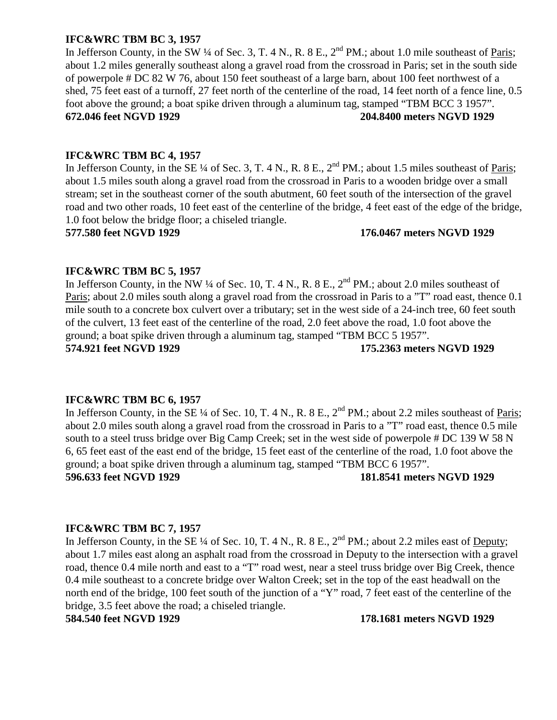# **IFC&WRC TBM BC 3, 1957**

In Jefferson County, in the SW  $\frac{1}{4}$  of Sec. 3, T. 4 N., R. 8 E.,  $2^{nd}$  PM.; about 1.0 mile southeast of Paris; about 1.2 miles generally southeast along a gravel road from the crossroad in Paris; set in the south side of powerpole # DC 82 W 76, about 150 feet southeast of a large barn, about 100 feet northwest of a shed, 75 feet east of a turnoff, 27 feet north of the centerline of the road, 14 feet north of a fence line, 0.5 foot above the ground; a boat spike driven through a aluminum tag, stamped "TBM BCC 3 1957". **672.046 feet NGVD 1929 204.8400 meters NGVD 1929**

# **IFC&WRC TBM BC 4, 1957**

In Jefferson County, in the SE  $\frac{1}{4}$  of Sec. 3, T. 4 N., R. 8 E.,  $2^{nd}$  PM.; about 1.5 miles southeast of Paris; about 1.5 miles south along a gravel road from the crossroad in Paris to a wooden bridge over a small stream; set in the southeast corner of the south abutment, 60 feet south of the intersection of the gravel road and two other roads, 10 feet east of the centerline of the bridge, 4 feet east of the edge of the bridge, 1.0 foot below the bridge floor; a chiseled triangle.

**577.580 feet NGVD 1929 176.0467 meters NGVD 1929**

# **IFC&WRC TBM BC 5, 1957**

In Jefferson County, in the NW ¼ of Sec. 10, T. 4 N., R. 8 E.,  $2<sup>nd</sup> PM$ .; about 2.0 miles southeast of Paris; about 2.0 miles south along a gravel road from the crossroad in Paris to a "T" road east, thence 0.1 mile south to a concrete box culvert over a tributary; set in the west side of a 24-inch tree, 60 feet south of the culvert, 13 feet east of the centerline of the road, 2.0 feet above the road, 1.0 foot above the ground; a boat spike driven through a aluminum tag, stamped "TBM BCC 5 1957". **574.921 feet NGVD 1929 175.2363 meters NGVD 1929**

# **IFC&WRC TBM BC 6, 1957**

In Jefferson County, in the SE  $\frac{1}{4}$  of Sec. 10, T. 4 N., R. 8 E., 2<sup>nd</sup> PM.; about 2.2 miles southeast of <u>Paris</u>; about 2.0 miles south along a gravel road from the crossroad in Paris to a "T" road east, thence 0.5 mile south to a steel truss bridge over Big Camp Creek; set in the west side of powerpole # DC 139 W 58 N 6, 65 feet east of the east end of the bridge, 15 feet east of the centerline of the road, 1.0 foot above the ground; a boat spike driven through a aluminum tag, stamped "TBM BCC 6 1957".

**596.633 feet NGVD 1929 181.8541 meters NGVD 1929**

# **IFC&WRC TBM BC 7, 1957**

In Jefferson County, in the SE ¼ of Sec. 10, T. 4 N., R. 8 E.,  $2<sup>nd</sup> PM$ .; about 2.2 miles east of Deputy; about 1.7 miles east along an asphalt road from the crossroad in Deputy to the intersection with a gravel road, thence 0.4 mile north and east to a "T" road west, near a steel truss bridge over Big Creek, thence 0.4 mile southeast to a concrete bridge over Walton Creek; set in the top of the east headwall on the north end of the bridge, 100 feet south of the junction of a "Y" road, 7 feet east of the centerline of the bridge, 3.5 feet above the road; a chiseled triangle.

**584.540 feet NGVD 1929 178.1681 meters NGVD 1929**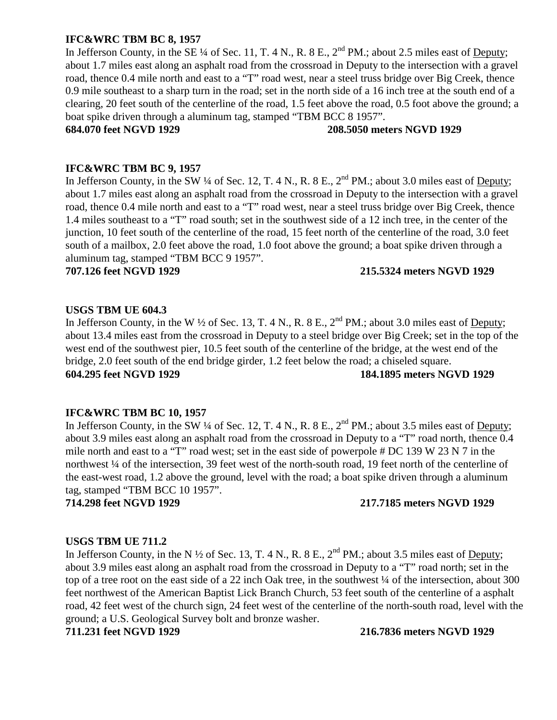# **IFC&WRC TBM BC 8, 1957**

In Jefferson County, in the SE  $\frac{1}{4}$  of Sec. 11, T. 4 N., R. 8 E.,  $2^{nd}$  PM.; about 2.5 miles east of Deputy; about 1.7 miles east along an asphalt road from the crossroad in Deputy to the intersection with a gravel road, thence 0.4 mile north and east to a "T" road west, near a steel truss bridge over Big Creek, thence 0.9 mile southeast to a sharp turn in the road; set in the north side of a 16 inch tree at the south end of a clearing, 20 feet south of the centerline of the road, 1.5 feet above the road, 0.5 foot above the ground; a boat spike driven through a aluminum tag, stamped "TBM BCC 8 1957".

# **684.070 feet NGVD 1929 208.5050 meters NGVD 1929**

# **IFC&WRC TBM BC 9, 1957**

In Jefferson County, in the SW ¼ of Sec. 12, T. 4 N., R. 8 E., 2<sup>nd</sup> PM.; about 3.0 miles east of <u>Deputy</u>; about 1.7 miles east along an asphalt road from the crossroad in Deputy to the intersection with a gravel road, thence 0.4 mile north and east to a "T" road west, near a steel truss bridge over Big Creek, thence 1.4 miles southeast to a "T" road south; set in the southwest side of a 12 inch tree, in the center of the junction, 10 feet south of the centerline of the road, 15 feet north of the centerline of the road, 3.0 feet south of a mailbox, 2.0 feet above the road, 1.0 foot above the ground; a boat spike driven through a aluminum tag, stamped "TBM BCC 9 1957".

# **707.126 feet NGVD 1929 215.5324 meters NGVD 1929**

# **USGS TBM UE 604.3**

In Jefferson County, in the W  $\frac{1}{2}$  of Sec. 13, T. 4 N., R. 8 E.,  $2^{nd}$  PM.; about 3.0 miles east of Deputy; about 13.4 miles east from the crossroad in Deputy to a steel bridge over Big Creek; set in the top of the west end of the southwest pier, 10.5 feet south of the centerline of the bridge, at the west end of the bridge, 2.0 feet south of the end bridge girder, 1.2 feet below the road; a chiseled square. **604.295 feet NGVD 1929 184.1895 meters NGVD 1929**

# **IFC&WRC TBM BC 10, 1957**

In Jefferson County, in the SW ¼ of Sec. 12, T. 4 N., R. 8 E., 2<sup>nd</sup> PM.; about 3.5 miles east of Deputy; about 3.9 miles east along an asphalt road from the crossroad in Deputy to a "T" road north, thence 0.4 mile north and east to a "T" road west; set in the east side of powerpole # DC 139 W 23 N 7 in the northwest ¼ of the intersection, 39 feet west of the north-south road, 19 feet north of the centerline of the east-west road, 1.2 above the ground, level with the road; a boat spike driven through a aluminum tag, stamped "TBM BCC 10 1957".

# **714.298 feet NGVD 1929 217.7185 meters NGVD 1929**

# **USGS TBM UE 711.2**

In Jefferson County, in the N ½ of Sec. 13, T. 4 N., R. 8 E., 2<sup>nd</sup> PM.; about 3.5 miles east of Deputy; about 3.9 miles east along an asphalt road from the crossroad in Deputy to a "T" road north; set in the top of a tree root on the east side of a 22 inch Oak tree, in the southwest  $\frac{1}{4}$  of the intersection, about 300 feet northwest of the American Baptist Lick Branch Church, 53 feet south of the centerline of a asphalt road, 42 feet west of the church sign, 24 feet west of the centerline of the north-south road, level with the ground; a U.S. Geological Survey bolt and bronze washer.

**711.231 feet NGVD 1929 216.7836 meters NGVD 1929**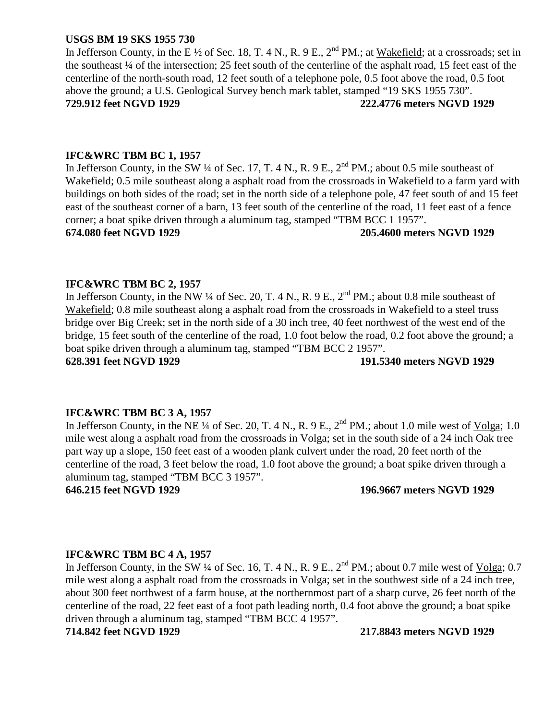# **USGS BM 19 SKS 1955 730**

In Jefferson County, in the E  $\frac{1}{2}$  of Sec. 18, T. 4 N., R. 9 E.,  $2^{nd}$  PM.; at Wakefield; at a crossroads; set in the southeast ¼ of the intersection; 25 feet south of the centerline of the asphalt road, 15 feet east of the centerline of the north-south road, 12 feet south of a telephone pole, 0.5 foot above the road, 0.5 foot above the ground; a U.S. Geological Survey bench mark tablet, stamped "19 SKS 1955 730". **729.912 feet NGVD 1929 222.4776 meters NGVD 1929**

### **IFC&WRC TBM BC 1, 1957**

In Jefferson County, in the SW  $\frac{1}{4}$  of Sec. 17, T. 4 N., R. 9 E.,  $2^{nd}$  PM.; about 0.5 mile southeast of Wakefield; 0.5 mile southeast along a asphalt road from the crossroads in Wakefield to a farm yard with buildings on both sides of the road; set in the north side of a telephone pole, 47 feet south of and 15 feet east of the southeast corner of a barn, 13 feet south of the centerline of the road, 11 feet east of a fence corner; a boat spike driven through a aluminum tag, stamped "TBM BCC 1 1957".

**674.080 feet NGVD 1929 205.4600 meters NGVD 1929**

#### **IFC&WRC TBM BC 2, 1957**

In Jefferson County, in the NW ¼ of Sec. 20, T. 4 N., R. 9 E., 2<sup>nd</sup> PM.; about 0.8 mile southeast of Wakefield; 0.8 mile southeast along a asphalt road from the crossroads in Wakefield to a steel truss bridge over Big Creek; set in the north side of a 30 inch tree, 40 feet northwest of the west end of the bridge, 15 feet south of the centerline of the road, 1.0 foot below the road, 0.2 foot above the ground; a boat spike driven through a aluminum tag, stamped "TBM BCC 2 1957". **628.391 feet NGVD 1929 191.5340 meters NGVD 1929**

# **IFC&WRC TBM BC 3 A, 1957**

In Jefferson County, in the NE  $\frac{1}{4}$  of Sec. 20, T. 4 N., R. 9 E.,  $2^{nd}$  PM.; about 1.0 mile west of Volga; 1.0 mile west along a asphalt road from the crossroads in Volga; set in the south side of a 24 inch Oak tree part way up a slope, 150 feet east of a wooden plank culvert under the road, 20 feet north of the centerline of the road, 3 feet below the road, 1.0 foot above the ground; a boat spike driven through a aluminum tag, stamped "TBM BCC 3 1957".

#### **646.215 feet NGVD 1929 196.9667 meters NGVD 1929**

#### **IFC&WRC TBM BC 4 A, 1957**

In Jefferson County, in the SW  $\frac{1}{4}$  of Sec. 16, T. 4 N., R. 9 E.,  $2^{nd}$  PM.; about 0.7 mile west of Volga; 0.7 mile west along a asphalt road from the crossroads in Volga; set in the southwest side of a 24 inch tree, about 300 feet northwest of a farm house, at the northernmost part of a sharp curve, 26 feet north of the centerline of the road, 22 feet east of a foot path leading north, 0.4 foot above the ground; a boat spike driven through a aluminum tag, stamped "TBM BCC 4 1957".

**714.842 feet NGVD 1929 217.8843 meters NGVD 1929**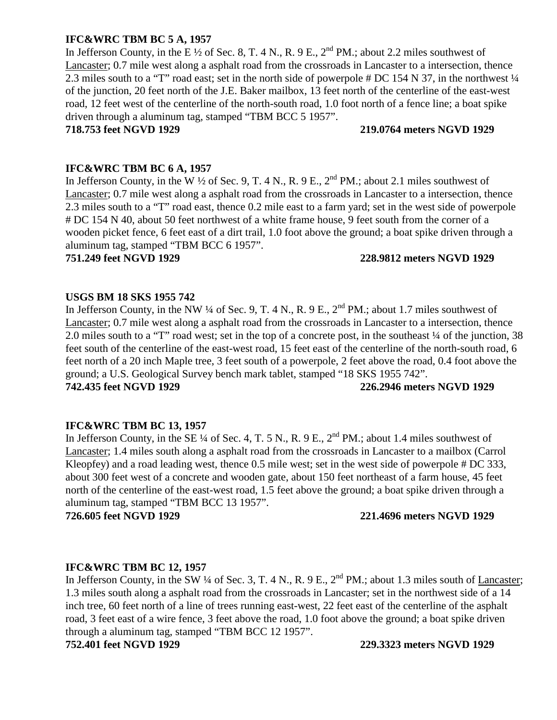# **IFC&WRC TBM BC 5 A, 1957**

In Jefferson County, in the E  $\frac{1}{2}$  of Sec. 8, T. 4 N., R. 9 E.,  $2^{nd}$  PM.; about 2.2 miles southwest of Lancaster; 0.7 mile west along a asphalt road from the crossroads in Lancaster to a intersection, thence 2.3 miles south to a "T" road east; set in the north side of powerpole # DC 154 N 37, in the northwest ¼ of the junction, 20 feet north of the J.E. Baker mailbox, 13 feet north of the centerline of the east-west road, 12 feet west of the centerline of the north-south road, 1.0 foot north of a fence line; a boat spike driven through a aluminum tag, stamped "TBM BCC 5 1957".

# **718.753 feet NGVD 1929 219.0764 meters NGVD 1929**

# **IFC&WRC TBM BC 6 A, 1957**

In Jefferson County, in the W  $\frac{1}{2}$  of Sec. 9, T. 4 N., R. 9 E.,  $2^{nd}$  PM.; about 2.1 miles southwest of Lancaster; 0.7 mile west along a asphalt road from the crossroads in Lancaster to a intersection, thence 2.3 miles south to a "T" road east, thence 0.2 mile east to a farm yard; set in the west side of powerpole # DC 154 N 40, about 50 feet northwest of a white frame house, 9 feet south from the corner of a wooden picket fence, 6 feet east of a dirt trail, 1.0 foot above the ground; a boat spike driven through a aluminum tag, stamped "TBM BCC 6 1957".

# **751.249 feet NGVD 1929 228.9812 meters NGVD 1929**

# **USGS BM 18 SKS 1955 742**

In Jefferson County, in the NW  $\frac{1}{4}$  of Sec. 9, T. 4 N., R. 9 E.,  $2^{nd}$  PM.; about 1.7 miles southwest of Lancaster; 0.7 mile west along a asphalt road from the crossroads in Lancaster to a intersection, thence 2.0 miles south to a "T" road west; set in the top of a concrete post, in the southeast ¼ of the junction, 38 feet south of the centerline of the east-west road, 15 feet east of the centerline of the north-south road, 6 feet north of a 20 inch Maple tree, 3 feet south of a powerpole, 2 feet above the road, 0.4 foot above the ground; a U.S. Geological Survey bench mark tablet, stamped "18 SKS 1955 742". **742.435 feet NGVD 1929 226.2946 meters NGVD 1929**

# **IFC&WRC TBM BC 13, 1957**

In Jefferson County, in the SE  $\frac{1}{4}$  of Sec. 4, T. 5 N., R. 9 E.,  $2^{nd}$  PM.; about 1.4 miles southwest of Lancaster; 1.4 miles south along a asphalt road from the crossroads in Lancaster to a mailbox (Carrol Kleopfey) and a road leading west, thence 0.5 mile west; set in the west side of powerpole # DC 333, about 300 feet west of a concrete and wooden gate, about 150 feet northeast of a farm house, 45 feet north of the centerline of the east-west road, 1.5 feet above the ground; a boat spike driven through a aluminum tag, stamped "TBM BCC 13 1957".

# **726.605 feet NGVD 1929 221.4696 meters NGVD 1929**

# **IFC&WRC TBM BC 12, 1957**

In Jefferson County, in the SW  $\frac{1}{4}$  of Sec. 3, T. 4 N., R. 9 E.,  $2^{nd}$  PM.; about 1.3 miles south of Lancaster; 1.3 miles south along a asphalt road from the crossroads in Lancaster; set in the northwest side of a 14 inch tree, 60 feet north of a line of trees running east-west, 22 feet east of the centerline of the asphalt road, 3 feet east of a wire fence, 3 feet above the road, 1.0 foot above the ground; a boat spike driven through a aluminum tag, stamped "TBM BCC 12 1957". **752.401 feet NGVD 1929 229.3323 meters NGVD 1929**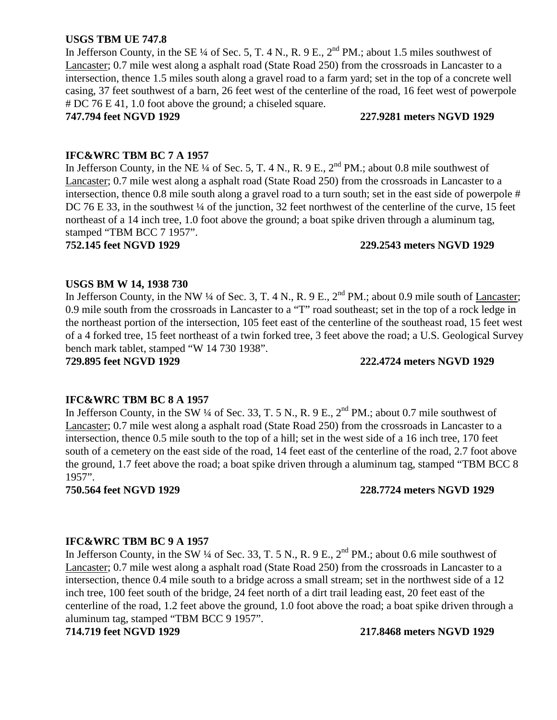# **USGS TBM UE 747.8**

In Jefferson County, in the SE ¼ of Sec. 5, T. 4 N., R. 9 E.,  $2<sup>nd</sup> PM$ .; about 1.5 miles southwest of Lancaster; 0.7 mile west along a asphalt road (State Road 250) from the crossroads in Lancaster to a intersection, thence 1.5 miles south along a gravel road to a farm yard; set in the top of a concrete well casing, 37 feet southwest of a barn, 26 feet west of the centerline of the road, 16 feet west of powerpole # DC 76 E 41, 1.0 foot above the ground; a chiseled square.

**747.794 feet NGVD 1929 227.9281 meters NGVD 1929**

# **IFC&WRC TBM BC 7 A 1957**

In Jefferson County, in the NE  $\frac{1}{4}$  of Sec. 5, T. 4 N., R. 9 E.,  $2^{nd}$  PM.; about 0.8 mile southwest of Lancaster; 0.7 mile west along a asphalt road (State Road 250) from the crossroads in Lancaster to a intersection, thence 0.8 mile south along a gravel road to a turn south; set in the east side of powerpole # DC 76 E 33, in the southwest  $\frac{1}{4}$  of the junction, 32 feet northwest of the centerline of the curve, 15 feet northeast of a 14 inch tree, 1.0 foot above the ground; a boat spike driven through a aluminum tag, stamped "TBM BCC 7 1957".

**752.145 feet NGVD 1929 229.2543 meters NGVD 1929**

# **USGS BM W 14, 1938 730**

In Jefferson County, in the NW  $\frac{1}{4}$  of Sec. 3, T. 4 N., R. 9 E.,  $2^{nd}$  PM.; about 0.9 mile south of Lancaster; 0.9 mile south from the crossroads in Lancaster to a "T" road southeast; set in the top of a rock ledge in the northeast portion of the intersection, 105 feet east of the centerline of the southeast road, 15 feet west of a 4 forked tree, 15 feet northeast of a twin forked tree, 3 feet above the road; a U.S. Geological Survey bench mark tablet, stamped "W 14 730 1938".

**729.895 feet NGVD 1929 222.4724 meters NGVD 1929**

# **IFC&WRC TBM BC 8 A 1957**

In Jefferson County, in the SW  $\frac{1}{4}$  of Sec. 33, T. 5 N., R. 9 E.,  $2^{nd}$  PM.; about 0.7 mile southwest of Lancaster; 0.7 mile west along a asphalt road (State Road 250) from the crossroads in Lancaster to a intersection, thence 0.5 mile south to the top of a hill; set in the west side of a 16 inch tree, 170 feet south of a cemetery on the east side of the road, 14 feet east of the centerline of the road, 2.7 foot above the ground, 1.7 feet above the road; a boat spike driven through a aluminum tag, stamped "TBM BCC 8 1957".

# **750.564 feet NGVD 1929 228.7724 meters NGVD 1929**

# **IFC&WRC TBM BC 9 A 1957**

In Jefferson County, in the SW  $\frac{1}{4}$  of Sec. 33, T. 5 N., R. 9 E.,  $2^{nd}$  PM.; about 0.6 mile southwest of Lancaster; 0.7 mile west along a asphalt road (State Road 250) from the crossroads in Lancaster to a intersection, thence 0.4 mile south to a bridge across a small stream; set in the northwest side of a 12 inch tree, 100 feet south of the bridge, 24 feet north of a dirt trail leading east, 20 feet east of the centerline of the road, 1.2 feet above the ground, 1.0 foot above the road; a boat spike driven through a aluminum tag, stamped "TBM BCC 9 1957".

**714.719 feet NGVD 1929 217.8468 meters NGVD 1929**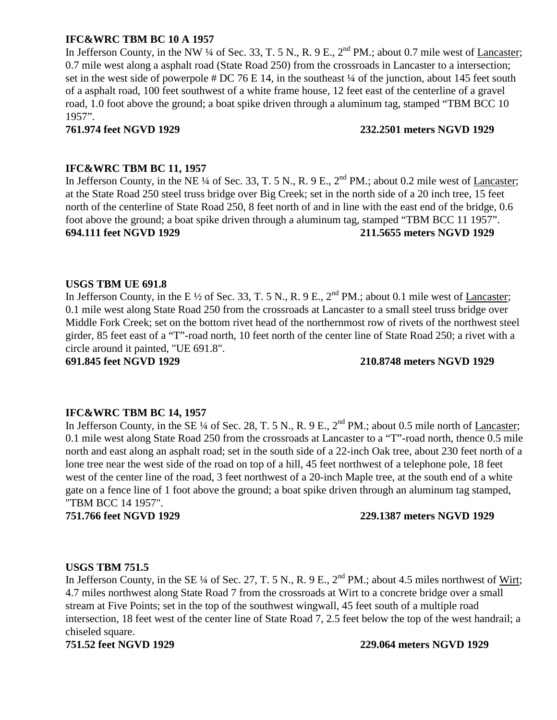# **IFC&WRC TBM BC 10 A 1957**

In Jefferson County, in the NW  $\frac{1}{4}$  of Sec. 33, T. 5 N., R. 9 E.,  $2^{nd}$  PM.; about 0.7 mile west of Lancaster; 0.7 mile west along a asphalt road (State Road 250) from the crossroads in Lancaster to a intersection; set in the west side of powerpole  $\#$  DC 76 E 14, in the southeast ¼ of the junction, about 145 feet south of a asphalt road, 100 feet southwest of a white frame house, 12 feet east of the centerline of a gravel road, 1.0 foot above the ground; a boat spike driven through a aluminum tag, stamped "TBM BCC 10 1957".

### **761.974 feet NGVD 1929 232.2501 meters NGVD 1929**

# **IFC&WRC TBM BC 11, 1957**

In Jefferson County, in the NE ¼ of Sec. 33, T. 5 N., R. 9 E., 2<sup>nd</sup> PM.; about 0.2 mile west of Lancaster; at the State Road 250 steel truss bridge over Big Creek; set in the north side of a 20 inch tree, 15 feet north of the centerline of State Road 250, 8 feet north of and in line with the east end of the bridge, 0.6 foot above the ground; a boat spike driven through a aluminum tag, stamped "TBM BCC 11 1957". **694.111 feet NGVD 1929 211.5655 meters NGVD 1929**

# **USGS TBM UE 691.8**

In Jefferson County, in the E  $\frac{1}{2}$  of Sec. 33, T. 5 N., R. 9 E.,  $2^{nd}$  PM.; about 0.1 mile west of Lancaster; 0.1 mile west along State Road 250 from the crossroads at Lancaster to a small steel truss bridge over Middle Fork Creek; set on the bottom rivet head of the northernmost row of rivets of the northwest steel girder, 85 feet east of a "T"-road north, 10 feet north of the center line of State Road 250; a rivet with a circle around it painted, "UE 691.8".

**691.845 feet NGVD 1929 210.8748 meters NGVD 1929**

# **IFC&WRC TBM BC 14, 1957**

In Jefferson County, in the SE  $\frac{1}{4}$  of Sec. 28, T. 5 N., R. 9 E.,  $2^{nd}$  PM.; about 0.5 mile north of Lancaster; 0.1 mile west along State Road 250 from the crossroads at Lancaster to a "T"-road north, thence 0.5 mile north and east along an asphalt road; set in the south side of a 22-inch Oak tree, about 230 feet north of a lone tree near the west side of the road on top of a hill, 45 feet northwest of a telephone pole, 18 feet west of the center line of the road, 3 feet northwest of a 20-inch Maple tree, at the south end of a white gate on a fence line of 1 foot above the ground; a boat spike driven through an aluminum tag stamped, "TBM BCC 14 1957".

**751.766 feet NGVD 1929 229.1387 meters NGVD 1929**

# **USGS TBM 751.5**

In Jefferson County, in the SE  $\frac{1}{4}$  of Sec. 27, T. 5 N., R. 9 E.,  $2^{nd}$  PM.; about 4.5 miles northwest of Wirt; 4.7 miles northwest along State Road 7 from the crossroads at Wirt to a concrete bridge over a small stream at Five Points; set in the top of the southwest wingwall, 45 feet south of a multiple road intersection, 18 feet west of the center line of State Road 7, 2.5 feet below the top of the west handrail; a chiseled square.

#### **751.52 feet NGVD 1929 229.064 meters NGVD 1929**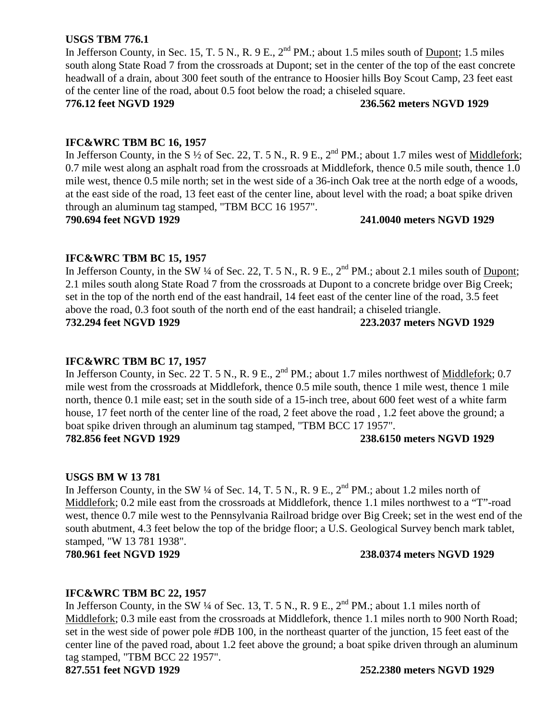# **USGS TBM 776.1**

In Jefferson County, in Sec. 15, T. 5 N., R. 9 E.,  $2^{nd}$  PM.; about 1.5 miles south of Dupont; 1.5 miles south along State Road 7 from the crossroads at Dupont; set in the center of the top of the east concrete headwall of a drain, about 300 feet south of the entrance to Hoosier hills Boy Scout Camp, 23 feet east of the center line of the road, about 0.5 foot below the road; a chiseled square.

**776.12 feet NGVD 1929 236.562 meters NGVD 1929**

# **IFC&WRC TBM BC 16, 1957**

In Jefferson County, in the S  $\frac{1}{2}$  of Sec. 22, T. 5 N., R. 9 E.,  $2^{nd}$  PM.; about 1.7 miles west of Middlefork; 0.7 mile west along an asphalt road from the crossroads at Middlefork, thence 0.5 mile south, thence 1.0 mile west, thence 0.5 mile north; set in the west side of a 36-inch Oak tree at the north edge of a woods, at the east side of the road, 13 feet east of the center line, about level with the road; a boat spike driven through an aluminum tag stamped, "TBM BCC 16 1957".

**790.694 feet NGVD 1929 241.0040 meters NGVD 1929**

# **IFC&WRC TBM BC 15, 1957**

In Jefferson County, in the SW ¼ of Sec. 22, T. 5 N., R. 9 E., 2<sup>nd</sup> PM.; about 2.1 miles south of Dupont; 2.1 miles south along State Road 7 from the crossroads at Dupont to a concrete bridge over Big Creek; set in the top of the north end of the east handrail, 14 feet east of the center line of the road, 3.5 feet above the road, 0.3 foot south of the north end of the east handrail; a chiseled triangle.

**732.294 feet NGVD 1929 223.2037 meters NGVD 1929**

# **IFC&WRC TBM BC 17, 1957**

In Jefferson County, in Sec. 22 T. 5 N., R. 9 E., 2<sup>nd</sup> PM.; about 1.7 miles northwest of Middlefork; 0.7 mile west from the crossroads at Middlefork, thence 0.5 mile south, thence 1 mile west, thence 1 mile north, thence 0.1 mile east; set in the south side of a 15-inch tree, about 600 feet west of a white farm house, 17 feet north of the center line of the road, 2 feet above the road, 1.2 feet above the ground; a boat spike driven through an aluminum tag stamped, "TBM BCC 17 1957".

# **782.856 feet NGVD 1929 238.6150 meters NGVD 1929**

# **USGS BM W 13 781**

In Jefferson County, in the SW  $\frac{1}{4}$  of Sec. 14, T. 5 N., R. 9 E.,  $2^{nd}$  PM.; about 1.2 miles north of Middlefork; 0.2 mile east from the crossroads at Middlefork, thence 1.1 miles northwest to a "T"-road west, thence 0.7 mile west to the Pennsylvania Railroad bridge over Big Creek; set in the west end of the south abutment, 4.3 feet below the top of the bridge floor; a U.S. Geological Survey bench mark tablet, stamped, "W 13 781 1938".

# **780.961 feet NGVD 1929 238.0374 meters NGVD 1929**

# **IFC&WRC TBM BC 22, 1957**

In Jefferson County, in the SW  $\frac{1}{4}$  of Sec. 13, T. 5 N., R. 9 E.,  $2^{nd}$  PM.; about 1.1 miles north of Middlefork; 0.3 mile east from the crossroads at Middlefork, thence 1.1 miles north to 900 North Road; set in the west side of power pole #DB 100, in the northeast quarter of the junction, 15 feet east of the center line of the paved road, about 1.2 feet above the ground; a boat spike driven through an aluminum tag stamped, "TBM BCC 22 1957".

#### **827.551 feet NGVD 1929 252.2380 meters NGVD 1929**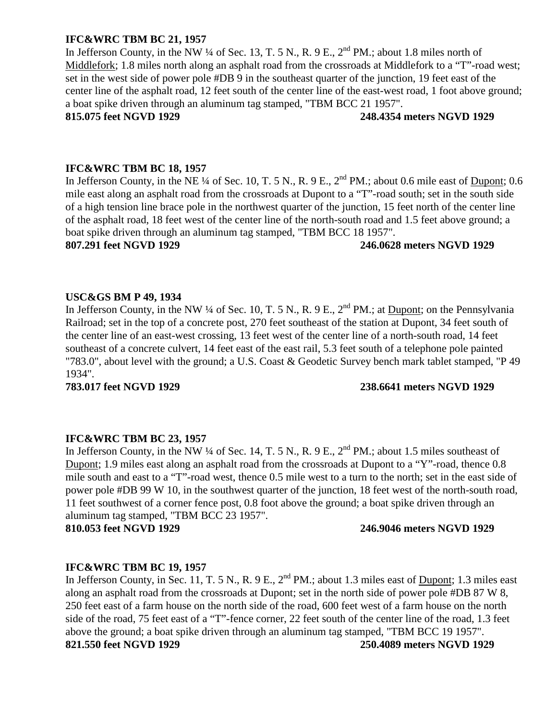# **IFC&WRC TBM BC 21, 1957**

In Jefferson County, in the NW ¼ of Sec. 13, T. 5 N., R. 9 E.,  $2^{nd}$  PM.; about 1.8 miles north of Middlefork; 1.8 miles north along an asphalt road from the crossroads at Middlefork to a "T"-road west; set in the west side of power pole #DB 9 in the southeast quarter of the junction, 19 feet east of the center line of the asphalt road, 12 feet south of the center line of the east-west road, 1 foot above ground; a boat spike driven through an aluminum tag stamped, "TBM BCC 21 1957".

### **815.075 feet NGVD 1929 248.4354 meters NGVD 1929**

### **IFC&WRC TBM BC 18, 1957**

In Jefferson County, in the NE  $\frac{1}{4}$  of Sec. 10, T. 5 N., R. 9 E.,  $2^{nd}$  PM.; about 0.6 mile east of Dupont; 0.6 mile east along an asphalt road from the crossroads at Dupont to a "T"-road south; set in the south side of a high tension line brace pole in the northwest quarter of the junction, 15 feet north of the center line of the asphalt road, 18 feet west of the center line of the north-south road and 1.5 feet above ground; a boat spike driven through an aluminum tag stamped, "TBM BCC 18 1957".

# **807.291 feet NGVD 1929 246.0628 meters NGVD 1929**

# **USC&GS BM P 49, 1934**

In Jefferson County, in the NW ¼ of Sec. 10, T. 5 N., R. 9 E., 2<sup>nd</sup> PM.; at <u>Dupont</u>; on the Pennsylvania Railroad; set in the top of a concrete post, 270 feet southeast of the station at Dupont, 34 feet south of the center line of an east-west crossing, 13 feet west of the center line of a north-south road, 14 feet southeast of a concrete culvert, 14 feet east of the east rail, 5.3 feet south of a telephone pole painted "783.0", about level with the ground; a U.S. Coast & Geodetic Survey bench mark tablet stamped, "P 49 1934".

# **783.017 feet NGVD 1929 238.6641 meters NGVD 1929**

#### **IFC&WRC TBM BC 23, 1957**

In Jefferson County, in the NW ¼ of Sec. 14, T. 5 N., R. 9 E., 2<sup>nd</sup> PM.; about 1.5 miles southeast of Dupont; 1.9 miles east along an asphalt road from the crossroads at Dupont to a "Y"-road, thence 0.8 mile south and east to a "T"-road west, thence 0.5 mile west to a turn to the north; set in the east side of power pole #DB 99 W 10, in the southwest quarter of the junction, 18 feet west of the north-south road, 11 feet southwest of a corner fence post, 0.8 foot above the ground; a boat spike driven through an aluminum tag stamped, "TBM BCC 23 1957".

#### **810.053 feet NGVD 1929 246.9046 meters NGVD 1929**

# **IFC&WRC TBM BC 19, 1957**

In Jefferson County, in Sec. 11, T. 5 N., R. 9 E., 2<sup>nd</sup> PM.; about 1.3 miles east of Dupont; 1.3 miles east along an asphalt road from the crossroads at Dupont; set in the north side of power pole #DB 87 W 8, 250 feet east of a farm house on the north side of the road, 600 feet west of a farm house on the north side of the road, 75 feet east of a "T"-fence corner, 22 feet south of the center line of the road, 1.3 feet above the ground; a boat spike driven through an aluminum tag stamped, "TBM BCC 19 1957". **821.550 feet NGVD 1929 250.4089 meters NGVD 1929**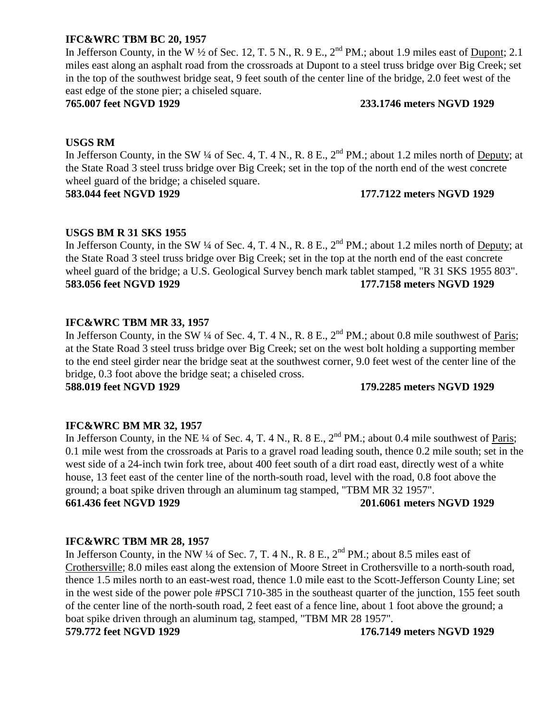# **IFC&WRC TBM BC 20, 1957**

In Jefferson County, in the W  $\frac{1}{2}$  of Sec. 12, T. 5 N., R. 9 E.,  $2^{nd}$  PM.; about 1.9 miles east of Dupont; 2.1 miles east along an asphalt road from the crossroads at Dupont to a steel truss bridge over Big Creek; set in the top of the southwest bridge seat, 9 feet south of the center line of the bridge, 2.0 feet west of the east edge of the stone pier; a chiseled square.

### **765.007 feet NGVD 1929 233.1746 meters NGVD 1929**

# **USGS RM**

In Jefferson County, in the SW ¼ of Sec. 4, T. 4 N., R. 8 E.,  $2^{nd}$  PM.; about 1.2 miles north of Deputy; at the State Road 3 steel truss bridge over Big Creek; set in the top of the north end of the west concrete wheel guard of the bridge; a chiseled square.

### **583.044 feet NGVD 1929 177.7122 meters NGVD 1929**

# **USGS BM R 31 SKS 1955**

In Jefferson County, in the SW ¼ of Sec. 4, T. 4 N., R. 8 E.,  $2^{nd}$  PM.; about 1.2 miles north of Deputy; at the State Road 3 steel truss bridge over Big Creek; set in the top at the north end of the east concrete wheel guard of the bridge; a U.S. Geological Survey bench mark tablet stamped, "R 31 SKS 1955 803". **583.056 feet NGVD 1929 177.7158 meters NGVD 1929**

# **IFC&WRC TBM MR 33, 1957**

In Jefferson County, in the SW  $\frac{1}{4}$  of Sec. 4, T. 4 N., R. 8 E.,  $2^{nd}$  PM.; about 0.8 mile southwest of Paris; at the State Road 3 steel truss bridge over Big Creek; set on the west bolt holding a supporting member to the end steel girder near the bridge seat at the southwest corner, 9.0 feet west of the center line of the bridge, 0.3 foot above the bridge seat; a chiseled cross.

**588.019 feet NGVD 1929 179.2285 meters NGVD 1929**

# **IFC&WRC BM MR 32, 1957**

In Jefferson County, in the NE  $\frac{1}{4}$  of Sec. 4, T. 4 N., R. 8 E.,  $2<sup>nd</sup>$  PM.; about 0.4 mile southwest of Paris; 0.1 mile west from the crossroads at Paris to a gravel road leading south, thence 0.2 mile south; set in the west side of a 24-inch twin fork tree, about 400 feet south of a dirt road east, directly west of a white house, 13 feet east of the center line of the north-south road, level with the road, 0.8 foot above the ground; a boat spike driven through an aluminum tag stamped, "TBM MR 32 1957". **661.436 feet NGVD 1929 201.6061 meters NGVD 1929**

# **IFC&WRC TBM MR 28, 1957**

In Jefferson County, in the NW  $\frac{1}{4}$  of Sec. 7, T. 4 N., R. 8 E.,  $2^{nd}$  PM.; about 8.5 miles east of Crothersville; 8.0 miles east along the extension of Moore Street in Crothersville to a north-south road, thence 1.5 miles north to an east-west road, thence 1.0 mile east to the Scott-Jefferson County Line; set in the west side of the power pole #PSCI 710-385 in the southeast quarter of the junction, 155 feet south of the center line of the north-south road, 2 feet east of a fence line, about 1 foot above the ground; a boat spike driven through an aluminum tag, stamped, "TBM MR 28 1957". **579.772 feet NGVD 1929 176.7149 meters NGVD 1929**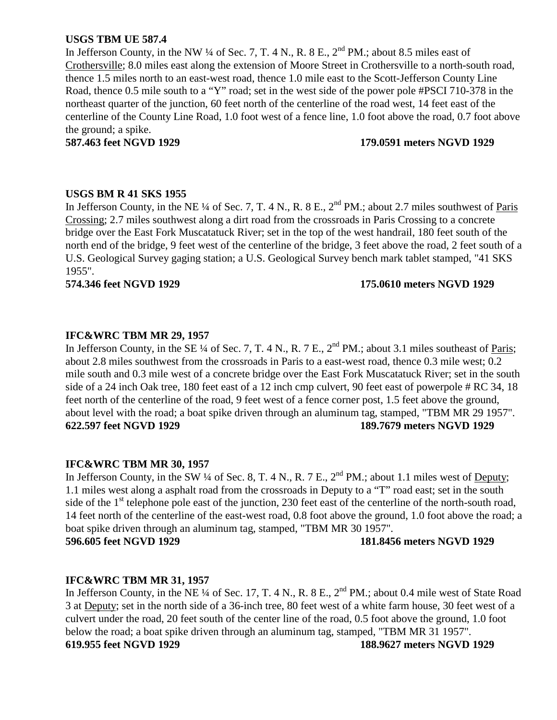# **USGS TBM UE 587.4**

In Jefferson County, in the NW  $\frac{1}{4}$  of Sec. 7, T. 4 N., R. 8 E.,  $2^{nd}$  PM.; about 8.5 miles east of Crothersville; 8.0 miles east along the extension of Moore Street in Crothersville to a north-south road, thence 1.5 miles north to an east-west road, thence 1.0 mile east to the Scott-Jefferson County Line Road, thence 0.5 mile south to a "Y" road; set in the west side of the power pole #PSCI 710-378 in the northeast quarter of the junction, 60 feet north of the centerline of the road west, 14 feet east of the centerline of the County Line Road, 1.0 foot west of a fence line, 1.0 foot above the road, 0.7 foot above the ground; a spike.

#### **587.463 feet NGVD 1929 179.0591 meters NGVD 1929**

#### **USGS BM R 41 SKS 1955**

In Jefferson County, in the NE ¼ of Sec. 7, T. 4 N., R. 8 E., 2<sup>nd</sup> PM.; about 2.7 miles southwest of Paris Crossing; 2.7 miles southwest along a dirt road from the crossroads in Paris Crossing to a concrete bridge over the East Fork Muscatatuck River; set in the top of the west handrail, 180 feet south of the north end of the bridge, 9 feet west of the centerline of the bridge, 3 feet above the road, 2 feet south of a U.S. Geological Survey gaging station; a U.S. Geological Survey bench mark tablet stamped, "41 SKS 1955".

#### **574.346 feet NGVD 1929 175.0610 meters NGVD 1929**

# **IFC&WRC TBM MR 29, 1957**

In Jefferson County, in the SE ¼ of Sec. 7, T. 4 N., R. 7 E., 2<sup>nd</sup> PM.; about 3.1 miles southeast of Paris; about 2.8 miles southwest from the crossroads in Paris to a east-west road, thence 0.3 mile west; 0.2 mile south and 0.3 mile west of a concrete bridge over the East Fork Muscatatuck River; set in the south side of a 24 inch Oak tree, 180 feet east of a 12 inch cmp culvert, 90 feet east of powerpole # RC 34, 18 feet north of the centerline of the road, 9 feet west of a fence corner post, 1.5 feet above the ground, about level with the road; a boat spike driven through an aluminum tag, stamped, "TBM MR 29 1957". **622.597 feet NGVD 1929 189.7679 meters NGVD 1929**

# **IFC&WRC TBM MR 30, 1957**

In Jefferson County, in the SW  $\frac{1}{4}$  of Sec. 8, T. 4 N., R. 7 E.,  $2^{nd}$  PM.; about 1.1 miles west of Deputy; 1.1 miles west along a asphalt road from the crossroads in Deputy to a "T" road east; set in the south side of the 1<sup>st</sup> telephone pole east of the junction, 230 feet east of the centerline of the north-south road, 14 feet north of the centerline of the east-west road, 0.8 foot above the ground, 1.0 foot above the road; a boat spike driven through an aluminum tag, stamped, "TBM MR 30 1957". **596.605 feet NGVD 1929 181.8456 meters NGVD 1929**

# **IFC&WRC TBM MR 31, 1957**

In Jefferson County, in the NE ¼ of Sec. 17, T. 4 N., R. 8 E., 2<sup>nd</sup> PM.; about 0.4 mile west of State Road 3 at Deputy; set in the north side of a 36-inch tree, 80 feet west of a white farm house, 30 feet west of a culvert under the road, 20 feet south of the center line of the road, 0.5 foot above the ground, 1.0 foot below the road; a boat spike driven through an aluminum tag, stamped, "TBM MR 31 1957". **619.955 feet NGVD 1929 188.9627 meters NGVD 1929**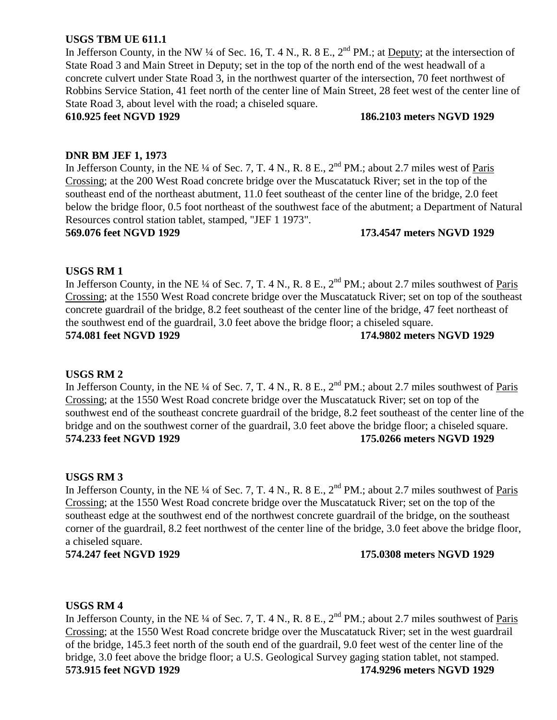# **USGS TBM UE 611.1**

In Jefferson County, in the NW  $\frac{1}{4}$  of Sec. 16, T. 4 N., R. 8 E.,  $2^{nd}$  PM.; at Deputy; at the intersection of State Road 3 and Main Street in Deputy; set in the top of the north end of the west headwall of a concrete culvert under State Road 3, in the northwest quarter of the intersection, 70 feet northwest of Robbins Service Station, 41 feet north of the center line of Main Street, 28 feet west of the center line of State Road 3, about level with the road; a chiseled square.

# **610.925 feet NGVD 1929 186.2103 meters NGVD 1929**

# **DNR BM JEF 1, 1973**

In Jefferson County, in the NE ¼ of Sec. 7, T. 4 N., R. 8 E.,  $2<sup>nd</sup> PM$ .; about 2.7 miles west of Paris Crossing; at the 200 West Road concrete bridge over the Muscatatuck River; set in the top of the southeast end of the northeast abutment, 11.0 feet southeast of the center line of the bridge, 2.0 feet below the bridge floor, 0.5 foot northeast of the southwest face of the abutment; a Department of Natural Resources control station tablet, stamped, "JEF 1 1973".

**569.076 feet NGVD 1929 173.4547 meters NGVD 1929**

#### **USGS RM 1**

In Jefferson County, in the NE ¼ of Sec. 7, T. 4 N., R. 8 E., 2<sup>nd</sup> PM.; about 2.7 miles southwest of <u>Paris</u> Crossing; at the 1550 West Road concrete bridge over the Muscatatuck River; set on top of the southeast concrete guardrail of the bridge, 8.2 feet southeast of the center line of the bridge, 47 feet northeast of the southwest end of the guardrail, 3.0 feet above the bridge floor; a chiseled square. **574.081 feet NGVD 1929 174.9802 meters NGVD 1929**

# **USGS RM 2**

In Jefferson County, in the NE  $\frac{1}{4}$  of Sec. 7, T. 4 N., R. 8 E.,  $2^{nd}$  PM.; about 2.7 miles southwest of Paris Crossing; at the 1550 West Road concrete bridge over the Muscatatuck River; set on top of the southwest end of the southeast concrete guardrail of the bridge, 8.2 feet southeast of the center line of the bridge and on the southwest corner of the guardrail, 3.0 feet above the bridge floor; a chiseled square. **574.233 feet NGVD 1929 175.0266 meters NGVD 1929**

# **USGS RM 3**

In Jefferson County, in the NE  $\frac{1}{4}$  of Sec. 7, T. 4 N., R. 8 E.,  $2^{nd}$  PM.; about 2.7 miles southwest of Paris Crossing; at the 1550 West Road concrete bridge over the Muscatatuck River; set on the top of the southeast edge at the southwest end of the northwest concrete guardrail of the bridge, on the southeast corner of the guardrail, 8.2 feet northwest of the center line of the bridge, 3.0 feet above the bridge floor, a chiseled square.

**574.247 feet NGVD 1929 175.0308 meters NGVD 1929**

# **USGS RM 4**

In Jefferson County, in the NE ¼ of Sec. 7, T. 4 N., R. 8 E., 2<sup>nd</sup> PM.; about 2.7 miles southwest of Paris Crossing; at the 1550 West Road concrete bridge over the Muscatatuck River; set in the west guardrail of the bridge, 145.3 feet north of the south end of the guardrail, 9.0 feet west of the center line of the bridge, 3.0 feet above the bridge floor; a U.S. Geological Survey gaging station tablet, not stamped. **573.915 feet NGVD 1929 174.9296 meters NGVD 1929**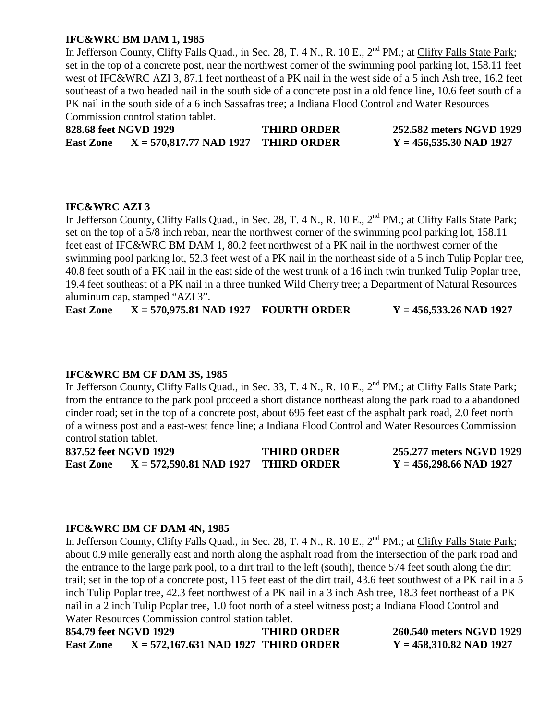# **IFC&WRC BM DAM 1, 1985**

In Jefferson County, Clifty Falls Quad., in Sec. 28, T. 4 N., R. 10 E., 2<sup>nd</sup> PM.; at Clifty Falls State Park; set in the top of a concrete post, near the northwest corner of the swimming pool parking lot, 158.11 feet west of IFC&WRC AZI 3, 87.1 feet northeast of a PK nail in the west side of a 5 inch Ash tree, 16.2 feet southeast of a two headed nail in the south side of a concrete post in a old fence line, 10.6 feet south of a PK nail in the south side of a 6 inch Sassafras tree; a Indiana Flood Control and Water Resources Commission control station tablet.

**828.68 feet NGVD 1929 THIRD ORDER 252.582 meters NGVD 1929 East Zone X = 570,817.77 NAD 1927 THIRD ORDER Y = 456,535.30 NAD 1927**

# **IFC&WRC AZI 3**

In Jefferson County, Clifty Falls Quad., in Sec. 28, T. 4 N., R. 10 E., 2<sup>nd</sup> PM.; at Clifty Falls State Park; set on the top of a 5/8 inch rebar, near the northwest corner of the swimming pool parking lot, 158.11 feet east of IFC&WRC BM DAM 1, 80.2 feet northwest of a PK nail in the northwest corner of the swimming pool parking lot, 52.3 feet west of a PK nail in the northeast side of a 5 inch Tulip Poplar tree, 40.8 feet south of a PK nail in the east side of the west trunk of a 16 inch twin trunked Tulip Poplar tree, 19.4 feet southeast of a PK nail in a three trunked Wild Cherry tree; a Department of Natural Resources aluminum cap, stamped "AZI 3".

**East Zone X = 570,975.81 NAD 1927 FOURTH ORDER Y = 456,533.26 NAD 1927**

# **IFC&WRC BM CF DAM 3S, 1985**

In Jefferson County, Clifty Falls Quad., in Sec. 33, T. 4 N., R. 10 E., 2<sup>nd</sup> PM.; at Clifty Falls State Park; from the entrance to the park pool proceed a short distance northeast along the park road to a abandoned cinder road; set in the top of a concrete post, about 695 feet east of the asphalt park road, 2.0 feet north of a witness post and a east-west fence line; a Indiana Flood Control and Water Resources Commission control station tablet.

**837.52 feet NGVD 1929 THIRD ORDER 255.277 meters NGVD 1929 East Zone X = 572,590.81 NAD 1927 THIRD ORDER Y = 456,298.66 NAD 1927**

# **IFC&WRC BM CF DAM 4N, 1985**

In Jefferson County, Clifty Falls Quad., in Sec. 28, T. 4 N., R. 10 E., 2<sup>nd</sup> PM.; at Clifty Falls State Park; about 0.9 mile generally east and north along the asphalt road from the intersection of the park road and the entrance to the large park pool, to a dirt trail to the left (south), thence 574 feet south along the dirt trail; set in the top of a concrete post, 115 feet east of the dirt trail, 43.6 feet southwest of a PK nail in a 5 inch Tulip Poplar tree, 42.3 feet northwest of a PK nail in a 3 inch Ash tree, 18.3 feet northeast of a PK nail in a 2 inch Tulip Poplar tree, 1.0 foot north of a steel witness post; a Indiana Flood Control and Water Resources Commission control station tablet.

**854.79 feet NGVD 1929 THIRD ORDER 260.540 meters NGVD 1929 East Zone X = 572,167.631 NAD 1927 THIRD ORDER Y = 458,310.82 NAD 1927**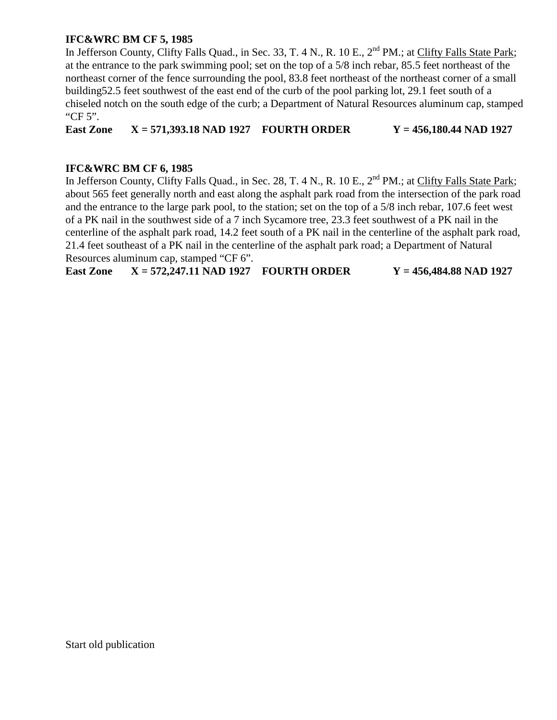# **IFC&WRC BM CF 5, 1985**

In Jefferson County, Clifty Falls Quad., in Sec. 33, T. 4 N., R. 10 E., 2<sup>nd</sup> PM.; at Clifty Falls State Park; at the entrance to the park swimming pool; set on the top of a 5/8 inch rebar, 85.5 feet northeast of the northeast corner of the fence surrounding the pool, 83.8 feet northeast of the northeast corner of a small building52.5 feet southwest of the east end of the curb of the pool parking lot, 29.1 feet south of a chiseled notch on the south edge of the curb; a Department of Natural Resources aluminum cap, stamped "CF 5".

**East Zone X = 571,393.18 NAD 1927 FOURTH ORDER Y = 456,180.44 NAD 1927**

# **IFC&WRC BM CF 6, 1985**

In Jefferson County, Clifty Falls Quad., in Sec. 28, T. 4 N., R. 10 E., 2<sup>nd</sup> PM.; at Clifty Falls State Park; about 565 feet generally north and east along the asphalt park road from the intersection of the park road and the entrance to the large park pool, to the station; set on the top of a 5/8 inch rebar, 107.6 feet west of a PK nail in the southwest side of a 7 inch Sycamore tree, 23.3 feet southwest of a PK nail in the centerline of the asphalt park road, 14.2 feet south of a PK nail in the centerline of the asphalt park road, 21.4 feet southeast of a PK nail in the centerline of the asphalt park road; a Department of Natural Resources aluminum cap, stamped "CF 6".

**East Zone X = 572,247.11 NAD 1927 FOURTH ORDER Y = 456,484.88 NAD 1927**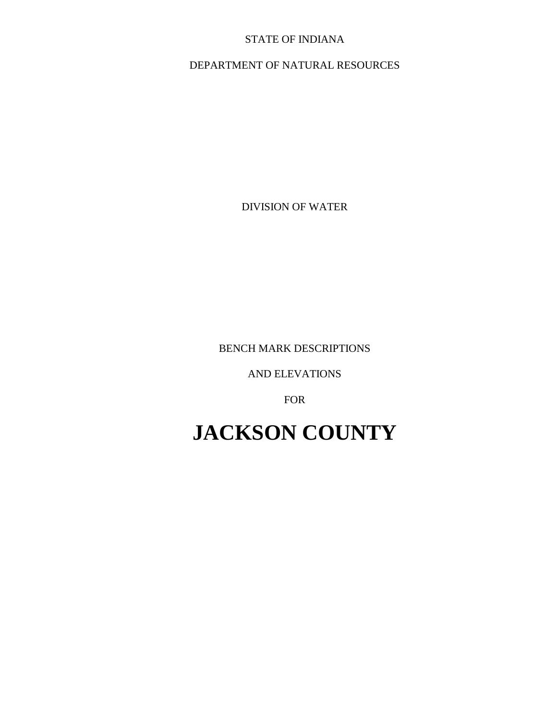# STATE OF INDIANA

# DEPARTMENT OF NATURAL RESOURCES

DIVISION OF WATER

BENCH MARK DESCRIPTIONS

AND ELEVATIONS

FOR

# **JACKSON COUNTY**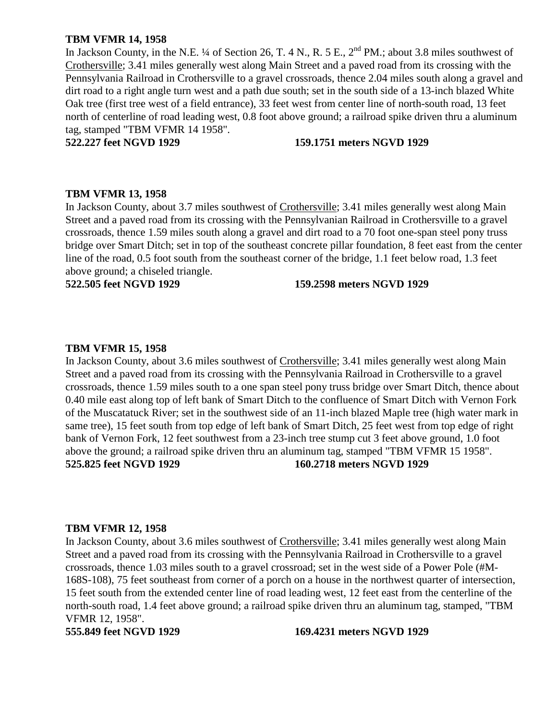### **TBM VFMR 14, 1958**

In Jackson County, in the N.E. ¼ of Section 26, T. 4 N., R. 5 E.,  $2^{nd}$  PM.; about 3.8 miles southwest of Crothersville; 3.41 miles generally west along Main Street and a paved road from its crossing with the Pennsylvania Railroad in Crothersville to a gravel crossroads, thence 2.04 miles south along a gravel and dirt road to a right angle turn west and a path due south; set in the south side of a 13-inch blazed White Oak tree (first tree west of a field entrance), 33 feet west from center line of north-south road, 13 feet north of centerline of road leading west, 0.8 foot above ground; a railroad spike driven thru a aluminum tag, stamped "TBM VFMR 14 1958".

#### **522.227 feet NGVD 1929 159.1751 meters NGVD 1929**

#### **TBM VFMR 13, 1958**

In Jackson County, about 3.7 miles southwest of Crothersville; 3.41 miles generally west along Main Street and a paved road from its crossing with the Pennsylvanian Railroad in Crothersville to a gravel crossroads, thence 1.59 miles south along a gravel and dirt road to a 70 foot one-span steel pony truss bridge over Smart Ditch; set in top of the southeast concrete pillar foundation, 8 feet east from the center line of the road, 0.5 foot south from the southeast corner of the bridge, 1.1 feet below road, 1.3 feet above ground; a chiseled triangle.

#### **522.505 feet NGVD 1929 159.2598 meters NGVD 1929**

#### **TBM VFMR 15, 1958**

In Jackson County, about 3.6 miles southwest of Crothersville; 3.41 miles generally west along Main Street and a paved road from its crossing with the Pennsylvania Railroad in Crothersville to a gravel crossroads, thence 1.59 miles south to a one span steel pony truss bridge over Smart Ditch, thence about 0.40 mile east along top of left bank of Smart Ditch to the confluence of Smart Ditch with Vernon Fork of the Muscatatuck River; set in the southwest side of an 11-inch blazed Maple tree (high water mark in same tree), 15 feet south from top edge of left bank of Smart Ditch, 25 feet west from top edge of right bank of Vernon Fork, 12 feet southwest from a 23-inch tree stump cut 3 feet above ground, 1.0 foot above the ground; a railroad spike driven thru an aluminum tag, stamped "TBM VFMR 15 1958". **525.825 feet NGVD 1929 160.2718 meters NGVD 1929**

#### **TBM VFMR 12, 1958**

In Jackson County, about 3.6 miles southwest of Crothersville; 3.41 miles generally west along Main Street and a paved road from its crossing with the Pennsylvania Railroad in Crothersville to a gravel crossroads, thence 1.03 miles south to a gravel crossroad; set in the west side of a Power Pole (#M-168S-108), 75 feet southeast from corner of a porch on a house in the northwest quarter of intersection, 15 feet south from the extended center line of road leading west, 12 feet east from the centerline of the north-south road, 1.4 feet above ground; a railroad spike driven thru an aluminum tag, stamped, "TBM VFMR 12, 1958".

#### **555.849 feet NGVD 1929 169.4231 meters NGVD 1929**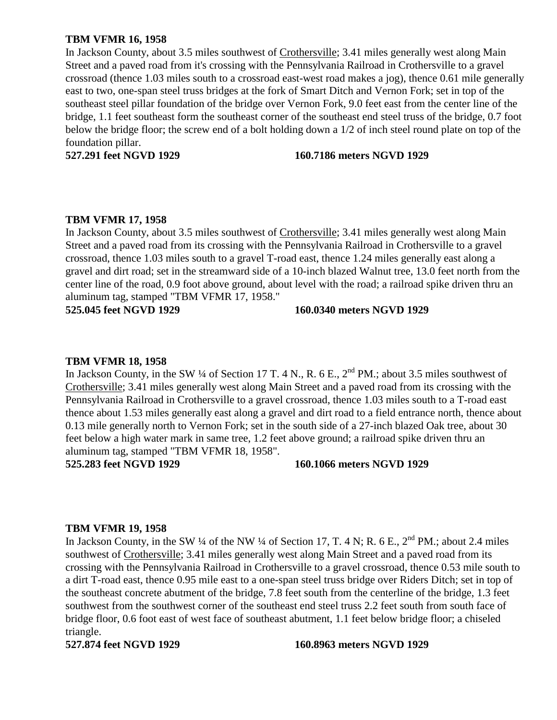# **TBM VFMR 16, 1958**

In Jackson County, about 3.5 miles southwest of Crothersville; 3.41 miles generally west along Main Street and a paved road from it's crossing with the Pennsylvania Railroad in Crothersville to a gravel crossroad (thence 1.03 miles south to a crossroad east-west road makes a jog), thence 0.61 mile generally east to two, one-span steel truss bridges at the fork of Smart Ditch and Vernon Fork; set in top of the southeast steel pillar foundation of the bridge over Vernon Fork, 9.0 feet east from the center line of the bridge, 1.1 feet southeast form the southeast corner of the southeast end steel truss of the bridge, 0.7 foot below the bridge floor; the screw end of a bolt holding down a 1/2 of inch steel round plate on top of the foundation pillar.

#### **527.291 feet NGVD 1929 160.7186 meters NGVD 1929**

#### **TBM VFMR 17, 1958**

In Jackson County, about 3.5 miles southwest of Crothersville; 3.41 miles generally west along Main Street and a paved road from its crossing with the Pennsylvania Railroad in Crothersville to a gravel crossroad, thence 1.03 miles south to a gravel T-road east, thence 1.24 miles generally east along a gravel and dirt road; set in the streamward side of a 10-inch blazed Walnut tree, 13.0 feet north from the center line of the road, 0.9 foot above ground, about level with the road; a railroad spike driven thru an aluminum tag, stamped "TBM VFMR 17, 1958."

**525.045 feet NGVD 1929 160.0340 meters NGVD 1929**

#### **TBM VFMR 18, 1958**

In Jackson County, in the SW ¼ of Section 17 T. 4 N., R. 6 E., 2<sup>nd</sup> PM.; about 3.5 miles southwest of Crothersville; 3.41 miles generally west along Main Street and a paved road from its crossing with the Pennsylvania Railroad in Crothersville to a gravel crossroad, thence 1.03 miles south to a T-road east thence about 1.53 miles generally east along a gravel and dirt road to a field entrance north, thence about 0.13 mile generally north to Vernon Fork; set in the south side of a 27-inch blazed Oak tree, about 30 feet below a high water mark in same tree, 1.2 feet above ground; a railroad spike driven thru an aluminum tag, stamped "TBM VFMR 18, 1958".

#### **525.283 feet NGVD 1929 160.1066 meters NGVD 1929**

#### **TBM VFMR 19, 1958**

In Jackson County, in the SW  $\frac{1}{4}$  of the NW  $\frac{1}{4}$  of Section 17, T. 4 N; R. 6 E., 2<sup>nd</sup> PM.; about 2.4 miles southwest of Crothersville; 3.41 miles generally west along Main Street and a paved road from its crossing with the Pennsylvania Railroad in Crothersville to a gravel crossroad, thence 0.53 mile south to a dirt T-road east, thence 0.95 mile east to a one-span steel truss bridge over Riders Ditch; set in top of the southeast concrete abutment of the bridge, 7.8 feet south from the centerline of the bridge, 1.3 feet southwest from the southwest corner of the southeast end steel truss 2.2 feet south from south face of bridge floor, 0.6 foot east of west face of southeast abutment, 1.1 feet below bridge floor; a chiseled triangle.

#### **527.874 feet NGVD 1929 160.8963 meters NGVD 1929**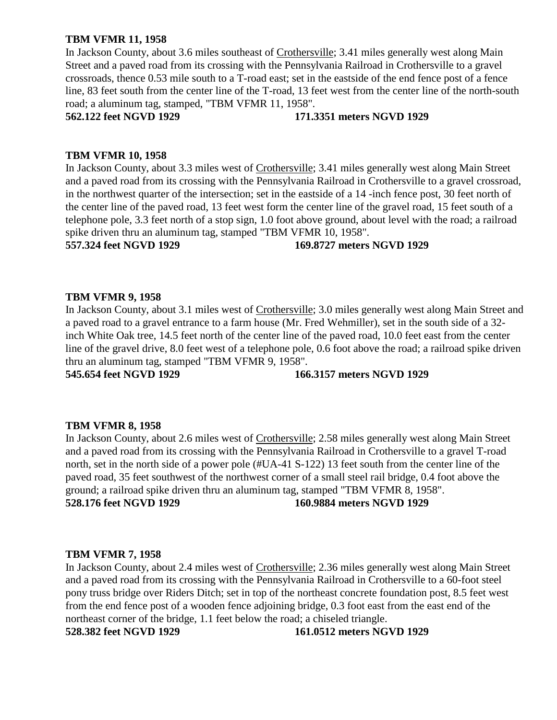# **TBM VFMR 11, 1958**

In Jackson County, about 3.6 miles southeast of Crothersville; 3.41 miles generally west along Main Street and a paved road from its crossing with the Pennsylvania Railroad in Crothersville to a gravel crossroads, thence 0.53 mile south to a T-road east; set in the eastside of the end fence post of a fence line, 83 feet south from the center line of the T-road, 13 feet west from the center line of the north-south road; a aluminum tag, stamped, "TBM VFMR 11, 1958".

#### **562.122 feet NGVD 1929 171.3351 meters NGVD 1929**

# **TBM VFMR 10, 1958**

In Jackson County, about 3.3 miles west of Crothersville; 3.41 miles generally west along Main Street and a paved road from its crossing with the Pennsylvania Railroad in Crothersville to a gravel crossroad, in the northwest quarter of the intersection; set in the eastside of a 14 -inch fence post, 30 feet north of the center line of the paved road, 13 feet west form the center line of the gravel road, 15 feet south of a telephone pole, 3.3 feet north of a stop sign, 1.0 foot above ground, about level with the road; a railroad spike driven thru an aluminum tag, stamped "TBM VFMR 10, 1958".

#### **557.324 feet NGVD 1929 169.8727 meters NGVD 1929**

# **TBM VFMR 9, 1958**

In Jackson County, about 3.1 miles west of Crothersville; 3.0 miles generally west along Main Street and a paved road to a gravel entrance to a farm house (Mr. Fred Wehmiller), set in the south side of a 32 inch White Oak tree, 14.5 feet north of the center line of the paved road, 10.0 feet east from the center line of the gravel drive, 8.0 feet west of a telephone pole, 0.6 foot above the road; a railroad spike driven thru an aluminum tag, stamped "TBM VFMR 9, 1958".

**545.654 feet NGVD 1929 166.3157 meters NGVD 1929**

#### **TBM VFMR 8, 1958**

In Jackson County, about 2.6 miles west of Crothersville; 2.58 miles generally west along Main Street and a paved road from its crossing with the Pennsylvania Railroad in Crothersville to a gravel T-road north, set in the north side of a power pole (#UA-41 S-122) 13 feet south from the center line of the paved road, 35 feet southwest of the northwest corner of a small steel rail bridge, 0.4 foot above the ground; a railroad spike driven thru an aluminum tag, stamped "TBM VFMR 8, 1958". **528.176 feet NGVD 1929 160.9884 meters NGVD 1929**

#### **TBM VFMR 7, 1958**

In Jackson County, about 2.4 miles west of Crothersville; 2.36 miles generally west along Main Street and a paved road from its crossing with the Pennsylvania Railroad in Crothersville to a 60-foot steel pony truss bridge over Riders Ditch; set in top of the northeast concrete foundation post, 8.5 feet west from the end fence post of a wooden fence adjoining bridge, 0.3 foot east from the east end of the northeast corner of the bridge, 1.1 feet below the road; a chiseled triangle. **528.382 feet NGVD 1929 161.0512 meters NGVD 1929**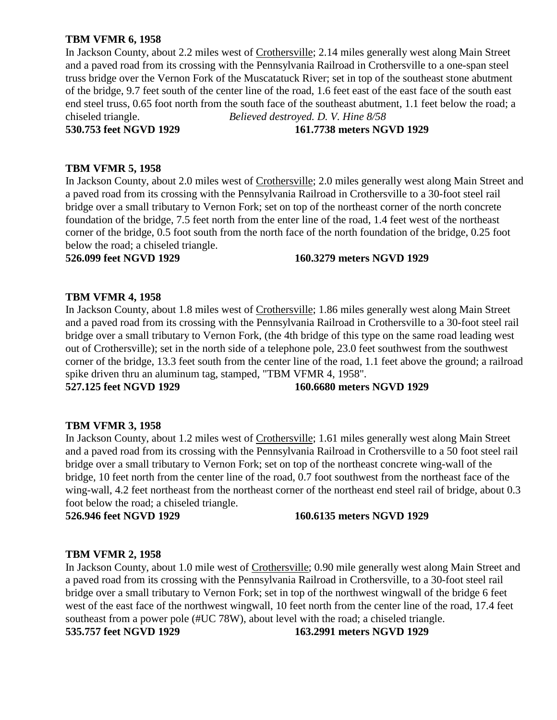# **TBM VFMR 6, 1958**

In Jackson County, about 2.2 miles west of Crothersville; 2.14 miles generally west along Main Street and a paved road from its crossing with the Pennsylvania Railroad in Crothersville to a one-span steel truss bridge over the Vernon Fork of the Muscatatuck River; set in top of the southeast stone abutment of the bridge, 9.7 feet south of the center line of the road, 1.6 feet east of the east face of the south east end steel truss, 0.65 foot north from the south face of the southeast abutment, 1.1 feet below the road; a chiseled triangle. *Believed destroyed. D. V. Hine 8/58* **530.753 feet NGVD 1929 161.7738 meters NGVD 1929**

# **TBM VFMR 5, 1958**

In Jackson County, about 2.0 miles west of Crothersville; 2.0 miles generally west along Main Street and a paved road from its crossing with the Pennsylvania Railroad in Crothersville to a 30-foot steel rail bridge over a small tributary to Vernon Fork; set on top of the northeast corner of the north concrete foundation of the bridge, 7.5 feet north from the enter line of the road, 1.4 feet west of the northeast corner of the bridge, 0.5 foot south from the north face of the north foundation of the bridge, 0.25 foot below the road; a chiseled triangle.

**526.099 feet NGVD 1929 160.3279 meters NGVD 1929**

# **TBM VFMR 4, 1958**

In Jackson County, about 1.8 miles west of Crothersville; 1.86 miles generally west along Main Street and a paved road from its crossing with the Pennsylvania Railroad in Crothersville to a 30-foot steel rail bridge over a small tributary to Vernon Fork, (the 4th bridge of this type on the same road leading west out of Crothersville); set in the north side of a telephone pole, 23.0 feet southwest from the southwest corner of the bridge, 13.3 feet south from the center line of the road, 1.1 feet above the ground; a railroad spike driven thru an aluminum tag, stamped, "TBM VFMR 4, 1958".

# **527.125 feet NGVD 1929 160.6680 meters NGVD 1929**

# **TBM VFMR 3, 1958**

In Jackson County, about 1.2 miles west of Crothersville; 1.61 miles generally west along Main Street and a paved road from its crossing with the Pennsylvania Railroad in Crothersville to a 50 foot steel rail bridge over a small tributary to Vernon Fork; set on top of the northeast concrete wing-wall of the bridge, 10 feet north from the center line of the road, 0.7 foot southwest from the northeast face of the wing-wall, 4.2 feet northeast from the northeast corner of the northeast end steel rail of bridge, about 0.3 foot below the road; a chiseled triangle.

# **526.946 feet NGVD 1929 160.6135 meters NGVD 1929**

# **TBM VFMR 2, 1958**

In Jackson County, about 1.0 mile west of Crothersville; 0.90 mile generally west along Main Street and a paved road from its crossing with the Pennsylvania Railroad in Crothersville, to a 30-foot steel rail bridge over a small tributary to Vernon Fork; set in top of the northwest wingwall of the bridge 6 feet west of the east face of the northwest wingwall, 10 feet north from the center line of the road, 17.4 feet southeast from a power pole (#UC 78W), about level with the road; a chiseled triangle. **535.757 feet NGVD 1929 163.2991 meters NGVD 1929**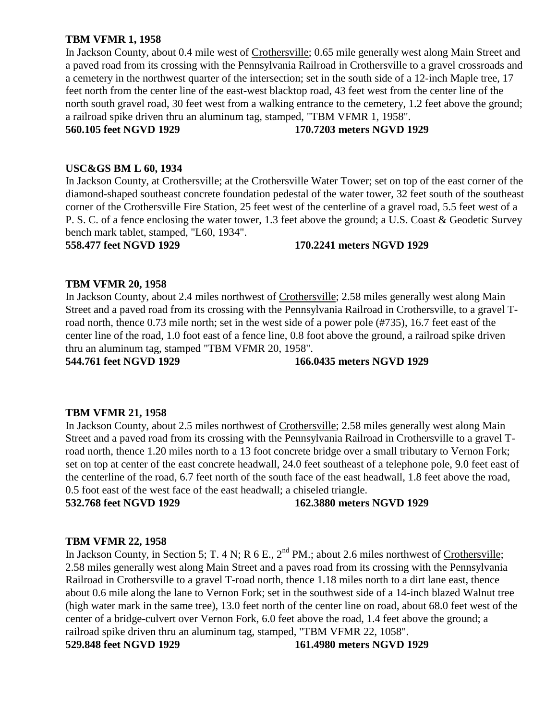# **TBM VFMR 1, 1958**

In Jackson County, about 0.4 mile west of Crothersville; 0.65 mile generally west along Main Street and a paved road from its crossing with the Pennsylvania Railroad in Crothersville to a gravel crossroads and a cemetery in the northwest quarter of the intersection; set in the south side of a 12-inch Maple tree, 17 feet north from the center line of the east-west blacktop road, 43 feet west from the center line of the north south gravel road, 30 feet west from a walking entrance to the cemetery, 1.2 feet above the ground; a railroad spike driven thru an aluminum tag, stamped, "TBM VFMR 1, 1958".

# **560.105 feet NGVD 1929 170.7203 meters NGVD 1929**

# **USC&GS BM L 60, 1934**

In Jackson County, at Crothersville; at the Crothersville Water Tower; set on top of the east corner of the diamond-shaped southeast concrete foundation pedestal of the water tower, 32 feet south of the southeast corner of the Crothersville Fire Station, 25 feet west of the centerline of a gravel road, 5.5 feet west of a P. S. C. of a fence enclosing the water tower, 1.3 feet above the ground; a U.S. Coast & Geodetic Survey bench mark tablet, stamped, "L60, 1934".

# **558.477 feet NGVD 1929 170.2241 meters NGVD 1929**

# **TBM VFMR 20, 1958**

In Jackson County, about 2.4 miles northwest of Crothersville; 2.58 miles generally west along Main Street and a paved road from its crossing with the Pennsylvania Railroad in Crothersville, to a gravel Troad north, thence 0.73 mile north; set in the west side of a power pole (#735), 16.7 feet east of the center line of the road, 1.0 foot east of a fence line, 0.8 foot above the ground, a railroad spike driven thru an aluminum tag, stamped "TBM VFMR 20, 1958".

### **544.761 feet NGVD 1929 166.0435 meters NGVD 1929**

# **TBM VFMR 21, 1958**

In Jackson County, about 2.5 miles northwest of Crothersville; 2.58 miles generally west along Main Street and a paved road from its crossing with the Pennsylvania Railroad in Crothersville to a gravel Troad north, thence 1.20 miles north to a 13 foot concrete bridge over a small tributary to Vernon Fork; set on top at center of the east concrete headwall, 24.0 feet southeast of a telephone pole, 9.0 feet east of the centerline of the road, 6.7 feet north of the south face of the east headwall, 1.8 feet above the road, 0.5 foot east of the west face of the east headwall; a chiseled triangle.

**532.768 feet NGVD 1929 162.3880 meters NGVD 1929**

# **TBM VFMR 22, 1958**

In Jackson County, in Section 5; T. 4 N; R 6 E., 2<sup>nd</sup> PM.; about 2.6 miles northwest of Crothersville; 2.58 miles generally west along Main Street and a paves road from its crossing with the Pennsylvania Railroad in Crothersville to a gravel T-road north, thence 1.18 miles north to a dirt lane east, thence about 0.6 mile along the lane to Vernon Fork; set in the southwest side of a 14-inch blazed Walnut tree (high water mark in the same tree), 13.0 feet north of the center line on road, about 68.0 feet west of the center of a bridge-culvert over Vernon Fork, 6.0 feet above the road, 1.4 feet above the ground; a railroad spike driven thru an aluminum tag, stamped, "TBM VFMR 22, 1058". **529.848 feet NGVD 1929 161.4980 meters NGVD 1929**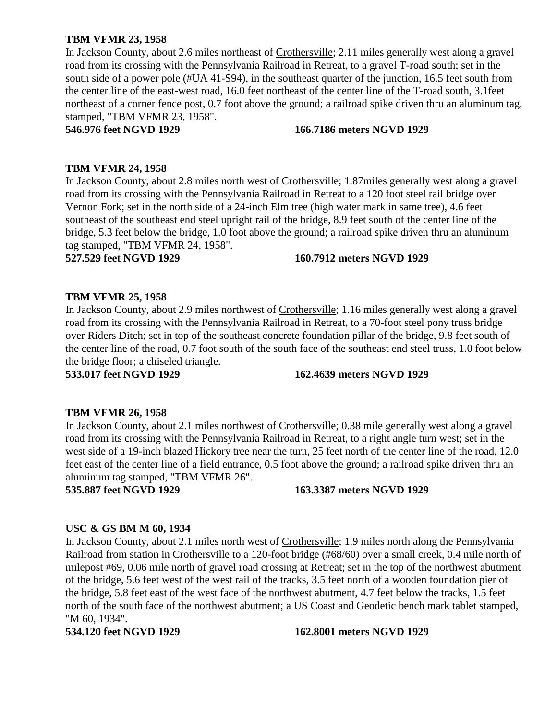# **TBM VFMR 23, 1958**

In Jackson County, about 2.6 miles northeast of Crothersville; 2.11 miles generally west along a gravel road from its crossing with the Pennsylvania Railroad in Retreat, to a gravel T-road south; set in the south side of a power pole (#UA 41-S94), in the southeast quarter of the junction, 16.5 feet south from the center line of the east-west road, 16.0 feet northeast of the center line of the T-road south, 3.1feet northeast of a corner fence post, 0.7 foot above the ground; a railroad spike driven thru an aluminum tag, stamped, "TBM VFMR 23, 1958".

#### **546.976 feet NGVD 1929 166.7186 meters NGVD 1929**

# **TBM VFMR 24, 1958**

In Jackson County, about 2.8 miles north west of Crothersville; 1.87miles generally west along a gravel road from its crossing with the Pennsylvania Railroad in Retreat to a 120 foot steel rail bridge over Vernon Fork; set in the north side of a 24-inch Elm tree (high water mark in same tree), 4.6 feet southeast of the southeast end steel upright rail of the bridge, 8.9 feet south of the center line of the bridge, 5.3 feet below the bridge, 1.0 foot above the ground; a railroad spike driven thru an aluminum tag stamped, "TBM VFMR 24, 1958".

#### **527.529 feet NGVD 1929 160.7912 meters NGVD 1929**

# **TBM VFMR 25, 1958**

In Jackson County, about 2.9 miles northwest of Crothersville; 1.16 miles generally west along a gravel road from its crossing with the Pennsylvania Railroad in Retreat, to a 70-foot steel pony truss bridge over Riders Ditch; set in top of the southeast concrete foundation pillar of the bridge, 9.8 feet south of the center line of the road, 0.7 foot south of the south face of the southeast end steel truss, 1.0 foot below the bridge floor; a chiseled triangle.

# **533.017 feet NGVD 1929 162.4639 meters NGVD 1929**

# **TBM VFMR 26, 1958**

In Jackson County, about 2.1 miles northwest of Crothersville; 0.38 mile generally west along a gravel road from its crossing with the Pennsylvania Railroad in Retreat, to a right angle turn west; set in the west side of a 19-inch blazed Hickory tree near the turn, 25 feet north of the center line of the road, 12.0 feet east of the center line of a field entrance, 0.5 foot above the ground; a railroad spike driven thru an aluminum tag stamped, "TBM VFMR 26".

# **535.887 feet NGVD 1929 163.3387 meters NGVD 1929**

# **USC & GS BM M 60, 1934**

In Jackson County, about 2.1 miles north west of Crothersville; 1.9 miles north along the Pennsylvania Railroad from station in Crothersville to a 120-foot bridge (#68/60) over a small creek, 0.4 mile north of milepost #69, 0.06 mile north of gravel road crossing at Retreat; set in the top of the northwest abutment of the bridge, 5.6 feet west of the west rail of the tracks, 3.5 feet north of a wooden foundation pier of the bridge, 5.8 feet east of the west face of the northwest abutment, 4.7 feet below the tracks, 1.5 feet north of the south face of the northwest abutment; a US Coast and Geodetic bench mark tablet stamped, "M 60, 1934".

# **534.120 feet NGVD 1929 162.8001 meters NGVD 1929**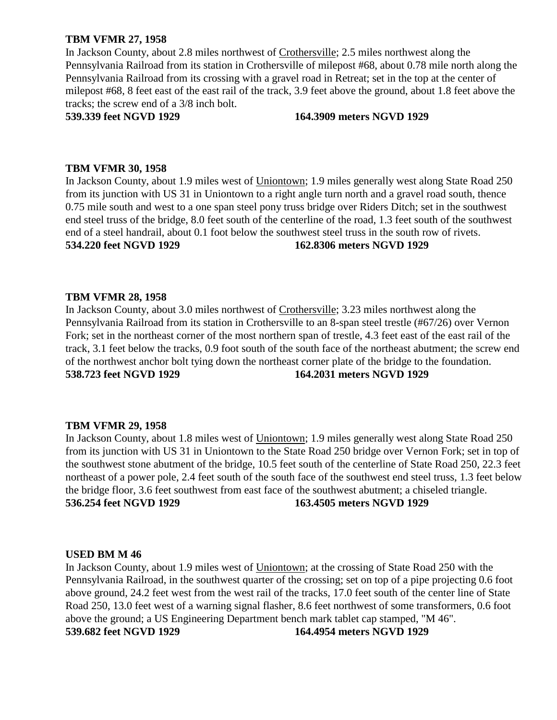# **TBM VFMR 27, 1958**

In Jackson County, about 2.8 miles northwest of Crothersville; 2.5 miles northwest along the Pennsylvania Railroad from its station in Crothersville of milepost #68, about 0.78 mile north along the Pennsylvania Railroad from its crossing with a gravel road in Retreat; set in the top at the center of milepost #68, 8 feet east of the east rail of the track, 3.9 feet above the ground, about 1.8 feet above the tracks; the screw end of a 3/8 inch bolt.

#### **539.339 feet NGVD 1929 164.3909 meters NGVD 1929**

# **TBM VFMR 30, 1958**

In Jackson County, about 1.9 miles west of Uniontown; 1.9 miles generally west along State Road 250 from its junction with US 31 in Uniontown to a right angle turn north and a gravel road south, thence 0.75 mile south and west to a one span steel pony truss bridge over Riders Ditch; set in the southwest end steel truss of the bridge, 8.0 feet south of the centerline of the road, 1.3 feet south of the southwest end of a steel handrail, about 0.1 foot below the southwest steel truss in the south row of rivets. **534.220 feet NGVD 1929 162.8306 meters NGVD 1929**

# **TBM VFMR 28, 1958**

In Jackson County, about 3.0 miles northwest of Crothersville; 3.23 miles northwest along the Pennsylvania Railroad from its station in Crothersville to an 8-span steel trestle (#67/26) over Vernon Fork; set in the northeast corner of the most northern span of trestle, 4.3 feet east of the east rail of the track, 3.1 feet below the tracks, 0.9 foot south of the south face of the northeast abutment; the screw end of the northwest anchor bolt tying down the northeast corner plate of the bridge to the foundation. **538.723 feet NGVD 1929 164.2031 meters NGVD 1929**

# **TBM VFMR 29, 1958**

In Jackson County, about 1.8 miles west of Uniontown; 1.9 miles generally west along State Road 250 from its junction with US 31 in Uniontown to the State Road 250 bridge over Vernon Fork; set in top of the southwest stone abutment of the bridge, 10.5 feet south of the centerline of State Road 250, 22.3 feet northeast of a power pole, 2.4 feet south of the south face of the southwest end steel truss, 1.3 feet below the bridge floor, 3.6 feet southwest from east face of the southwest abutment; a chiseled triangle. **536.254 feet NGVD 1929 163.4505 meters NGVD 1929**

# **USED BM M 46**

In Jackson County, about 1.9 miles west of Uniontown; at the crossing of State Road 250 with the Pennsylvania Railroad, in the southwest quarter of the crossing; set on top of a pipe projecting 0.6 foot above ground, 24.2 feet west from the west rail of the tracks, 17.0 feet south of the center line of State Road 250, 13.0 feet west of a warning signal flasher, 8.6 feet northwest of some transformers, 0.6 foot above the ground; a US Engineering Department bench mark tablet cap stamped, "M 46". **539.682 feet NGVD 1929 164.4954 meters NGVD 1929**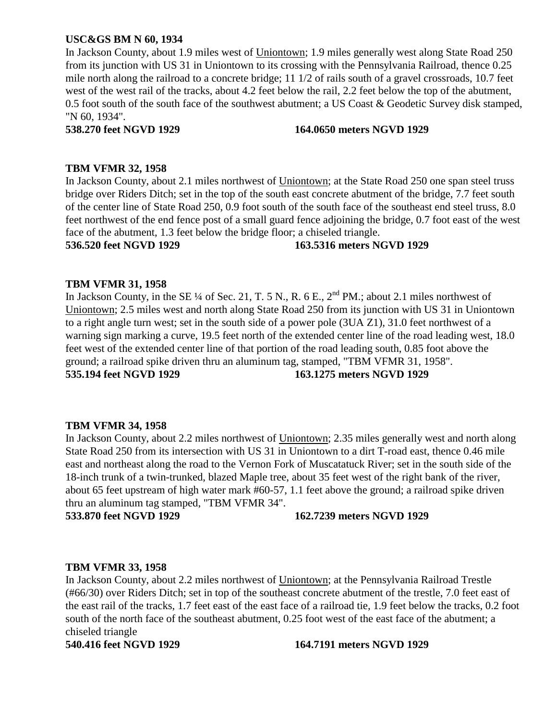# **USC&GS BM N 60, 1934**

In Jackson County, about 1.9 miles west of Uniontown; 1.9 miles generally west along State Road 250 from its junction with US 31 in Uniontown to its crossing with the Pennsylvania Railroad, thence 0.25 mile north along the railroad to a concrete bridge; 11 1/2 of rails south of a gravel crossroads, 10.7 feet west of the west rail of the tracks, about 4.2 feet below the rail, 2.2 feet below the top of the abutment, 0.5 foot south of the south face of the southwest abutment; a US Coast & Geodetic Survey disk stamped, "N 60, 1934".

# **538.270 feet NGVD 1929 164.0650 meters NGVD 1929**

# **TBM VFMR 32, 1958**

In Jackson County, about 2.1 miles northwest of Uniontown; at the State Road 250 one span steel truss bridge over Riders Ditch; set in the top of the south east concrete abutment of the bridge, 7.7 feet south of the center line of State Road 250, 0.9 foot south of the south face of the southeast end steel truss, 8.0 feet northwest of the end fence post of a small guard fence adjoining the bridge, 0.7 foot east of the west face of the abutment, 1.3 feet below the bridge floor; a chiseled triangle.

**536.520 feet NGVD 1929 163.5316 meters NGVD 1929**

# **TBM VFMR 31, 1958**

In Jackson County, in the SE  $\frac{1}{4}$  of Sec. 21, T. 5 N., R. 6 E.,  $2^{nd}$  PM.; about 2.1 miles northwest of Uniontown; 2.5 miles west and north along State Road 250 from its junction with US 31 in Uniontown to a right angle turn west; set in the south side of a power pole (3UA Z1), 31.0 feet northwest of a warning sign marking a curve, 19.5 feet north of the extended center line of the road leading west, 18.0 feet west of the extended center line of that portion of the road leading south, 0.85 foot above the ground; a railroad spike driven thru an aluminum tag, stamped, "TBM VFMR 31, 1958". **535.194 feet NGVD 1929 163.1275 meters NGVD 1929**

# **TBM VFMR 34, 1958**

In Jackson County, about 2.2 miles northwest of Uniontown; 2.35 miles generally west and north along State Road 250 from its intersection with US 31 in Uniontown to a dirt T-road east, thence 0.46 mile east and northeast along the road to the Vernon Fork of Muscatatuck River; set in the south side of the 18-inch trunk of a twin-trunked, blazed Maple tree, about 35 feet west of the right bank of the river, about 65 feet upstream of high water mark #60-57, 1.1 feet above the ground; a railroad spike driven thru an aluminum tag stamped, "TBM VFMR 34".

# **533.870 feet NGVD 1929 162.7239 meters NGVD 1929**

# **TBM VFMR 33, 1958**

In Jackson County, about 2.2 miles northwest of Uniontown; at the Pennsylvania Railroad Trestle (#66/30) over Riders Ditch; set in top of the southeast concrete abutment of the trestle, 7.0 feet east of the east rail of the tracks, 1.7 feet east of the east face of a railroad tie, 1.9 feet below the tracks, 0.2 foot south of the north face of the southeast abutment, 0.25 foot west of the east face of the abutment; a chiseled triangle

#### **540.416 feet NGVD 1929 164.7191 meters NGVD 1929**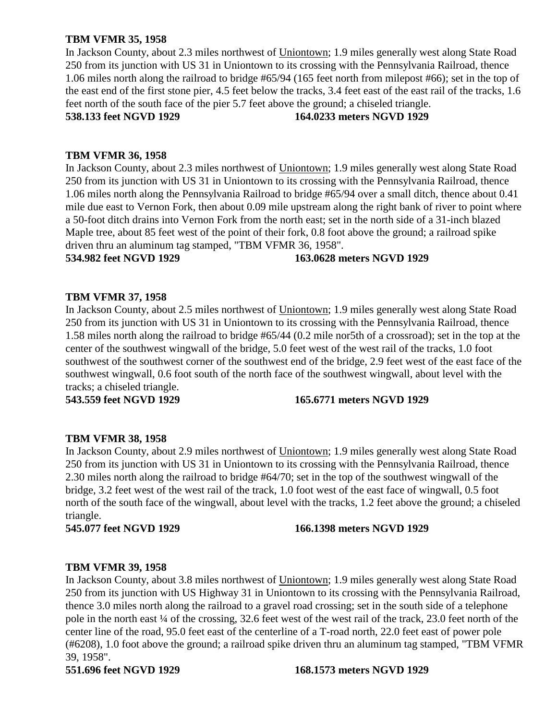# **TBM VFMR 35, 1958**

In Jackson County, about 2.3 miles northwest of Uniontown; 1.9 miles generally west along State Road 250 from its junction with US 31 in Uniontown to its crossing with the Pennsylvania Railroad, thence 1.06 miles north along the railroad to bridge #65/94 (165 feet north from milepost #66); set in the top of the east end of the first stone pier, 4.5 feet below the tracks, 3.4 feet east of the east rail of the tracks, 1.6 feet north of the south face of the pier 5.7 feet above the ground; a chiseled triangle.

**538.133 feet NGVD 1929 164.0233 meters NGVD 1929**

# **TBM VFMR 36, 1958**

In Jackson County, about 2.3 miles northwest of Uniontown; 1.9 miles generally west along State Road 250 from its junction with US 31 in Uniontown to its crossing with the Pennsylvania Railroad, thence 1.06 miles north along the Pennsylvania Railroad to bridge #65/94 over a small ditch, thence about 0.41 mile due east to Vernon Fork, then about 0.09 mile upstream along the right bank of river to point where a 50-foot ditch drains into Vernon Fork from the north east; set in the north side of a 31-inch blazed Maple tree, about 85 feet west of the point of their fork, 0.8 foot above the ground; a railroad spike driven thru an aluminum tag stamped, "TBM VFMR 36, 1958".

#### **534.982 feet NGVD 1929 163.0628 meters NGVD 1929**

# **TBM VFMR 37, 1958**

In Jackson County, about 2.5 miles northwest of Uniontown; 1.9 miles generally west along State Road 250 from its junction with US 31 in Uniontown to its crossing with the Pennsylvania Railroad, thence 1.58 miles north along the railroad to bridge #65/44 (0.2 mile nor5th of a crossroad); set in the top at the center of the southwest wingwall of the bridge, 5.0 feet west of the west rail of the tracks, 1.0 foot southwest of the southwest corner of the southwest end of the bridge, 2.9 feet west of the east face of the southwest wingwall, 0.6 foot south of the north face of the southwest wingwall, about level with the tracks; a chiseled triangle.

**543.559 feet NGVD 1929 165.6771 meters NGVD 1929**

# **TBM VFMR 38, 1958**

In Jackson County, about 2.9 miles northwest of Uniontown; 1.9 miles generally west along State Road 250 from its junction with US 31 in Uniontown to its crossing with the Pennsylvania Railroad, thence 2.30 miles north along the railroad to bridge #64/70; set in the top of the southwest wingwall of the bridge, 3.2 feet west of the west rail of the track, 1.0 foot west of the east face of wingwall, 0.5 foot north of the south face of the wingwall, about level with the tracks, 1.2 feet above the ground; a chiseled triangle.

#### **545.077 feet NGVD 1929 166.1398 meters NGVD 1929**

# **TBM VFMR 39, 1958**

In Jackson County, about 3.8 miles northwest of Uniontown; 1.9 miles generally west along State Road 250 from its junction with US Highway 31 in Uniontown to its crossing with the Pennsylvania Railroad, thence 3.0 miles north along the railroad to a gravel road crossing; set in the south side of a telephone pole in the north east ¼ of the crossing, 32.6 feet west of the west rail of the track, 23.0 feet north of the center line of the road, 95.0 feet east of the centerline of a T-road north, 22.0 feet east of power pole (#6208), 1.0 foot above the ground; a railroad spike driven thru an aluminum tag stamped, "TBM VFMR 39, 1958".

**551.696 feet NGVD 1929 168.1573 meters NGVD 1929**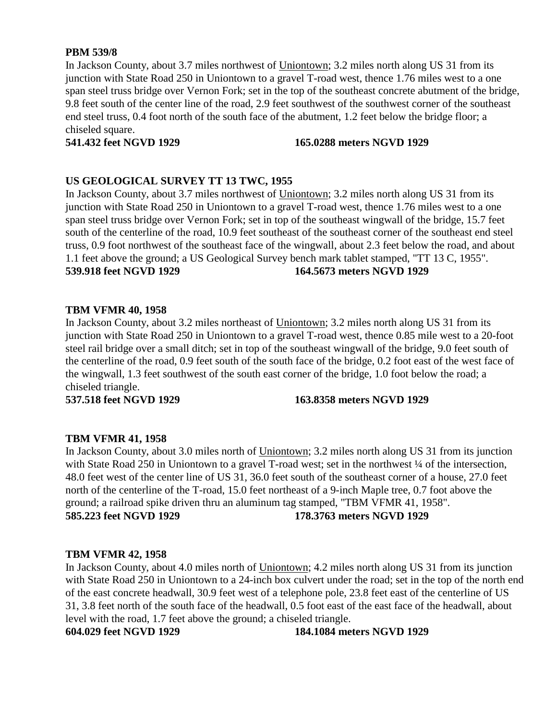# **PBM 539/8**

In Jackson County, about 3.7 miles northwest of Uniontown; 3.2 miles north along US 31 from its junction with State Road 250 in Uniontown to a gravel T-road west, thence 1.76 miles west to a one span steel truss bridge over Vernon Fork; set in the top of the southeast concrete abutment of the bridge, 9.8 feet south of the center line of the road, 2.9 feet southwest of the southwest corner of the southeast end steel truss, 0.4 foot north of the south face of the abutment, 1.2 feet below the bridge floor; a chiseled square.

**541.432 feet NGVD 1929 165.0288 meters NGVD 1929**

# **US GEOLOGICAL SURVEY TT 13 TWC, 1955**

In Jackson County, about 3.7 miles northwest of Uniontown; 3.2 miles north along US 31 from its junction with State Road 250 in Uniontown to a gravel T-road west, thence 1.76 miles west to a one span steel truss bridge over Vernon Fork; set in top of the southeast wingwall of the bridge, 15.7 feet south of the centerline of the road, 10.9 feet southeast of the southeast corner of the southeast end steel truss, 0.9 foot northwest of the southeast face of the wingwall, about 2.3 feet below the road, and about 1.1 feet above the ground; a US Geological Survey bench mark tablet stamped, "TT 13 C, 1955". **539.918 feet NGVD 1929 164.5673 meters NGVD 1929**

# **TBM VFMR 40, 1958**

In Jackson County, about 3.2 miles northeast of Uniontown; 3.2 miles north along US 31 from its junction with State Road 250 in Uniontown to a gravel T-road west, thence 0.85 mile west to a 20-foot steel rail bridge over a small ditch; set in top of the southeast wingwall of the bridge, 9.0 feet south of the centerline of the road, 0.9 feet south of the south face of the bridge, 0.2 foot east of the west face of the wingwall, 1.3 feet southwest of the south east corner of the bridge, 1.0 foot below the road; a chiseled triangle.

**537.518 feet NGVD 1929 163.8358 meters NGVD 1929**

# **TBM VFMR 41, 1958**

In Jackson County, about 3.0 miles north of Uniontown; 3.2 miles north along US 31 from its junction with State Road 250 in Uniontown to a gravel T-road west; set in the northwest  $\frac{1}{4}$  of the intersection, 48.0 feet west of the center line of US 31, 36.0 feet south of the southeast corner of a house, 27.0 feet north of the centerline of the T-road, 15.0 feet northeast of a 9-inch Maple tree, 0.7 foot above the ground; a railroad spike driven thru an aluminum tag stamped, "TBM VFMR 41, 1958". **585.223 feet NGVD 1929 178.3763 meters NGVD 1929**

# **TBM VFMR 42, 1958**

In Jackson County, about 4.0 miles north of Uniontown; 4.2 miles north along US 31 from its junction with State Road 250 in Uniontown to a 24-inch box culvert under the road; set in the top of the north end of the east concrete headwall, 30.9 feet west of a telephone pole, 23.8 feet east of the centerline of US 31, 3.8 feet north of the south face of the headwall, 0.5 foot east of the east face of the headwall, about level with the road, 1.7 feet above the ground; a chiseled triangle.

**604.029 feet NGVD 1929 184.1084 meters NGVD 1929**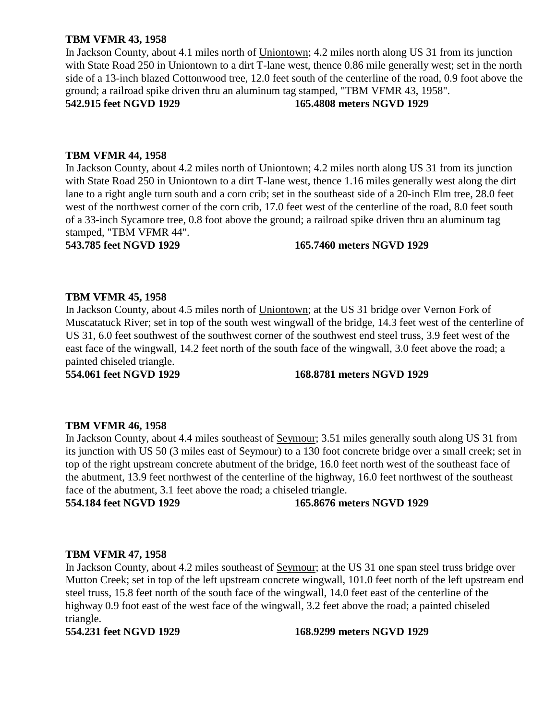# **TBM VFMR 43, 1958**

In Jackson County, about 4.1 miles north of Uniontown; 4.2 miles north along US 31 from its junction with State Road 250 in Uniontown to a dirt T-lane west, thence 0.86 mile generally west; set in the north side of a 13-inch blazed Cottonwood tree, 12.0 feet south of the centerline of the road, 0.9 foot above the ground; a railroad spike driven thru an aluminum tag stamped, "TBM VFMR 43, 1958". **542.915 feet NGVD 1929 165.4808 meters NGVD 1929**

### **TBM VFMR 44, 1958**

In Jackson County, about 4.2 miles north of Uniontown; 4.2 miles north along US 31 from its junction with State Road 250 in Uniontown to a dirt T-lane west, thence 1.16 miles generally west along the dirt lane to a right angle turn south and a corn crib; set in the southeast side of a 20-inch Elm tree, 28.0 feet west of the northwest corner of the corn crib, 17.0 feet west of the centerline of the road, 8.0 feet south of a 33-inch Sycamore tree, 0.8 foot above the ground; a railroad spike driven thru an aluminum tag stamped, "TBM VFMR 44".

#### **543.785 feet NGVD 1929 165.7460 meters NGVD 1929**

# **TBM VFMR 45, 1958**

In Jackson County, about 4.5 miles north of Uniontown; at the US 31 bridge over Vernon Fork of Muscatatuck River; set in top of the south west wingwall of the bridge, 14.3 feet west of the centerline of US 31, 6.0 feet southwest of the southwest corner of the southwest end steel truss, 3.9 feet west of the east face of the wingwall, 14.2 feet north of the south face of the wingwall, 3.0 feet above the road; a painted chiseled triangle.

**554.061 feet NGVD 1929 168.8781 meters NGVD 1929**

#### **TBM VFMR 46, 1958**

In Jackson County, about 4.4 miles southeast of Seymour; 3.51 miles generally south along US 31 from its junction with US 50 (3 miles east of Seymour) to a 130 foot concrete bridge over a small creek; set in top of the right upstream concrete abutment of the bridge, 16.0 feet north west of the southeast face of the abutment, 13.9 feet northwest of the centerline of the highway, 16.0 feet northwest of the southeast face of the abutment, 3.1 feet above the road; a chiseled triangle.

**554.184 feet NGVD 1929 165.8676 meters NGVD 1929**

#### **TBM VFMR 47, 1958**

In Jackson County, about 4.2 miles southeast of Seymour; at the US 31 one span steel truss bridge over Mutton Creek; set in top of the left upstream concrete wingwall, 101.0 feet north of the left upstream end steel truss, 15.8 feet north of the south face of the wingwall, 14.0 feet east of the centerline of the highway 0.9 foot east of the west face of the wingwall, 3.2 feet above the road; a painted chiseled triangle.

**554.231 feet NGVD 1929 168.9299 meters NGVD 1929**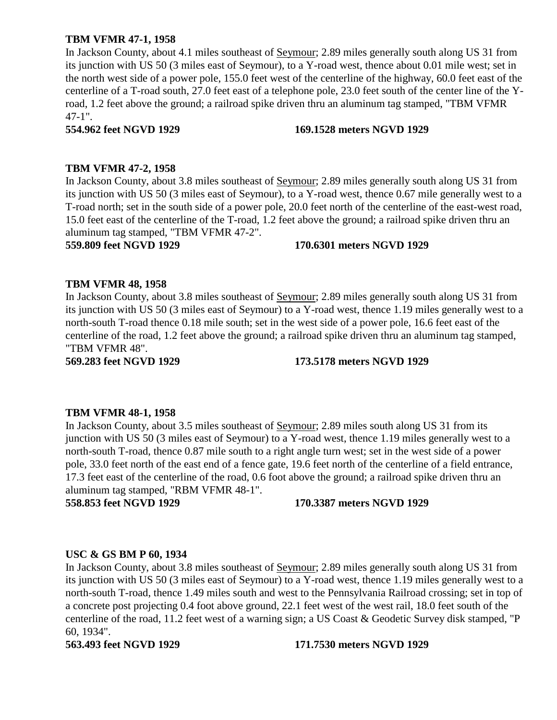# **TBM VFMR 47-1, 1958**

In Jackson County, about 4.1 miles southeast of Seymour; 2.89 miles generally south along US 31 from its junction with US 50 (3 miles east of Seymour), to a Y-road west, thence about 0.01 mile west; set in the north west side of a power pole, 155.0 feet west of the centerline of the highway, 60.0 feet east of the centerline of a T-road south, 27.0 feet east of a telephone pole, 23.0 feet south of the center line of the Yroad, 1.2 feet above the ground; a railroad spike driven thru an aluminum tag stamped, "TBM VFMR 47-1".

# **554.962 feet NGVD 1929 169.1528 meters NGVD 1929**

# **TBM VFMR 47-2, 1958**

In Jackson County, about 3.8 miles southeast of Seymour; 2.89 miles generally south along US 31 from its junction with US 50 (3 miles east of Seymour), to a Y-road west, thence 0.67 mile generally west to a T-road north; set in the south side of a power pole, 20.0 feet north of the centerline of the east-west road, 15.0 feet east of the centerline of the T-road, 1.2 feet above the ground; a railroad spike driven thru an aluminum tag stamped, "TBM VFMR 47-2".

# **559.809 feet NGVD 1929 170.6301 meters NGVD 1929**

# **TBM VFMR 48, 1958**

In Jackson County, about 3.8 miles southeast of Seymour; 2.89 miles generally south along US 31 from its junction with US 50 (3 miles east of Seymour) to a Y-road west, thence 1.19 miles generally west to a north-south T-road thence 0.18 mile south; set in the west side of a power pole, 16.6 feet east of the centerline of the road, 1.2 feet above the ground; a railroad spike driven thru an aluminum tag stamped, "TBM VFMR 48".

# **569.283 feet NGVD 1929 173.5178 meters NGVD 1929**

# **TBM VFMR 48-1, 1958**

In Jackson County, about 3.5 miles southeast of Seymour; 2.89 miles south along US 31 from its junction with US 50 (3 miles east of Seymour) to a Y-road west, thence 1.19 miles generally west to a north-south T-road, thence 0.87 mile south to a right angle turn west; set in the west side of a power pole, 33.0 feet north of the east end of a fence gate, 19.6 feet north of the centerline of a field entrance, 17.3 feet east of the centerline of the road, 0.6 foot above the ground; a railroad spike driven thru an aluminum tag stamped, "RBM VFMR 48-1".

**558.853 feet NGVD 1929 170.3387 meters NGVD 1929**

# **USC & GS BM P 60, 1934**

In Jackson County, about 3.8 miles southeast of Seymour; 2.89 miles generally south along US 31 from its junction with US 50 (3 miles east of Seymour) to a Y-road west, thence 1.19 miles generally west to a north-south T-road, thence 1.49 miles south and west to the Pennsylvania Railroad crossing; set in top of a concrete post projecting 0.4 foot above ground, 22.1 feet west of the west rail, 18.0 feet south of the centerline of the road, 11.2 feet west of a warning sign; a US Coast & Geodetic Survey disk stamped, "P 60, 1934".

# **563.493 feet NGVD 1929 171.7530 meters NGVD 1929**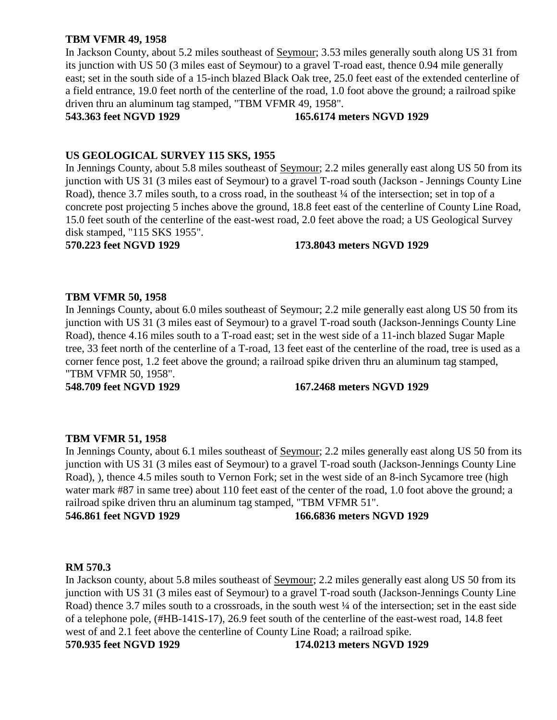# **TBM VFMR 49, 1958**

In Jackson County, about 5.2 miles southeast of Seymour; 3.53 miles generally south along US 31 from its junction with US 50 (3 miles east of Seymour) to a gravel T-road east, thence 0.94 mile generally east; set in the south side of a 15-inch blazed Black Oak tree, 25.0 feet east of the extended centerline of a field entrance, 19.0 feet north of the centerline of the road, 1.0 foot above the ground; a railroad spike driven thru an aluminum tag stamped, "TBM VFMR 49, 1958".

### **543.363 feet NGVD 1929 165.6174 meters NGVD 1929**

# **US GEOLOGICAL SURVEY 115 SKS, 1955**

In Jennings County, about 5.8 miles southeast of Seymour; 2.2 miles generally east along US 50 from its junction with US 31 (3 miles east of Seymour) to a gravel T-road south (Jackson - Jennings County Line Road), thence 3.7 miles south, to a cross road, in the southeast ¼ of the intersection; set in top of a concrete post projecting 5 inches above the ground, 18.8 feet east of the centerline of County Line Road, 15.0 feet south of the centerline of the east-west road, 2.0 feet above the road; a US Geological Survey disk stamped, "115 SKS 1955".

# **570.223 feet NGVD 1929 173.8043 meters NGVD 1929**

# **TBM VFMR 50, 1958**

In Jennings County, about 6.0 miles southeast of Seymour; 2.2 mile generally east along US 50 from its junction with US 31 (3 miles east of Seymour) to a gravel T-road south (Jackson-Jennings County Line Road), thence 4.16 miles south to a T-road east; set in the west side of a 11-inch blazed Sugar Maple tree, 33 feet north of the centerline of a T-road, 13 feet east of the centerline of the road, tree is used as a corner fence post, 1.2 feet above the ground; a railroad spike driven thru an aluminum tag stamped, "TBM VFMR 50, 1958".

# **548.709 feet NGVD 1929 167.2468 meters NGVD 1929**

# **TBM VFMR 51, 1958**

In Jennings County, about 6.1 miles southeast of Seymour; 2.2 miles generally east along US 50 from its junction with US 31 (3 miles east of Seymour) to a gravel T-road south (Jackson-Jennings County Line Road), ), thence 4.5 miles south to Vernon Fork; set in the west side of an 8-inch Sycamore tree (high water mark #87 in same tree) about 110 feet east of the center of the road, 1.0 foot above the ground; a railroad spike driven thru an aluminum tag stamped, "TBM VFMR 51".

**546.861 feet NGVD 1929 166.6836 meters NGVD 1929**

# **RM 570.3**

In Jackson county, about 5.8 miles southeast of Seymour; 2.2 miles generally east along US 50 from its junction with US 31 (3 miles east of Seymour) to a gravel T-road south (Jackson-Jennings County Line Road) thence 3.7 miles south to a crossroads, in the south west  $\frac{1}{4}$  of the intersection; set in the east side of a telephone pole, (#HB-141S-17), 26.9 feet south of the centerline of the east-west road, 14.8 feet west of and 2.1 feet above the centerline of County Line Road; a railroad spike. **570.935 feet NGVD 1929 174.0213 meters NGVD 1929**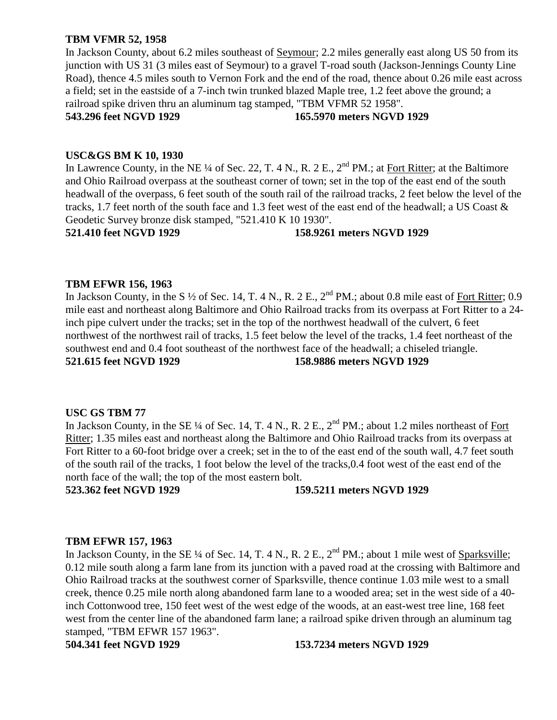# **TBM VFMR 52, 1958**

In Jackson County, about 6.2 miles southeast of Seymour; 2.2 miles generally east along US 50 from its junction with US 31 (3 miles east of Seymour) to a gravel T-road south (Jackson-Jennings County Line Road), thence 4.5 miles south to Vernon Fork and the end of the road, thence about 0.26 mile east across a field; set in the eastside of a 7-inch twin trunked blazed Maple tree, 1.2 feet above the ground; a railroad spike driven thru an aluminum tag stamped, "TBM VFMR 52 1958".

**543.296 feet NGVD 1929 165.5970 meters NGVD 1929**

# **USC&GS BM K 10, 1930**

In Lawrence County, in the NE ¼ of Sec. 22, T. 4 N., R. 2 E.,  $2<sup>nd</sup> PM$ .; at Fort Ritter; at the Baltimore and Ohio Railroad overpass at the southeast corner of town; set in the top of the east end of the south headwall of the overpass, 6 feet south of the south rail of the railroad tracks, 2 feet below the level of the tracks, 1.7 feet north of the south face and 1.3 feet west of the east end of the headwall; a US Coast & Geodetic Survey bronze disk stamped, "521.410 K 10 1930".

# **521.410 feet NGVD 1929 158.9261 meters NGVD 1929**

# **TBM EFWR 156, 1963**

In Jackson County, in the S  $\frac{1}{2}$  of Sec. 14, T. 4 N., R. 2 E.,  $2^{nd}$  PM.; about 0.8 mile east of Fort Ritter; 0.9 mile east and northeast along Baltimore and Ohio Railroad tracks from its overpass at Fort Ritter to a 24 inch pipe culvert under the tracks; set in the top of the northwest headwall of the culvert, 6 feet northwest of the northwest rail of tracks, 1.5 feet below the level of the tracks, 1.4 feet northeast of the southwest end and 0.4 foot southeast of the northwest face of the headwall; a chiseled triangle. **521.615 feet NGVD 1929 158.9886 meters NGVD 1929**

# **USC GS TBM 77**

In Jackson County, in the SE ¼ of Sec. 14, T. 4 N., R. 2 E.,  $2<sup>nd</sup> PM$ .; about 1.2 miles northeast of Fort Ritter; 1.35 miles east and northeast along the Baltimore and Ohio Railroad tracks from its overpass at Fort Ritter to a 60-foot bridge over a creek; set in the to of the east end of the south wall, 4.7 feet south of the south rail of the tracks, 1 foot below the level of the tracks,0.4 foot west of the east end of the north face of the wall; the top of the most eastern bolt.

**523.362 feet NGVD 1929 159.5211 meters NGVD 1929**

# **TBM EFWR 157, 1963**

In Jackson County, in the SE ¼ of Sec. 14, T. 4 N., R. 2 E., 2<sup>nd</sup> PM.; about 1 mile west of Sparksville; 0.12 mile south along a farm lane from its junction with a paved road at the crossing with Baltimore and Ohio Railroad tracks at the southwest corner of Sparksville, thence continue 1.03 mile west to a small creek, thence 0.25 mile north along abandoned farm lane to a wooded area; set in the west side of a 40 inch Cottonwood tree, 150 feet west of the west edge of the woods, at an east-west tree line, 168 feet west from the center line of the abandoned farm lane; a railroad spike driven through an aluminum tag stamped, "TBM EFWR 157 1963".

# **504.341 feet NGVD 1929 153.7234 meters NGVD 1929**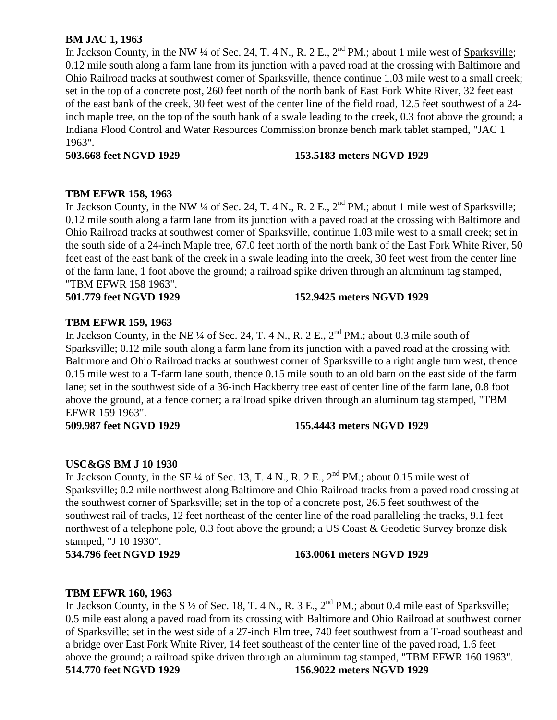# **BM JAC 1, 1963**

In Jackson County, in the NW ¼ of Sec. 24, T. 4 N., R. 2 E.,  $2^{nd}$  PM.; about 1 mile west of Sparksville; 0.12 mile south along a farm lane from its junction with a paved road at the crossing with Baltimore and Ohio Railroad tracks at southwest corner of Sparksville, thence continue 1.03 mile west to a small creek; set in the top of a concrete post, 260 feet north of the north bank of East Fork White River, 32 feet east of the east bank of the creek, 30 feet west of the center line of the field road, 12.5 feet southwest of a 24 inch maple tree, on the top of the south bank of a swale leading to the creek, 0.3 foot above the ground; a Indiana Flood Control and Water Resources Commission bronze bench mark tablet stamped, "JAC 1 1963".

# **503.668 feet NGVD 1929 153.5183 meters NGVD 1929**

# **TBM EFWR 158, 1963**

In Jackson County, in the NW ¼ of Sec. 24, T. 4 N., R. 2 E.,  $2^{nd}$  PM.; about 1 mile west of Sparksville; 0.12 mile south along a farm lane from its junction with a paved road at the crossing with Baltimore and Ohio Railroad tracks at southwest corner of Sparksville, continue 1.03 mile west to a small creek; set in the south side of a 24-inch Maple tree, 67.0 feet north of the north bank of the East Fork White River, 50 feet east of the east bank of the creek in a swale leading into the creek, 30 feet west from the center line of the farm lane, 1 foot above the ground; a railroad spike driven through an aluminum tag stamped, "TBM EFWR 158 1963".

# **501.779 feet NGVD 1929 152.9425 meters NGVD 1929**

# **TBM EFWR 159, 1963**

In Jackson County, in the NE  $\frac{1}{4}$  of Sec. 24, T. 4 N., R. 2 E.,  $2^{\text{nd}}$  PM.; about 0.3 mile south of Sparksville; 0.12 mile south along a farm lane from its junction with a paved road at the crossing with Baltimore and Ohio Railroad tracks at southwest corner of Sparksville to a right angle turn west, thence 0.15 mile west to a T-farm lane south, thence 0.15 mile south to an old barn on the east side of the farm lane; set in the southwest side of a 36-inch Hackberry tree east of center line of the farm lane, 0.8 foot above the ground, at a fence corner; a railroad spike driven through an aluminum tag stamped, "TBM EFWR 159 1963".

# **509.987 feet NGVD 1929 155.4443 meters NGVD 1929**

# **USC&GS BM J 10 1930**

In Jackson County, in the SE  $\frac{1}{4}$  of Sec. 13, T. 4 N., R. 2 E.,  $2^{\text{nd}}$  PM.; about 0.15 mile west of Sparksville; 0.2 mile northwest along Baltimore and Ohio Railroad tracks from a paved road crossing at the southwest corner of Sparksville; set in the top of a concrete post, 26.5 feet southwest of the southwest rail of tracks, 12 feet northeast of the center line of the road paralleling the tracks, 9.1 feet northwest of a telephone pole, 0.3 foot above the ground; a US Coast & Geodetic Survey bronze disk stamped, "J 10 1930".

# **534.796 feet NGVD 1929 163.0061 meters NGVD 1929**

# **TBM EFWR 160, 1963**

In Jackson County, in the S  $\frac{1}{2}$  of Sec. 18, T. 4 N., R. 3 E.,  $2^{nd}$  PM.; about 0.4 mile east of Sparksville; 0.5 mile east along a paved road from its crossing with Baltimore and Ohio Railroad at southwest corner of Sparksville; set in the west side of a 27-inch Elm tree, 740 feet southwest from a T-road southeast and a bridge over East Fork White River, 14 feet southeast of the center line of the paved road, 1.6 feet above the ground; a railroad spike driven through an aluminum tag stamped, "TBM EFWR 160 1963". **514.770 feet NGVD 1929 156.9022 meters NGVD 1929**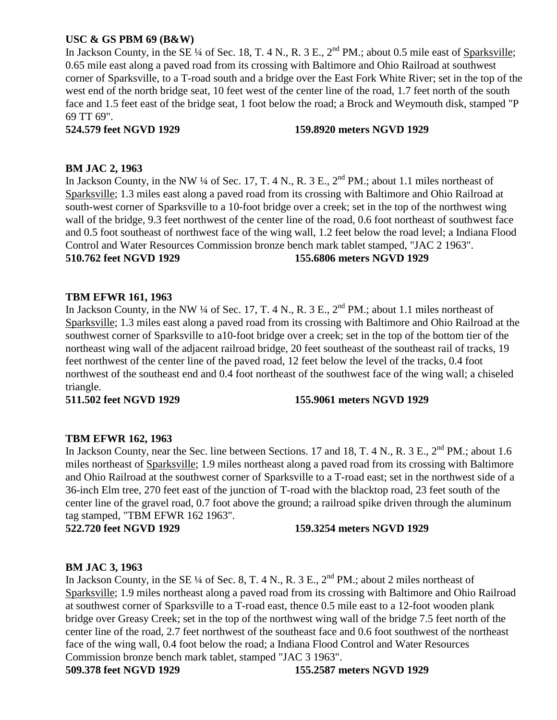# **USC & GS PBM 69 (B&W)**

In Jackson County, in the SE  $\frac{1}{4}$  of Sec. 18, T. 4 N., R. 3 E.,  $2^{nd}$  PM.; about 0.5 mile east of Sparksville; 0.65 mile east along a paved road from its crossing with Baltimore and Ohio Railroad at southwest corner of Sparksville, to a T-road south and a bridge over the East Fork White River; set in the top of the west end of the north bridge seat, 10 feet west of the center line of the road, 1.7 feet north of the south face and 1.5 feet east of the bridge seat, 1 foot below the road; a Brock and Weymouth disk, stamped "P 69 TT 69".

# **524.579 feet NGVD 1929 159.8920 meters NGVD 1929**

# **BM JAC 2, 1963**

In Jackson County, in the NW ¼ of Sec. 17, T. 4 N., R. 3 E., 2<sup>nd</sup> PM.; about 1.1 miles northeast of Sparksville; 1.3 miles east along a paved road from its crossing with Baltimore and Ohio Railroad at south-west corner of Sparksville to a 10-foot bridge over a creek; set in the top of the northwest wing wall of the bridge, 9.3 feet northwest of the center line of the road, 0.6 foot northeast of southwest face and 0.5 foot southeast of northwest face of the wing wall, 1.2 feet below the road level; a Indiana Flood Control and Water Resources Commission bronze bench mark tablet stamped, "JAC 2 1963". **510.762 feet NGVD 1929 155.6806 meters NGVD 1929**

# **TBM EFWR 161, 1963**

In Jackson County, in the NW ¼ of Sec. 17, T. 4 N., R. 3 E., 2<sup>nd</sup> PM.; about 1.1 miles northeast of Sparksville; 1.3 miles east along a paved road from its crossing with Baltimore and Ohio Railroad at the southwest corner of Sparksville to a10-foot bridge over a creek; set in the top of the bottom tier of the northeast wing wall of the adjacent railroad bridge, 20 feet southeast of the southeast rail of tracks, 19 feet northwest of the center line of the paved road, 12 feet below the level of the tracks, 0.4 foot northwest of the southeast end and 0.4 foot northeast of the southwest face of the wing wall; a chiseled triangle.

# **511.502 feet NGVD 1929 155.9061 meters NGVD 1929**

# **TBM EFWR 162, 1963**

In Jackson County, near the Sec. line between Sections. 17 and 18, T. 4 N., R. 3 E., 2<sup>nd</sup> PM.; about 1.6 miles northeast of Sparksville; 1.9 miles northeast along a paved road from its crossing with Baltimore and Ohio Railroad at the southwest corner of Sparksville to a T-road east; set in the northwest side of a 36-inch Elm tree, 270 feet east of the junction of T-road with the blacktop road, 23 feet south of the center line of the gravel road, 0.7 foot above the ground; a railroad spike driven through the aluminum tag stamped, "TBM EFWR 162 1963".

**522.720 feet NGVD 1929 159.3254 meters NGVD 1929**

# **BM JAC 3, 1963**

In Jackson County, in the SE  $\frac{1}{4}$  of Sec. 8, T. 4 N., R. 3 E., 2<sup>nd</sup> PM.; about 2 miles northeast of Sparksville; 1.9 miles northeast along a paved road from its crossing with Baltimore and Ohio Railroad at southwest corner of Sparksville to a T-road east, thence 0.5 mile east to a 12-foot wooden plank bridge over Greasy Creek; set in the top of the northwest wing wall of the bridge 7.5 feet north of the center line of the road, 2.7 feet northwest of the southeast face and 0.6 foot southwest of the northeast face of the wing wall, 0.4 foot below the road; a Indiana Flood Control and Water Resources Commission bronze bench mark tablet, stamped "JAC 3 1963".

**509.378 feet NGVD 1929 155.2587 meters NGVD 1929**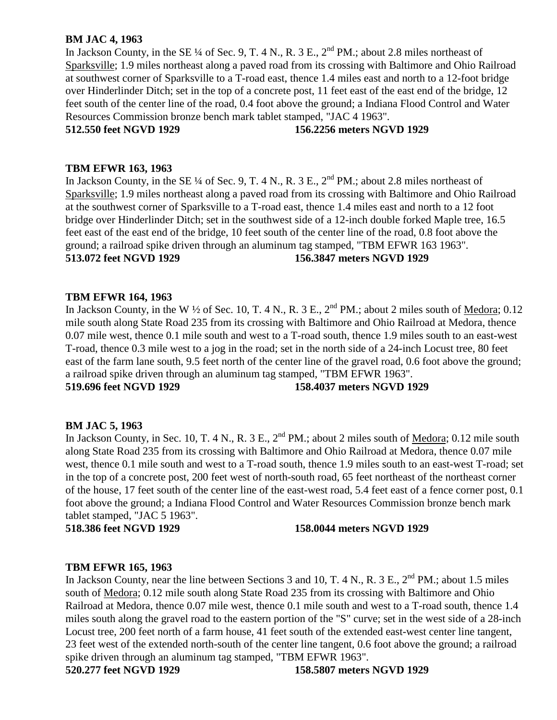# **BM JAC 4, 1963**

In Jackson County, in the SE  $\frac{1}{4}$  of Sec. 9, T. 4 N., R. 3 E.,  $2^{nd}$  PM.; about 2.8 miles northeast of Sparksville; 1.9 miles northeast along a paved road from its crossing with Baltimore and Ohio Railroad at southwest corner of Sparksville to a T-road east, thence 1.4 miles east and north to a 12-foot bridge over Hinderlinder Ditch; set in the top of a concrete post, 11 feet east of the east end of the bridge, 12 feet south of the center line of the road, 0.4 foot above the ground; a Indiana Flood Control and Water Resources Commission bronze bench mark tablet stamped, "JAC 4 1963".

# **512.550 feet NGVD 1929 156.2256 meters NGVD 1929**

#### **TBM EFWR 163, 1963**

In Jackson County, in the SE  $\frac{1}{4}$  of Sec. 9, T. 4 N., R. 3 E.,  $2^{nd}$  PM.; about 2.8 miles northeast of Sparksville; 1.9 miles northeast along a paved road from its crossing with Baltimore and Ohio Railroad at the southwest corner of Sparksville to a T-road east, thence 1.4 miles east and north to a 12 foot bridge over Hinderlinder Ditch; set in the southwest side of a 12-inch double forked Maple tree, 16.5 feet east of the east end of the bridge, 10 feet south of the center line of the road, 0.8 foot above the ground; a railroad spike driven through an aluminum tag stamped, "TBM EFWR 163 1963". **513.072 feet NGVD 1929 156.3847 meters NGVD 1929**

### **TBM EFWR 164, 1963**

In Jackson County, in the W  $\frac{1}{2}$  of Sec. 10, T. 4 N., R. 3 E.,  $2^{nd}$  PM.; about 2 miles south of <u>Medora</u>; 0.12 mile south along State Road 235 from its crossing with Baltimore and Ohio Railroad at Medora, thence 0.07 mile west, thence 0.1 mile south and west to a T-road south, thence 1.9 miles south to an east-west T-road, thence 0.3 mile west to a jog in the road; set in the north side of a 24-inch Locust tree, 80 feet east of the farm lane south, 9.5 feet north of the center line of the gravel road, 0.6 foot above the ground; a railroad spike driven through an aluminum tag stamped, "TBM EFWR 1963".

**519.696 feet NGVD 1929 158.4037 meters NGVD 1929**

#### **BM JAC 5, 1963**

In Jackson County, in Sec. 10, T. 4 N., R. 3 E., 2<sup>nd</sup> PM.; about 2 miles south of Medora; 0.12 mile south along State Road 235 from its crossing with Baltimore and Ohio Railroad at Medora, thence 0.07 mile west, thence 0.1 mile south and west to a T-road south, thence 1.9 miles south to an east-west T-road; set in the top of a concrete post, 200 feet west of north-south road, 65 feet northeast of the northeast corner of the house, 17 feet south of the center line of the east-west road, 5.4 feet east of a fence corner post, 0.1 foot above the ground; a Indiana Flood Control and Water Resources Commission bronze bench mark tablet stamped, "JAC 5 1963".

**518.386 feet NGVD 1929 158.0044 meters NGVD 1929**

#### **TBM EFWR 165, 1963**

In Jackson County, near the line between Sections 3 and 10, T. 4 N., R. 3 E.,  $2^{nd}$  PM.; about 1.5 miles south of Medora; 0.12 mile south along State Road 235 from its crossing with Baltimore and Ohio Railroad at Medora, thence 0.07 mile west, thence 0.1 mile south and west to a T-road south, thence 1.4 miles south along the gravel road to the eastern portion of the "S" curve; set in the west side of a 28-inch Locust tree, 200 feet north of a farm house, 41 feet south of the extended east-west center line tangent, 23 feet west of the extended north-south of the center line tangent, 0.6 foot above the ground; a railroad spike driven through an aluminum tag stamped, "TBM EFWR 1963".

**520.277 feet NGVD 1929 158.5807 meters NGVD 1929**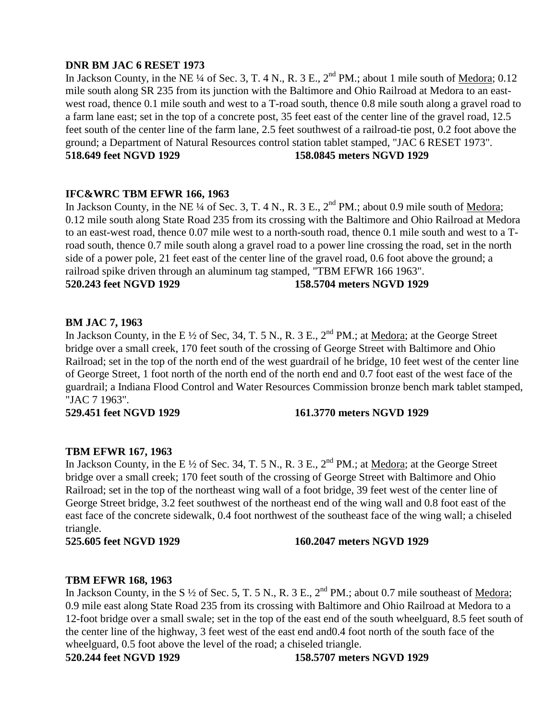# **DNR BM JAC 6 RESET 1973**

In Jackson County, in the NE ¼ of Sec. 3, T. 4 N., R. 3 E., 2<sup>nd</sup> PM.; about 1 mile south of <u>Medora</u>; 0.12 mile south along SR 235 from its junction with the Baltimore and Ohio Railroad at Medora to an eastwest road, thence 0.1 mile south and west to a T-road south, thence 0.8 mile south along a gravel road to a farm lane east; set in the top of a concrete post, 35 feet east of the center line of the gravel road, 12.5 feet south of the center line of the farm lane, 2.5 feet southwest of a railroad-tie post, 0.2 foot above the ground; a Department of Natural Resources control station tablet stamped, "JAC 6 RESET 1973". **518.649 feet NGVD 1929 158.0845 meters NGVD 1929**

# **IFC&WRC TBM EFWR 166, 1963**

In Jackson County, in the NE  $\frac{1}{4}$  of Sec. 3, T. 4 N., R. 3 E.,  $2^{nd}$  PM.; about 0.9 mile south of Medora; 0.12 mile south along State Road 235 from its crossing with the Baltimore and Ohio Railroad at Medora to an east-west road, thence 0.07 mile west to a north-south road, thence 0.1 mile south and west to a Troad south, thence 0.7 mile south along a gravel road to a power line crossing the road, set in the north side of a power pole, 21 feet east of the center line of the gravel road, 0.6 foot above the ground; a railroad spike driven through an aluminum tag stamped, "TBM EFWR 166 1963". **520.243 feet NGVD 1929 158.5704 meters NGVD 1929**

# **BM JAC 7, 1963**

In Jackson County, in the E  $\frac{1}{2}$  of Sec, 34, T. 5 N., R. 3 E.,  $2^{nd}$  PM.; at Medora; at the George Street bridge over a small creek, 170 feet south of the crossing of George Street with Baltimore and Ohio Railroad; set in the top of the north end of the west guardrail of he bridge, 10 feet west of the center line of George Street, 1 foot north of the north end of the north end and 0.7 foot east of the west face of the guardrail; a Indiana Flood Control and Water Resources Commission bronze bench mark tablet stamped, "JAC 7 1963".

# **529.451 feet NGVD 1929 161.3770 meters NGVD 1929**

# **TBM EFWR 167, 1963**

In Jackson County, in the E <sup>1/2</sup> of Sec. 34, T. 5 N., R. 3 E., 2<sup>nd</sup> PM.; at <u>Medora</u>; at the George Street bridge over a small creek; 170 feet south of the crossing of George Street with Baltimore and Ohio Railroad; set in the top of the northeast wing wall of a foot bridge, 39 feet west of the center line of George Street bridge, 3.2 feet southwest of the northeast end of the wing wall and 0.8 foot east of the east face of the concrete sidewalk, 0.4 foot northwest of the southeast face of the wing wall; a chiseled triangle.

# **525.605 feet NGVD 1929 160.2047 meters NGVD 1929**

# **TBM EFWR 168, 1963**

In Jackson County, in the S  $\frac{1}{2}$  of Sec. 5, T. 5 N., R. 3 E.,  $2^{nd}$  PM.; about 0.7 mile southeast of Medora; 0.9 mile east along State Road 235 from its crossing with Baltimore and Ohio Railroad at Medora to a 12-foot bridge over a small swale; set in the top of the east end of the south wheelguard, 8.5 feet south of the center line of the highway, 3 feet west of the east end and0.4 foot north of the south face of the wheelguard, 0.5 foot above the level of the road; a chiseled triangle.

**520.244 feet NGVD 1929 158.5707 meters NGVD 1929**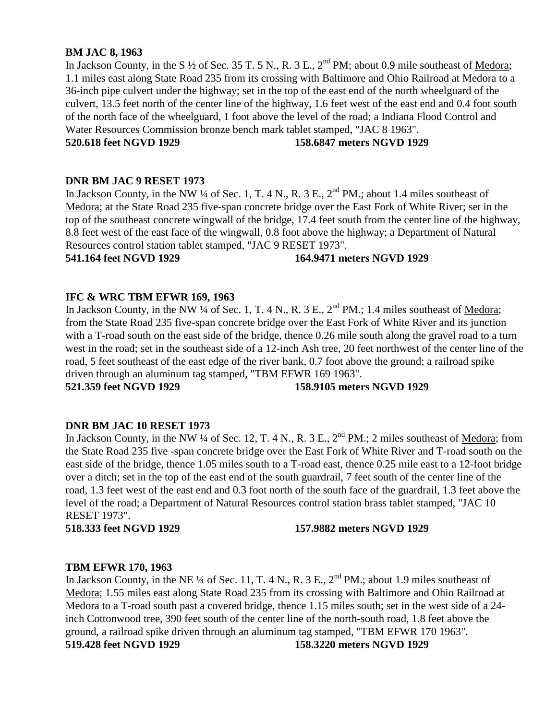## **BM JAC 8, 1963**

In Jackson County, in the S  $\frac{1}{2}$  of Sec. 35 T. 5 N., R. 3 E.,  $2^{nd}$  PM; about 0.9 mile southeast of Medora; 1.1 miles east along State Road 235 from its crossing with Baltimore and Ohio Railroad at Medora to a 36-inch pipe culvert under the highway; set in the top of the east end of the north wheelguard of the culvert, 13.5 feet north of the center line of the highway, 1.6 feet west of the east end and 0.4 foot south of the north face of the wheelguard, 1 foot above the level of the road; a Indiana Flood Control and Water Resources Commission bronze bench mark tablet stamped, "JAC 8 1963".

**520.618 feet NGVD 1929 158.6847 meters NGVD 1929**

### **DNR BM JAC 9 RESET 1973**

In Jackson County, in the NW  $\frac{1}{4}$  of Sec. 1, T. 4 N., R. 3 E.,  $2^{nd}$  PM.; about 1.4 miles southeast of Medora; at the State Road 235 five-span concrete bridge over the East Fork of White River; set in the top of the southeast concrete wingwall of the bridge, 17.4 feet south from the center line of the highway, 8.8 feet west of the east face of the wingwall, 0.8 foot above the highway; a Department of Natural Resources control station tablet stamped, "JAC 9 RESET 1973".

## **541.164 feet NGVD 1929 164.9471 meters NGVD 1929**

## **IFC & WRC TBM EFWR 169, 1963**

In Jackson County, in the NW  $\frac{1}{4}$  of Sec. 1, T. 4 N., R. 3 E.,  $2^{nd}$  PM.; 1.4 miles southeast of Medora; from the State Road 235 five-span concrete bridge over the East Fork of White River and its junction with a T-road south on the east side of the bridge, thence 0.26 mile south along the gravel road to a turn west in the road; set in the southeast side of a 12-inch Ash tree, 20 feet northwest of the center line of the road, 5 feet southeast of the east edge of the river bank, 0.7 foot above the ground; a railroad spike driven through an aluminum tag stamped, "TBM EFWR 169 1963".

# **521.359 feet NGVD 1929 158.9105 meters NGVD 1929**

## **DNR BM JAC 10 RESET 1973**

In Jackson County, in the NW ¼ of Sec. 12, T. 4 N., R. 3 E.,  $2<sup>nd</sup> PM$ .; 2 miles southeast of Medora; from the State Road 235 five -span concrete bridge over the East Fork of White River and T-road south on the east side of the bridge, thence 1.05 miles south to a T-road east, thence 0.25 mile east to a 12-foot bridge over a ditch; set in the top of the east end of the south guardrail, 7 feet south of the center line of the road, 1.3 feet west of the east end and 0.3 foot north of the south face of the guardrail, 1.3 feet above the level of the road; a Department of Natural Resources control station brass tablet stamped, "JAC 10 RESET 1973".

#### **518.333 feet NGVD 1929 157.9882 meters NGVD 1929**

## **TBM EFWR 170, 1963**

In Jackson County, in the NE ¼ of Sec. 11, T. 4 N., R. 3 E.,  $2<sup>nd</sup> PM$ .; about 1.9 miles southeast of Medora; 1.55 miles east along State Road 235 from its crossing with Baltimore and Ohio Railroad at Medora to a T-road south past a covered bridge, thence 1.15 miles south; set in the west side of a 24 inch Cottonwood tree, 390 feet south of the center line of the north-south road, 1.8 feet above the ground, a railroad spike driven through an aluminum tag stamped, "TBM EFWR 170 1963". **519.428 feet NGVD 1929 158.3220 meters NGVD 1929**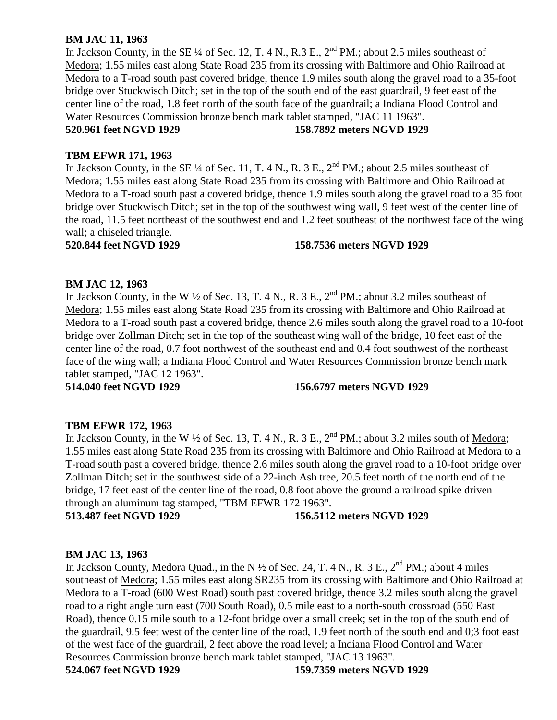# **BM JAC 11, 1963**

In Jackson County, in the SE ¼ of Sec. 12, T. 4 N., R.3 E.,  $2<sup>nd</sup> PM$ .; about 2.5 miles southeast of Medora; 1.55 miles east along State Road 235 from its crossing with Baltimore and Ohio Railroad at Medora to a T-road south past covered bridge, thence 1.9 miles south along the gravel road to a 35-foot bridge over Stuckwisch Ditch; set in the top of the south end of the east guardrail, 9 feet east of the center line of the road, 1.8 feet north of the south face of the guardrail; a Indiana Flood Control and Water Resources Commission bronze bench mark tablet stamped, "JAC 11 1963".

## **520.961 feet NGVD 1929 158.7892 meters NGVD 1929**

# **TBM EFWR 171, 1963**

In Jackson County, in the SE ¼ of Sec. 11, T. 4 N., R. 3 E.,  $2<sup>nd</sup> PM$ .; about 2.5 miles southeast of Medora; 1.55 miles east along State Road 235 from its crossing with Baltimore and Ohio Railroad at Medora to a T-road south past a covered bridge, thence 1.9 miles south along the gravel road to a 35 foot bridge over Stuckwisch Ditch; set in the top of the southwest wing wall, 9 feet west of the center line of the road, 11.5 feet northeast of the southwest end and 1.2 feet southeast of the northwest face of the wing wall; a chiseled triangle.

## **520.844 feet NGVD 1929 158.7536 meters NGVD 1929**

# **BM JAC 12, 1963**

In Jackson County, in the W  $\frac{1}{2}$  of Sec. 13, T. 4 N., R. 3 E.,  $2^{nd}$  PM.; about 3.2 miles southeast of Medora; 1.55 miles east along State Road 235 from its crossing with Baltimore and Ohio Railroad at Medora to a T-road south past a covered bridge, thence 2.6 miles south along the gravel road to a 10-foot bridge over Zollman Ditch; set in the top of the southeast wing wall of the bridge, 10 feet east of the center line of the road, 0.7 foot northwest of the southeast end and 0.4 foot southwest of the northeast face of the wing wall; a Indiana Flood Control and Water Resources Commission bronze bench mark tablet stamped, "JAC 12 1963".

**514.040 feet NGVD 1929 156.6797 meters NGVD 1929**

## **TBM EFWR 172, 1963**

In Jackson County, in the W  $\frac{1}{2}$  of Sec. 13, T. 4 N., R. 3 E.,  $2^{nd}$  PM.; about 3.2 miles south of Medora; 1.55 miles east along State Road 235 from its crossing with Baltimore and Ohio Railroad at Medora to a T-road south past a covered bridge, thence 2.6 miles south along the gravel road to a 10-foot bridge over Zollman Ditch; set in the southwest side of a 22-inch Ash tree, 20.5 feet north of the north end of the bridge, 17 feet east of the center line of the road, 0.8 foot above the ground a railroad spike driven through an aluminum tag stamped, "TBM EFWR 172 1963".

**513.487 feet NGVD 1929 156.5112 meters NGVD 1929**

## **BM JAC 13, 1963**

In Jackson County, Medora Quad., in the N  $\frac{1}{2}$  of Sec. 24, T. 4 N., R. 3 E., 2<sup>nd</sup> PM.; about 4 miles southeast of Medora; 1.55 miles east along SR235 from its crossing with Baltimore and Ohio Railroad at Medora to a T-road (600 West Road) south past covered bridge, thence 3.2 miles south along the gravel road to a right angle turn east (700 South Road), 0.5 mile east to a north-south crossroad (550 East Road), thence 0.15 mile south to a 12-foot bridge over a small creek; set in the top of the south end of the guardrail, 9.5 feet west of the center line of the road, 1.9 feet north of the south end and 0;3 foot east of the west face of the guardrail, 2 feet above the road level; a Indiana Flood Control and Water Resources Commission bronze bench mark tablet stamped, "JAC 13 1963". **524.067 feet NGVD 1929 159.7359 meters NGVD 1929**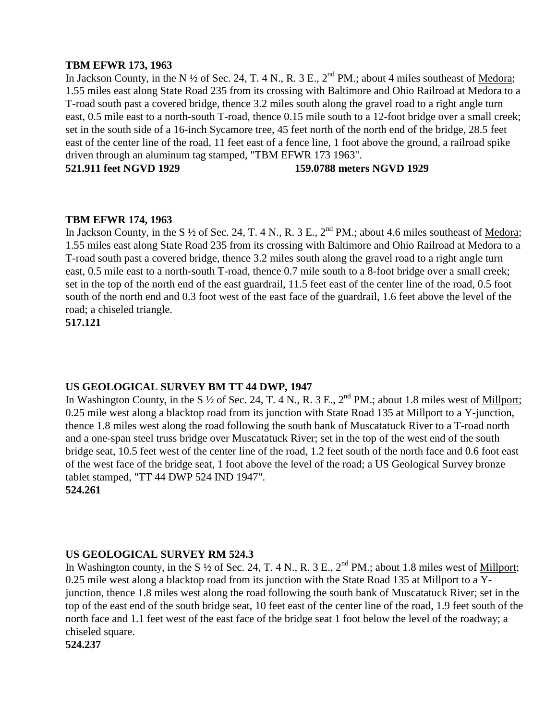## **TBM EFWR 173, 1963**

In Jackson County, in the N  $\frac{1}{2}$  of Sec. 24, T. 4 N., R. 3 E., 2<sup>nd</sup> PM.; about 4 miles southeast of <u>Medora</u>; 1.55 miles east along State Road 235 from its crossing with Baltimore and Ohio Railroad at Medora to a T-road south past a covered bridge, thence 3.2 miles south along the gravel road to a right angle turn east, 0.5 mile east to a north-south T-road, thence 0.15 mile south to a 12-foot bridge over a small creek; set in the south side of a 16-inch Sycamore tree, 45 feet north of the north end of the bridge, 28.5 feet east of the center line of the road, 11 feet east of a fence line, 1 foot above the ground, a railroad spike driven through an aluminum tag stamped, "TBM EFWR 173 1963".

**521.911 feet NGVD 1929 159.0788 meters NGVD 1929**

## **TBM EFWR 174, 1963**

In Jackson County, in the S <sup>1/2</sup> of Sec. 24, T. 4 N., R. 3 E., 2<sup>nd</sup> PM.; about 4.6 miles southeast of <u>Medora</u>; 1.55 miles east along State Road 235 from its crossing with Baltimore and Ohio Railroad at Medora to a T-road south past a covered bridge, thence 3.2 miles south along the gravel road to a right angle turn east, 0.5 mile east to a north-south T-road, thence 0.7 mile south to a 8-foot bridge over a small creek; set in the top of the north end of the east guardrail, 11.5 feet east of the center line of the road, 0.5 foot south of the north end and 0.3 foot west of the east face of the guardrail, 1.6 feet above the level of the road; a chiseled triangle.

**517.121**

## **US GEOLOGICAL SURVEY BM TT 44 DWP, 1947**

In Washington County, in the S  $\frac{1}{2}$  of Sec. 24, T. 4 N., R. 3 E., 2<sup>nd</sup> PM.; about 1.8 miles west of Millport; 0.25 mile west along a blacktop road from its junction with State Road 135 at Millport to a Y-junction, thence 1.8 miles west along the road following the south bank of Muscatatuck River to a T-road north and a one-span steel truss bridge over Muscatatuck River; set in the top of the west end of the south bridge seat, 10.5 feet west of the center line of the road, 1.2 feet south of the north face and 0.6 foot east of the west face of the bridge seat, 1 foot above the level of the road; a US Geological Survey bronze tablet stamped, "TT 44 DWP 524 IND 1947". **524.261**

## **US GEOLOGICAL SURVEY RM 524.3**

In Washington county, in the S  $\frac{1}{2}$  of Sec. 24, T. 4 N., R. 3 E., 2<sup>nd</sup> PM.; about 1.8 miles west of <u>Millport</u>; 0.25 mile west along a blacktop road from its junction with the State Road 135 at Millport to a Yjunction, thence 1.8 miles west along the road following the south bank of Muscatatuck River; set in the top of the east end of the south bridge seat, 10 feet east of the center line of the road, 1.9 feet south of the north face and 1.1 feet west of the east face of the bridge seat 1 foot below the level of the roadway; a chiseled square.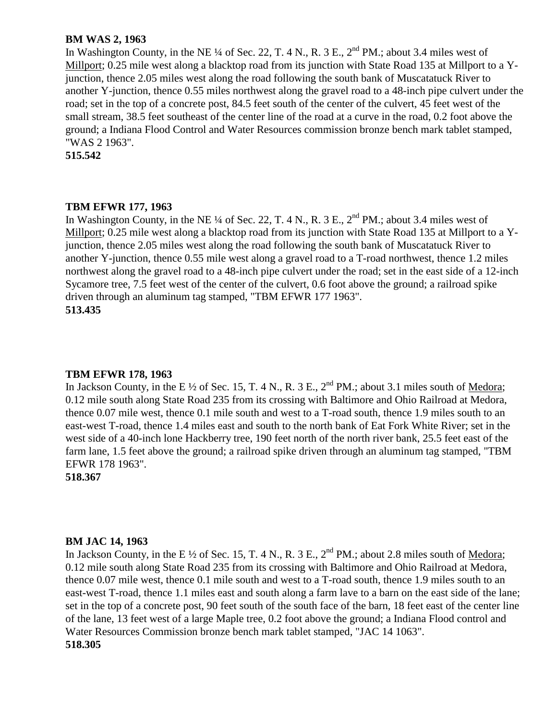## **BM WAS 2, 1963**

In Washington County, in the NE  $\frac{1}{4}$  of Sec. 22, T. 4 N., R. 3 E.,  $2^{nd}$  PM.; about 3.4 miles west of Millport; 0.25 mile west along a blacktop road from its junction with State Road 135 at Millport to a Yjunction, thence 2.05 miles west along the road following the south bank of Muscatatuck River to another Y-junction, thence 0.55 miles northwest along the gravel road to a 48-inch pipe culvert under the road; set in the top of a concrete post, 84.5 feet south of the center of the culvert, 45 feet west of the small stream, 38.5 feet southeast of the center line of the road at a curve in the road, 0.2 foot above the ground; a Indiana Flood Control and Water Resources commission bronze bench mark tablet stamped, "WAS 2 1963".

**515.542**

## **TBM EFWR 177, 1963**

In Washington County, in the NE ¼ of Sec. 22, T. 4 N., R. 3 E.,  $2^{nd}$  PM.; about 3.4 miles west of Millport; 0.25 mile west along a blacktop road from its junction with State Road 135 at Millport to a Yjunction, thence 2.05 miles west along the road following the south bank of Muscatatuck River to another Y-junction, thence 0.55 mile west along a gravel road to a T-road northwest, thence 1.2 miles northwest along the gravel road to a 48-inch pipe culvert under the road; set in the east side of a 12-inch Sycamore tree, 7.5 feet west of the center of the culvert, 0.6 foot above the ground; a railroad spike driven through an aluminum tag stamped, "TBM EFWR 177 1963". **513.435**

## **TBM EFWR 178, 1963**

In Jackson County, in the E  $\frac{1}{2}$  of Sec. 15, T. 4 N., R. 3 E.,  $2^{nd}$  PM.; about 3.1 miles south of Medora; 0.12 mile south along State Road 235 from its crossing with Baltimore and Ohio Railroad at Medora, thence 0.07 mile west, thence 0.1 mile south and west to a T-road south, thence 1.9 miles south to an east-west T-road, thence 1.4 miles east and south to the north bank of Eat Fork White River; set in the west side of a 40-inch lone Hackberry tree, 190 feet north of the north river bank, 25.5 feet east of the farm lane, 1.5 feet above the ground; a railroad spike driven through an aluminum tag stamped, "TBM EFWR 178 1963".

**518.367**

## **BM JAC 14, 1963**

In Jackson County, in the E  $\frac{1}{2}$  of Sec. 15, T. 4 N., R. 3 E.,  $2^{nd}$  PM.; about 2.8 miles south of Medora; 0.12 mile south along State Road 235 from its crossing with Baltimore and Ohio Railroad at Medora, thence 0.07 mile west, thence 0.1 mile south and west to a T-road south, thence 1.9 miles south to an east-west T-road, thence 1.1 miles east and south along a farm lave to a barn on the east side of the lane; set in the top of a concrete post, 90 feet south of the south face of the barn, 18 feet east of the center line of the lane, 13 feet west of a large Maple tree, 0.2 foot above the ground; a Indiana Flood control and Water Resources Commission bronze bench mark tablet stamped, "JAC 14 1063". **518.305**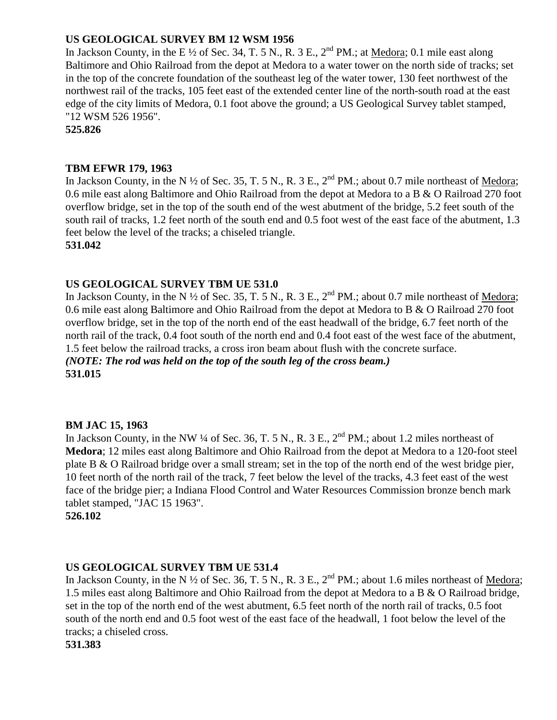# **US GEOLOGICAL SURVEY BM 12 WSM 1956**

In Jackson County, in the E  $\frac{1}{2}$  of Sec. 34, T. 5 N., R. 3 E., 2<sup>nd</sup> PM.; at Medora; 0.1 mile east along Baltimore and Ohio Railroad from the depot at Medora to a water tower on the north side of tracks; set in the top of the concrete foundation of the southeast leg of the water tower, 130 feet northwest of the northwest rail of the tracks, 105 feet east of the extended center line of the north-south road at the east edge of the city limits of Medora, 0.1 foot above the ground; a US Geological Survey tablet stamped, "12 WSM 526 1956".

**525.826**

# **TBM EFWR 179, 1963**

In Jackson County, in the N  $\frac{1}{2}$  of Sec. 35, T. 5 N., R. 3 E.,  $2^{nd}$  PM.; about 0.7 mile northeast of Medora; 0.6 mile east along Baltimore and Ohio Railroad from the depot at Medora to a B & O Railroad 270 foot overflow bridge, set in the top of the south end of the west abutment of the bridge, 5.2 feet south of the south rail of tracks, 1.2 feet north of the south end and 0.5 foot west of the east face of the abutment, 1.3 feet below the level of the tracks; a chiseled triangle.

**531.042**

# **US GEOLOGICAL SURVEY TBM UE 531.0**

In Jackson County, in the N  $\frac{1}{2}$  of Sec. 35, T. 5 N., R. 3 E.,  $2^{nd}$  PM.; about 0.7 mile northeast of Medora; 0.6 mile east along Baltimore and Ohio Railroad from the depot at Medora to B & O Railroad 270 foot overflow bridge, set in the top of the north end of the east headwall of the bridge, 6.7 feet north of the north rail of the track, 0.4 foot south of the north end and 0.4 foot east of the west face of the abutment, 1.5 feet below the railroad tracks, a cross iron beam about flush with the concrete surface. *(NOTE: The rod was held on the top of the south leg of the cross beam.)*

**531.015**

# **BM JAC 15, 1963**

In Jackson County, in the NW  $\frac{1}{4}$  of Sec. 36, T. 5 N., R. 3 E.,  $2^{nd}$  PM.; about 1.2 miles northeast of **Medora**; 12 miles east along Baltimore and Ohio Railroad from the depot at Medora to a 120-foot steel plate B & O Railroad bridge over a small stream; set in the top of the north end of the west bridge pier, 10 feet north of the north rail of the track, 7 feet below the level of the tracks, 4.3 feet east of the west face of the bridge pier; a Indiana Flood Control and Water Resources Commission bronze bench mark tablet stamped, "JAC 15 1963".

**526.102**

# **US GEOLOGICAL SURVEY TBM UE 531.4**

In Jackson County, in the N  $\frac{1}{2}$  of Sec. 36, T. 5 N., R. 3 E., 2<sup>nd</sup> PM.; about 1.6 miles northeast of <u>Medora</u>; 1.5 miles east along Baltimore and Ohio Railroad from the depot at Medora to a B & O Railroad bridge, set in the top of the north end of the west abutment, 6.5 feet north of the north rail of tracks, 0.5 foot south of the north end and 0.5 foot west of the east face of the headwall, 1 foot below the level of the tracks; a chiseled cross.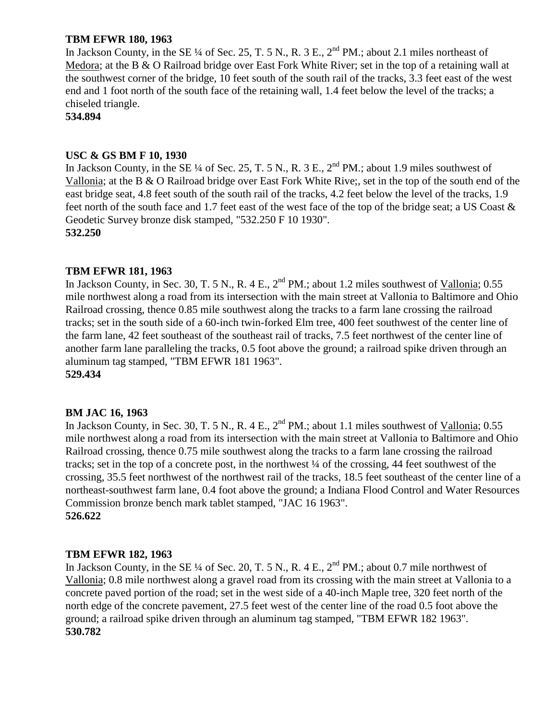## **TBM EFWR 180, 1963**

In Jackson County, in the SE ¼ of Sec. 25, T. 5 N., R. 3 E.,  $2^{nd}$  PM.; about 2.1 miles northeast of Medora; at the B & O Railroad bridge over East Fork White River; set in the top of a retaining wall at the southwest corner of the bridge, 10 feet south of the south rail of the tracks, 3.3 feet east of the west end and 1 foot north of the south face of the retaining wall, 1.4 feet below the level of the tracks; a chiseled triangle.

**534.894**

## **USC & GS BM F 10, 1930**

In Jackson County, in the SE  $\frac{1}{4}$  of Sec. 25, T. 5 N., R. 3 E.,  $2^{nd}$  PM.; about 1.9 miles southwest of Vallonia; at the B & O Railroad bridge over East Fork White Rive;, set in the top of the south end of the east bridge seat, 4.8 feet south of the south rail of the tracks, 4.2 feet below the level of the tracks, 1.9 feet north of the south face and 1.7 feet east of the west face of the top of the bridge seat; a US Coast & Geodetic Survey bronze disk stamped, "532.250 F 10 1930". **532.250**

# **TBM EFWR 181, 1963**

In Jackson County, in Sec. 30, T. 5 N., R. 4 E.,  $2^{nd}$  PM.; about 1.2 miles southwest of Vallonia; 0.55 mile northwest along a road from its intersection with the main street at Vallonia to Baltimore and Ohio Railroad crossing, thence 0.85 mile southwest along the tracks to a farm lane crossing the railroad tracks; set in the south side of a 60-inch twin-forked Elm tree, 400 feet southwest of the center line of the farm lane, 42 feet southeast of the southeast rail of tracks, 7.5 feet northwest of the center line of another farm lane paralleling the tracks, 0.5 foot above the ground; a railroad spike driven through an aluminum tag stamped, "TBM EFWR 181 1963". **529.434**

# **BM JAC 16, 1963**

In Jackson County, in Sec. 30, T. 5 N., R. 4 E.,  $2^{nd}$  PM.; about 1.1 miles southwest of Vallonia; 0.55 mile northwest along a road from its intersection with the main street at Vallonia to Baltimore and Ohio Railroad crossing, thence 0.75 mile southwest along the tracks to a farm lane crossing the railroad tracks; set in the top of a concrete post, in the northwest ¼ of the crossing, 44 feet southwest of the crossing, 35.5 feet northwest of the northwest rail of the tracks, 18.5 feet southeast of the center line of a northeast-southwest farm lane, 0.4 foot above the ground; a Indiana Flood Control and Water Resources Commission bronze bench mark tablet stamped, "JAC 16 1963". **526.622**

## **TBM EFWR 182, 1963**

In Jackson County, in the SE ¼ of Sec. 20, T. 5 N., R. 4 E.,  $2<sup>nd</sup> PM$ .; about 0.7 mile northwest of Vallonia; 0.8 mile northwest along a gravel road from its crossing with the main street at Vallonia to a concrete paved portion of the road; set in the west side of a 40-inch Maple tree, 320 feet north of the north edge of the concrete pavement, 27.5 feet west of the center line of the road 0.5 foot above the ground; a railroad spike driven through an aluminum tag stamped, "TBM EFWR 182 1963". **530.782**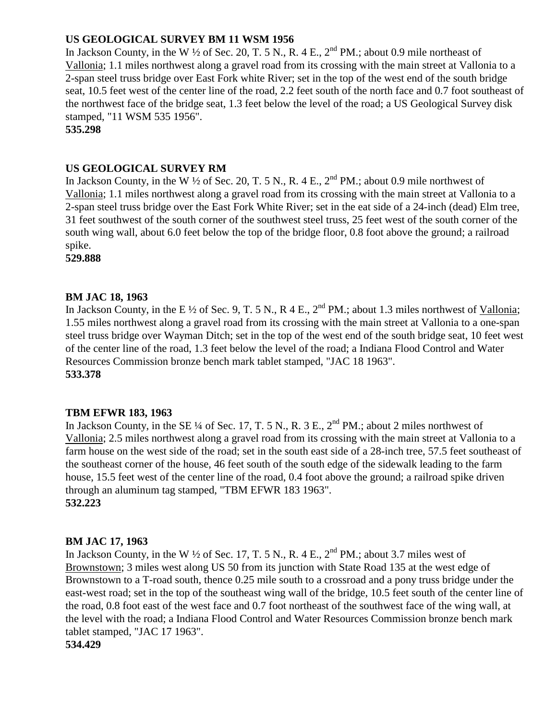# **US GEOLOGICAL SURVEY BM 11 WSM 1956**

In Jackson County, in the W  $\frac{1}{2}$  of Sec. 20, T. 5 N., R. 4 E.,  $2^{nd}$  PM.; about 0.9 mile northeast of Vallonia; 1.1 miles northwest along a gravel road from its crossing with the main street at Vallonia to a 2-span steel truss bridge over East Fork white River; set in the top of the west end of the south bridge seat, 10.5 feet west of the center line of the road, 2.2 feet south of the north face and 0.7 foot southeast of the northwest face of the bridge seat, 1.3 feet below the level of the road; a US Geological Survey disk stamped, "11 WSM 535 1956".

**535.298**

# **US GEOLOGICAL SURVEY RM**

In Jackson County, in the W  $\frac{1}{2}$  of Sec. 20, T. 5 N., R. 4 E.,  $2^{nd}$  PM.; about 0.9 mile northwest of Vallonia; 1.1 miles northwest along a gravel road from its crossing with the main street at Vallonia to a 2-span steel truss bridge over the East Fork White River; set in the eat side of a 24-inch (dead) Elm tree, 31 feet southwest of the south corner of the southwest steel truss, 25 feet west of the south corner of the south wing wall, about 6.0 feet below the top of the bridge floor, 0.8 foot above the ground; a railroad spike.

**529.888**

# **BM JAC 18, 1963**

In Jackson County, in the E  $\frac{1}{2}$  of Sec. 9, T. 5 N., R 4 E., 2<sup>nd</sup> PM.; about 1.3 miles northwest of Vallonia; 1.55 miles northwest along a gravel road from its crossing with the main street at Vallonia to a one-span steel truss bridge over Wayman Ditch; set in the top of the west end of the south bridge seat, 10 feet west of the center line of the road, 1.3 feet below the level of the road; a Indiana Flood Control and Water Resources Commission bronze bench mark tablet stamped, "JAC 18 1963". **533.378**

## **TBM EFWR 183, 1963**

In Jackson County, in the SE  $\frac{1}{4}$  of Sec. 17, T. 5 N., R. 3 E.,  $2^{nd}$  PM.; about 2 miles northwest of Vallonia; 2.5 miles northwest along a gravel road from its crossing with the main street at Vallonia to a farm house on the west side of the road; set in the south east side of a 28-inch tree, 57.5 feet southeast of the southeast corner of the house, 46 feet south of the south edge of the sidewalk leading to the farm house, 15.5 feet west of the center line of the road, 0.4 foot above the ground; a railroad spike driven through an aluminum tag stamped, "TBM EFWR 183 1963". **532.223**

## **BM JAC 17, 1963**

In Jackson County, in the W  $\frac{1}{2}$  of Sec. 17, T. 5 N., R. 4 E.,  $2^{nd}$  PM.; about 3.7 miles west of Brownstown; 3 miles west along US 50 from its junction with State Road 135 at the west edge of Brownstown to a T-road south, thence 0.25 mile south to a crossroad and a pony truss bridge under the east-west road; set in the top of the southeast wing wall of the bridge, 10.5 feet south of the center line of the road, 0.8 foot east of the west face and 0.7 foot northeast of the southwest face of the wing wall, at the level with the road; a Indiana Flood Control and Water Resources Commission bronze bench mark tablet stamped, "JAC 17 1963".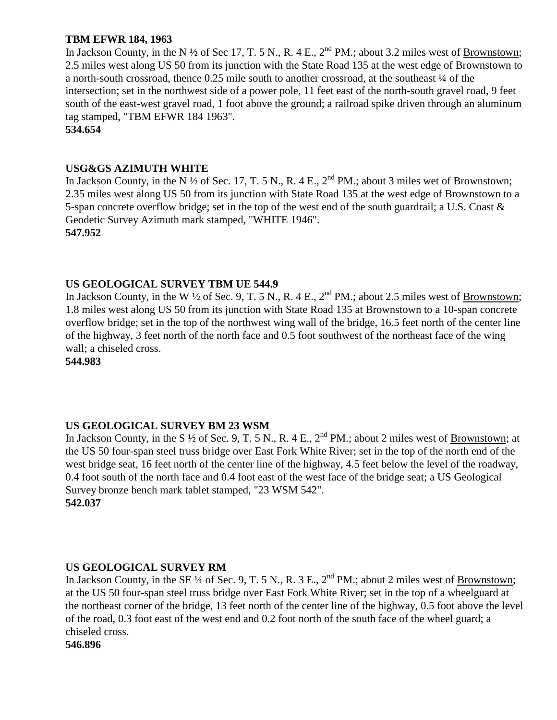# **TBM EFWR 184, 1963**

In Jackson County, in the N  $\frac{1}{2}$  of Sec 17, T. 5 N., R. 4 E.,  $2^{nd}$  PM.; about 3.2 miles west of Brownstown; 2.5 miles west along US 50 from its junction with the State Road 135 at the west edge of Brownstown to a north-south crossroad, thence 0.25 mile south to another crossroad, at the southeast ¼ of the intersection; set in the northwest side of a power pole, 11 feet east of the north-south gravel road, 9 feet south of the east-west gravel road, 1 foot above the ground; a railroad spike driven through an aluminum tag stamped, "TBM EFWR 184 1963".

**534.654**

## **USG&GS AZIMUTH WHITE**

In Jackson County, in the N  $\frac{1}{2}$  of Sec. 17, T. 5 N., R. 4 E.,  $2^{nd}$  PM.; about 3 miles wet of Brownstown; 2.35 miles west along US 50 from its junction with State Road 135 at the west edge of Brownstown to a 5-span concrete overflow bridge; set in the top of the west end of the south guardrail; a U.S. Coast & Geodetic Survey Azimuth mark stamped, "WHITE 1946". **547.952**

# **US GEOLOGICAL SURVEY TBM UE 544.9**

In Jackson County, in the W  $\frac{1}{2}$  of Sec. 9, T. 5 N., R. 4 E.,  $2^{nd}$  PM.; about 2.5 miles west of Brownstown; 1.8 miles west along US 50 from its junction with State Road 135 at Brownstown to a 10-span concrete overflow bridge; set in the top of the northwest wing wall of the bridge, 16.5 feet north of the center line of the highway, 3 feet north of the north face and 0.5 foot southwest of the northeast face of the wing wall; a chiseled cross.

**544.983**

# **US GEOLOGICAL SURVEY BM 23 WSM**

In Jackson County, in the S  $\frac{1}{2}$  of Sec. 9, T. 5 N., R. 4 E.,  $2^{nd}$  PM.; about 2 miles west of Brownstown; at the US 50 four-span steel truss bridge over East Fork White River; set in the top of the north end of the west bridge seat, 16 feet north of the center line of the highway, 4.5 feet below the level of the roadway, 0.4 foot south of the north face and 0.4 foot east of the west face of the bridge seat; a US Geological Survey bronze bench mark tablet stamped, "23 WSM 542". **542.037**

## **US GEOLOGICAL SURVEY RM**

In Jackson County, in the SE ¼ of Sec. 9, T. 5 N., R. 3 E.,  $2<sup>nd</sup> PM$ .; about 2 miles west of <u>Brownstown</u>; at the US 50 four-span steel truss bridge over East Fork White River; set in the top of a wheelguard at the northeast corner of the bridge, 13 feet north of the center line of the highway, 0.5 foot above the level of the road, 0.3 foot east of the west end and 0.2 foot north of the south face of the wheel guard; a chiseled cross.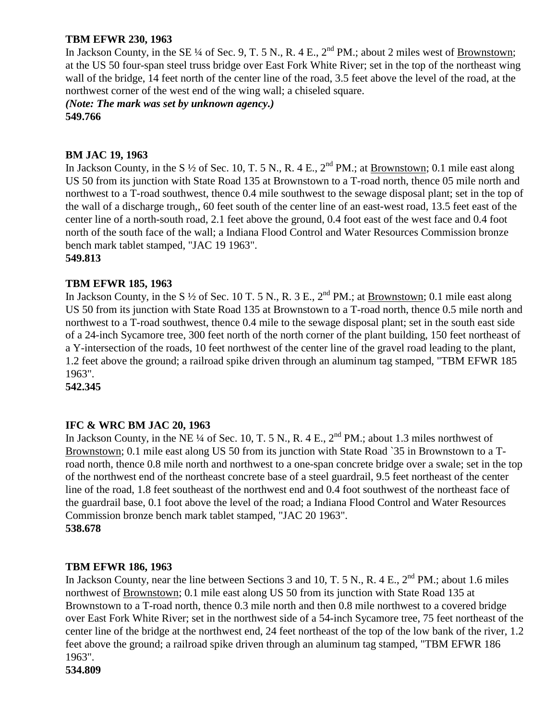# **TBM EFWR 230, 1963**

In Jackson County, in the SE ¼ of Sec. 9, T. 5 N., R. 4 E.,  $2^{nd}$  PM.; about 2 miles west of Brownstown; at the US 50 four-span steel truss bridge over East Fork White River; set in the top of the northeast wing wall of the bridge, 14 feet north of the center line of the road, 3.5 feet above the level of the road, at the northwest corner of the west end of the wing wall; a chiseled square.

*(Note: The mark was set by unknown agency.)* **549.766**

## **BM JAC 19, 1963**

In Jackson County, in the S  $\frac{1}{2}$  of Sec. 10, T. 5 N., R. 4 E.,  $2^{nd}$  PM.; at <u>Brownstown</u>; 0.1 mile east along US 50 from its junction with State Road 135 at Brownstown to a T-road north, thence 05 mile north and northwest to a T-road southwest, thence 0.4 mile southwest to the sewage disposal plant; set in the top of the wall of a discharge trough,, 60 feet south of the center line of an east-west road, 13.5 feet east of the center line of a north-south road, 2.1 feet above the ground, 0.4 foot east of the west face and 0.4 foot north of the south face of the wall; a Indiana Flood Control and Water Resources Commission bronze bench mark tablet stamped, "JAC 19 1963".

**549.813**

## **TBM EFWR 185, 1963**

In Jackson County, in the S  $\frac{1}{2}$  of Sec. 10 T. 5 N., R. 3 E.,  $2^{nd}$  PM.; at Brownstown; 0.1 mile east along US 50 from its junction with State Road 135 at Brownstown to a T-road north, thence 0.5 mile north and northwest to a T-road southwest, thence 0.4 mile to the sewage disposal plant; set in the south east side of a 24-inch Sycamore tree, 300 feet north of the north corner of the plant building, 150 feet northeast of a Y-intersection of the roads, 10 feet northwest of the center line of the gravel road leading to the plant, 1.2 feet above the ground; a railroad spike driven through an aluminum tag stamped, "TBM EFWR 185 1963".

**542.345**

## **IFC & WRC BM JAC 20, 1963**

In Jackson County, in the NE  $\frac{1}{4}$  of Sec. 10, T. 5 N., R. 4 E.,  $2^{nd}$  PM.; about 1.3 miles northwest of Brownstown; 0.1 mile east along US 50 from its junction with State Road `35 in Brownstown to a Troad north, thence 0.8 mile north and northwest to a one-span concrete bridge over a swale; set in the top of the northwest end of the northeast concrete base of a steel guardrail, 9.5 feet northeast of the center line of the road, 1.8 feet southeast of the northwest end and 0.4 foot southwest of the northeast face of the guardrail base, 0.1 foot above the level of the road; a Indiana Flood Control and Water Resources Commission bronze bench mark tablet stamped, "JAC 20 1963". **538.678**

# **TBM EFWR 186, 1963**

In Jackson County, near the line between Sections 3 and 10, T. 5 N., R. 4 E., 2<sup>nd</sup> PM.; about 1.6 miles northwest of Brownstown; 0.1 mile east along US 50 from its junction with State Road 135 at Brownstown to a T-road north, thence 0.3 mile north and then 0.8 mile northwest to a covered bridge over East Fork White River; set in the northwest side of a 54-inch Sycamore tree, 75 feet northeast of the center line of the bridge at the northwest end, 24 feet northeast of the top of the low bank of the river, 1.2 feet above the ground; a railroad spike driven through an aluminum tag stamped, "TBM EFWR 186 1963".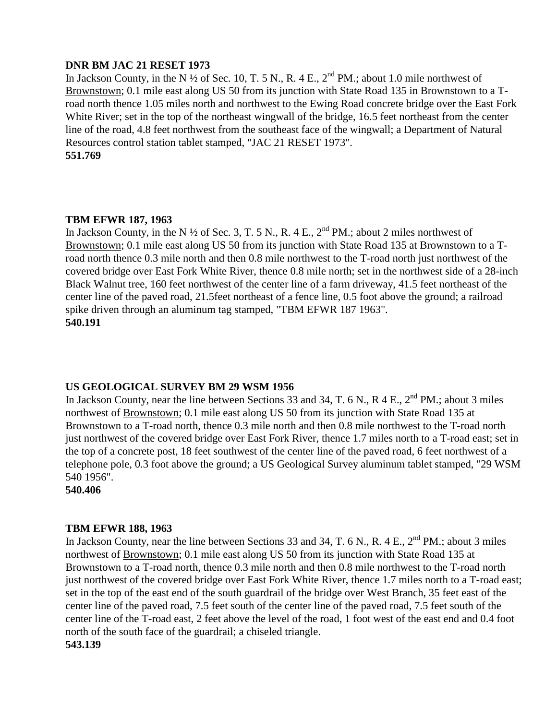## **DNR BM JAC 21 RESET 1973**

In Jackson County, in the N  $\frac{1}{2}$  of Sec. 10, T. 5 N., R. 4 E.,  $2^{nd}$  PM.; about 1.0 mile northwest of Brownstown; 0.1 mile east along US 50 from its junction with State Road 135 in Brownstown to a Troad north thence 1.05 miles north and northwest to the Ewing Road concrete bridge over the East Fork White River; set in the top of the northeast wingwall of the bridge, 16.5 feet northeast from the center line of the road, 4.8 feet northwest from the southeast face of the wingwall; a Department of Natural Resources control station tablet stamped, "JAC 21 RESET 1973". **551.769**

## **TBM EFWR 187, 1963**

In Jackson County, in the N  $\frac{1}{2}$  of Sec. 3, T. 5 N., R. 4 E.,  $2^{nd}$  PM.; about 2 miles northwest of Brownstown; 0.1 mile east along US 50 from its junction with State Road 135 at Brownstown to a Troad north thence 0.3 mile north and then 0.8 mile northwest to the T-road north just northwest of the covered bridge over East Fork White River, thence 0.8 mile north; set in the northwest side of a 28-inch Black Walnut tree, 160 feet northwest of the center line of a farm driveway, 41.5 feet northeast of the center line of the paved road, 21.5feet northeast of a fence line, 0.5 foot above the ground; a railroad spike driven through an aluminum tag stamped, "TBM EFWR 187 1963". **540.191**

## **US GEOLOGICAL SURVEY BM 29 WSM 1956**

In Jackson County, near the line between Sections 33 and 34, T. 6 N., R 4 E., 2<sup>nd</sup> PM.; about 3 miles northwest of Brownstown; 0.1 mile east along US 50 from its junction with State Road 135 at Brownstown to a T-road north, thence 0.3 mile north and then 0.8 mile northwest to the T-road north just northwest of the covered bridge over East Fork River, thence 1.7 miles north to a T-road east; set in the top of a concrete post, 18 feet southwest of the center line of the paved road, 6 feet northwest of a telephone pole, 0.3 foot above the ground; a US Geological Survey aluminum tablet stamped, "29 WSM 540 1956".

**540.406**

#### **TBM EFWR 188, 1963**

In Jackson County, near the line between Sections 33 and 34, T. 6 N., R. 4 E., 2<sup>nd</sup> PM.; about 3 miles northwest of Brownstown; 0.1 mile east along US 50 from its junction with State Road 135 at Brownstown to a T-road north, thence 0.3 mile north and then 0.8 mile northwest to the T-road north just northwest of the covered bridge over East Fork White River, thence 1.7 miles north to a T-road east; set in the top of the east end of the south guardrail of the bridge over West Branch, 35 feet east of the center line of the paved road, 7.5 feet south of the center line of the paved road, 7.5 feet south of the center line of the T-road east, 2 feet above the level of the road, 1 foot west of the east end and 0.4 foot north of the south face of the guardrail; a chiseled triangle. **543.139**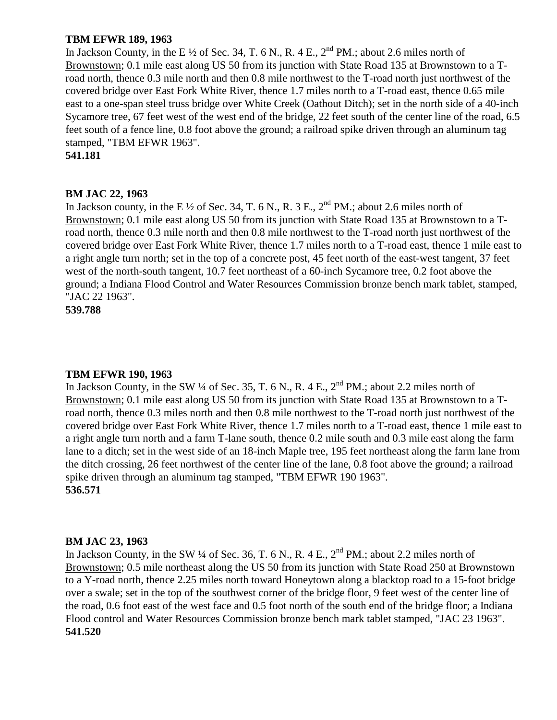## **TBM EFWR 189, 1963**

In Jackson County, in the E  $\frac{1}{2}$  of Sec. 34, T. 6 N., R. 4 E., 2<sup>nd</sup> PM.; about 2.6 miles north of Brownstown; 0.1 mile east along US 50 from its junction with State Road 135 at Brownstown to a Troad north, thence 0.3 mile north and then 0.8 mile northwest to the T-road north just northwest of the covered bridge over East Fork White River, thence 1.7 miles north to a T-road east, thence 0.65 mile east to a one-span steel truss bridge over White Creek (Oathout Ditch); set in the north side of a 40-inch Sycamore tree, 67 feet west of the west end of the bridge, 22 feet south of the center line of the road, 6.5 feet south of a fence line, 0.8 foot above the ground; a railroad spike driven through an aluminum tag stamped, "TBM EFWR 1963".

**541.181**

#### **BM JAC 22, 1963**

In Jackson county, in the E  $\frac{1}{2}$  of Sec. 34, T, 6 N, R, 3 E, 2<sup>nd</sup> PM, about 2.6 miles north of Brownstown; 0.1 mile east along US 50 from its junction with State Road 135 at Brownstown to a Troad north, thence 0.3 mile north and then 0.8 mile northwest to the T-road north just northwest of the covered bridge over East Fork White River, thence 1.7 miles north to a T-road east, thence 1 mile east to a right angle turn north; set in the top of a concrete post, 45 feet north of the east-west tangent, 37 feet west of the north-south tangent, 10.7 feet northeast of a 60-inch Sycamore tree, 0.2 foot above the ground; a Indiana Flood Control and Water Resources Commission bronze bench mark tablet, stamped, "JAC 22 1963".

**539.788**

#### **TBM EFWR 190, 1963**

In Jackson County, in the SW  $\frac{1}{4}$  of Sec. 35, T. 6 N., R. 4 E.,  $2^{nd}$  PM.; about 2.2 miles north of Brownstown; 0.1 mile east along US 50 from its junction with State Road 135 at Brownstown to a Troad north, thence 0.3 miles north and then 0.8 mile northwest to the T-road north just northwest of the covered bridge over East Fork White River, thence 1.7 miles north to a T-road east, thence 1 mile east to a right angle turn north and a farm T-lane south, thence 0.2 mile south and 0.3 mile east along the farm lane to a ditch; set in the west side of an 18-inch Maple tree, 195 feet northeast along the farm lane from the ditch crossing, 26 feet northwest of the center line of the lane, 0.8 foot above the ground; a railroad spike driven through an aluminum tag stamped, "TBM EFWR 190 1963". **536.571**

#### **BM JAC 23, 1963**

In Jackson County, in the SW  $\frac{1}{4}$  of Sec. 36, T. 6 N., R. 4 E.,  $2^{nd}$  PM.; about 2.2 miles north of Brownstown; 0.5 mile northeast along the US 50 from its junction with State Road 250 at Brownstown to a Y-road north, thence 2.25 miles north toward Honeytown along a blacktop road to a 15-foot bridge over a swale; set in the top of the southwest corner of the bridge floor, 9 feet west of the center line of the road, 0.6 foot east of the west face and 0.5 foot north of the south end of the bridge floor; a Indiana Flood control and Water Resources Commission bronze bench mark tablet stamped, "JAC 23 1963". **541.520**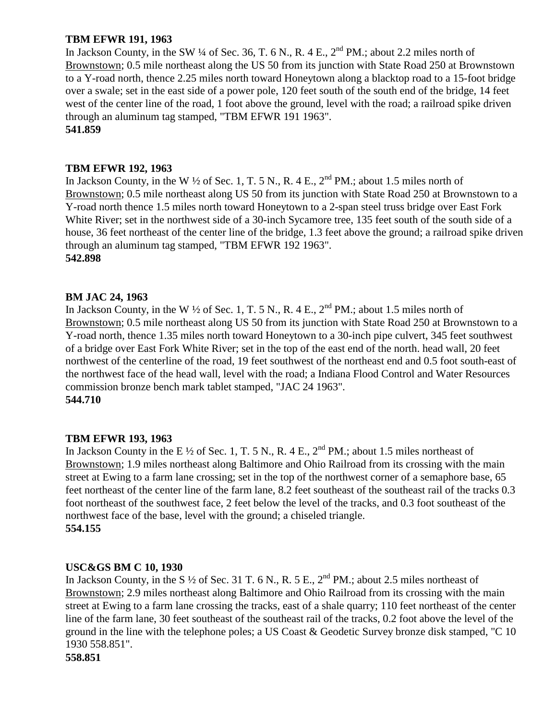# **TBM EFWR 191, 1963**

In Jackson County, in the SW  $\frac{1}{4}$  of Sec. 36, T. 6 N., R. 4 E.,  $2^{nd}$  PM.; about 2.2 miles north of Brownstown; 0.5 mile northeast along the US 50 from its junction with State Road 250 at Brownstown to a Y-road north, thence 2.25 miles north toward Honeytown along a blacktop road to a 15-foot bridge over a swale; set in the east side of a power pole, 120 feet south of the south end of the bridge, 14 feet west of the center line of the road, 1 foot above the ground, level with the road; a railroad spike driven through an aluminum tag stamped, "TBM EFWR 191 1963".

## **541.859**

## **TBM EFWR 192, 1963**

In Jackson County, in the W  $\frac{1}{2}$  of Sec. 1, T. 5 N., R. 4 E.,  $2^{nd}$  PM.; about 1.5 miles north of Brownstown; 0.5 mile northeast along US 50 from its junction with State Road 250 at Brownstown to a Y-road north thence 1.5 miles north toward Honeytown to a 2-span steel truss bridge over East Fork White River; set in the northwest side of a 30-inch Sycamore tree, 135 feet south of the south side of a house, 36 feet northeast of the center line of the bridge, 1.3 feet above the ground; a railroad spike driven through an aluminum tag stamped, "TBM EFWR 192 1963". **542.898**

# **BM JAC 24, 1963**

In Jackson County, in the W  $\frac{1}{2}$  of Sec. 1, T. 5 N., R. 4 E.,  $2^{nd}$  PM.; about 1.5 miles north of Brownstown; 0.5 mile northeast along US 50 from its junction with State Road 250 at Brownstown to a Y-road north, thence 1.35 miles north toward Honeytown to a 30-inch pipe culvert, 345 feet southwest of a bridge over East Fork White River; set in the top of the east end of the north. head wall, 20 feet northwest of the centerline of the road, 19 feet southwest of the northeast end and 0.5 foot south-east of the northwest face of the head wall, level with the road; a Indiana Flood Control and Water Resources commission bronze bench mark tablet stamped, "JAC 24 1963". **544.710**

## **TBM EFWR 193, 1963**

In Jackson County in the E  $\frac{1}{2}$  of Sec. 1, T. 5 N., R. 4 E., 2<sup>nd</sup> PM.; about 1.5 miles northeast of Brownstown; 1.9 miles northeast along Baltimore and Ohio Railroad from its crossing with the main street at Ewing to a farm lane crossing; set in the top of the northwest corner of a semaphore base, 65 feet northeast of the center line of the farm lane, 8.2 feet southeast of the southeast rail of the tracks 0.3 foot northeast of the southwest face, 2 feet below the level of the tracks, and 0.3 foot southeast of the northwest face of the base, level with the ground; a chiseled triangle. **554.155**

## **USC&GS BM C 10, 1930**

In Jackson County, in the S  $\frac{1}{2}$  of Sec. 31 T. 6 N., R. 5 E.,  $2^{nd}$  PM.; about 2.5 miles northeast of Brownstown; 2.9 miles northeast along Baltimore and Ohio Railroad from its crossing with the main street at Ewing to a farm lane crossing the tracks, east of a shale quarry; 110 feet northeast of the center line of the farm lane, 30 feet southeast of the southeast rail of the tracks, 0.2 foot above the level of the ground in the line with the telephone poles; a US Coast & Geodetic Survey bronze disk stamped, "C 10 1930 558.851".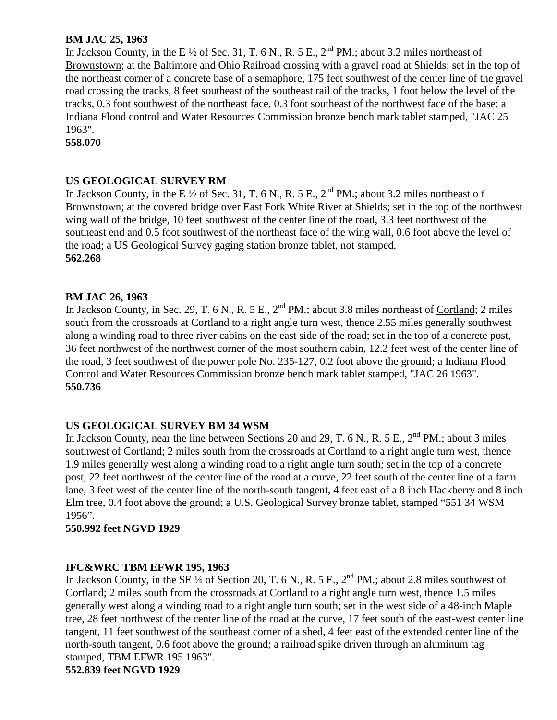# **BM JAC 25, 1963**

In Jackson County, in the E  $\frac{1}{2}$  of Sec. 31, T. 6 N., R. 5 E., 2<sup>nd</sup> PM.; about 3.2 miles northeast of Brownstown; at the Baltimore and Ohio Railroad crossing with a gravel road at Shields; set in the top of the northeast corner of a concrete base of a semaphore, 175 feet southwest of the center line of the gravel road crossing the tracks, 8 feet southeast of the southeast rail of the tracks, 1 foot below the level of the tracks, 0.3 foot southwest of the northeast face, 0.3 foot southeast of the northwest face of the base; a Indiana Flood control and Water Resources Commission bronze bench mark tablet stamped, "JAC 25 1963".

**558.070**

## **US GEOLOGICAL SURVEY RM**

In Jackson County, in the E  $\frac{1}{2}$  of Sec. 31, T. 6 N., R. 5 E., 2<sup>nd</sup> PM.; about 3.2 miles northeast of Brownstown; at the covered bridge over East Fork White River at Shields; set in the top of the northwest wing wall of the bridge, 10 feet southwest of the center line of the road, 3.3 feet northwest of the southeast end and 0.5 foot southwest of the northeast face of the wing wall, 0.6 foot above the level of the road; a US Geological Survey gaging station bronze tablet, not stamped. **562.268**

# **BM JAC 26, 1963**

In Jackson County, in Sec. 29, T. 6 N., R. 5 E., 2<sup>nd</sup> PM.; about 3.8 miles northeast of Cortland; 2 miles south from the crossroads at Cortland to a right angle turn west, thence 2.55 miles generally southwest along a winding road to three river cabins on the east side of the road; set in the top of a concrete post, 36 feet northwest of the northwest corner of the most southern cabin, 12.2 feet west of the center line of the road, 3 feet southwest of the power pole No. 235-127, 0.2 foot above the ground; a Indiana Flood Control and Water Resources Commission bronze bench mark tablet stamped, "JAC 26 1963". **550.736**

## **US GEOLOGICAL SURVEY BM 34 WSM**

In Jackson County, near the line between Sections 20 and 29, T. 6 N., R. 5 E.,  $2^{nd}$  PM.; about 3 miles southwest of Cortland; 2 miles south from the crossroads at Cortland to a right angle turn west, thence 1.9 miles generally west along a winding road to a right angle turn south; set in the top of a concrete post, 22 feet northwest of the center line of the road at a curve, 22 feet south of the center line of a farm lane, 3 feet west of the center line of the north-south tangent, 4 feet east of a 8 inch Hackberry and 8 inch Elm tree, 0.4 foot above the ground; a U.S. Geological Survey bronze tablet, stamped "551 34 WSM 1956".

## **550.992 feet NGVD 1929**

## **IFC&WRC TBM EFWR 195, 1963**

In Jackson County, in the SE ¼ of Section 20, T. 6 N., R. 5 E.,  $2^{nd}$  PM.; about 2.8 miles southwest of Cortland; 2 miles south from the crossroads at Cortland to a right angle turn west, thence 1.5 miles generally west along a winding road to a right angle turn south; set in the west side of a 48-inch Maple tree, 28 feet northwest of the center line of the road at the curve, 17 feet south of the east-west center line tangent, 11 feet southwest of the southeast corner of a shed, 4 feet east of the extended center line of the north-south tangent, 0.6 foot above the ground; a railroad spike driven through an aluminum tag stamped, TBM EFWR 195 1963".

**552.839 feet NGVD 1929**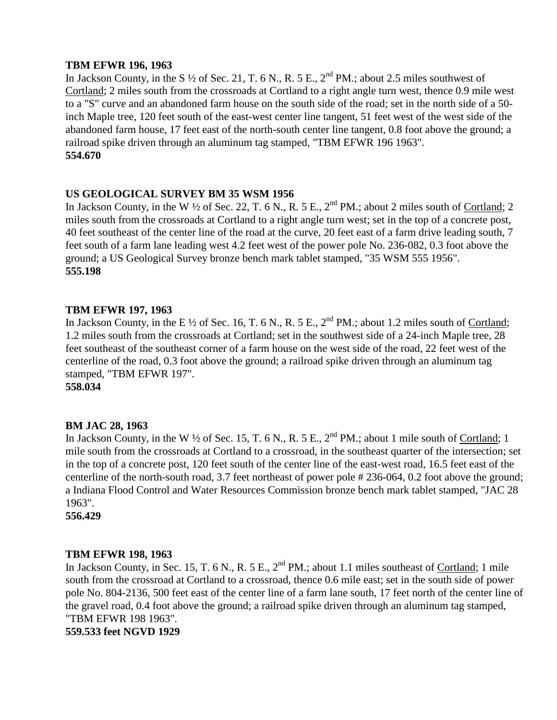## **TBM EFWR 196, 1963**

In Jackson County, in the S  $\frac{1}{2}$  of Sec. 21, T. 6 N., R. 5 E.,  $2^{nd}$  PM.; about 2.5 miles southwest of Cortland; 2 miles south from the crossroads at Cortland to a right angle turn west, thence 0.9 mile west to a "S" curve and an abandoned farm house on the south side of the road; set in the north side of a 50 inch Maple tree, 120 feet south of the east-west center line tangent, 51 feet west of the west side of the abandoned farm house, 17 feet east of the north-south center line tangent, 0.8 foot above the ground; a railroad spike driven through an aluminum tag stamped, "TBM EFWR 196 1963". **554.670**

# **US GEOLOGICAL SURVEY BM 35 WSM 1956**

In Jackson County, in the W  $\frac{1}{2}$  of Sec. 22, T. 6 N., R. 5 E., 2<sup>nd</sup> PM.; about 2 miles south of Cortland; 2 miles south from the crossroads at Cortland to a right angle turn west; set in the top of a concrete post, 40 feet southeast of the center line of the road at the curve, 20 feet east of a farm drive leading south, 7 feet south of a farm lane leading west 4.2 feet west of the power pole No. 236-082, 0.3 foot above the ground; a US Geological Survey bronze bench mark tablet stamped, "35 WSM 555 1956". **555.198**

# **TBM EFWR 197, 1963**

In Jackson County, in the E  $\frac{1}{2}$  of Sec. 16, T. 6 N., R. 5 E.,  $2^{nd}$  PM.; about 1.2 miles south of Cortland; 1.2 miles south from the crossroads at Cortland; set in the southwest side of a 24-inch Maple tree, 28 feet southeast of the southeast corner of a farm house on the west side of the road, 22 feet west of the centerline of the road, 0.3 foot above the ground; a railroad spike driven through an aluminum tag stamped, "TBM EFWR 197".

**558.034**

## **BM JAC 28, 1963**

In Jackson County, in the W  $\frac{1}{2}$  of Sec. 15, T. 6 N., R. 5 E.,  $2^{nd}$  PM.; about 1 mile south of Cortland; 1 mile south from the crossroads at Cortland to a crossroad, in the southeast quarter of the intersection; set in the top of a concrete post, 120 feet south of the center line of the east-west road, 16.5 feet east of the centerline of the north-south road, 3.7 feet northeast of power pole # 236-064, 0.2 foot above the ground; a Indiana Flood Control and Water Resources Commission bronze bench mark tablet stamped, "JAC 28 1963".

**556.429**

## **TBM EFWR 198, 1963**

In Jackson County, in Sec. 15, T. 6 N., R. 5 E., 2<sup>nd</sup> PM.; about 1.1 miles southeast of Cortland; 1 mile south from the crossroad at Cortland to a crossroad, thence 0.6 mile east; set in the south side of power pole No. 804-2136, 500 feet east of the center line of a farm lane south, 17 feet north of the center line of the gravel road, 0.4 foot above the ground; a railroad spike driven through an aluminum tag stamped, "TBM EFWR 198 1963". **559.533 feet NGVD 1929**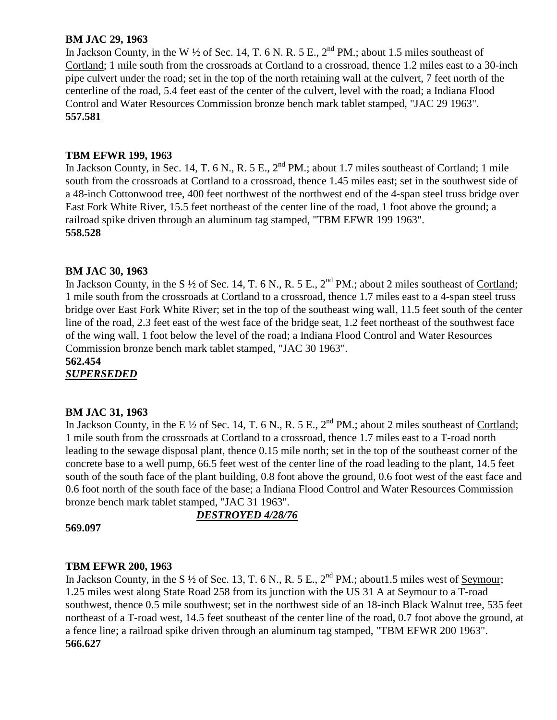# **BM JAC 29, 1963**

In Jackson County, in the W  $\frac{1}{2}$  of Sec. 14, T. 6 N. R. 5 E., 2<sup>nd</sup> PM.; about 1.5 miles southeast of Cortland; 1 mile south from the crossroads at Cortland to a crossroad, thence 1.2 miles east to a 30-inch pipe culvert under the road; set in the top of the north retaining wall at the culvert, 7 feet north of the centerline of the road, 5.4 feet east of the center of the culvert, level with the road; a Indiana Flood Control and Water Resources Commission bronze bench mark tablet stamped, "JAC 29 1963". **557.581**

# **TBM EFWR 199, 1963**

In Jackson County, in Sec. 14, T. 6 N., R. 5 E., 2<sup>nd</sup> PM.; about 1.7 miles southeast of Cortland; 1 mile south from the crossroads at Cortland to a crossroad, thence 1.45 miles east; set in the southwest side of a 48-inch Cottonwood tree, 400 feet northwest of the northwest end of the 4-span steel truss bridge over East Fork White River, 15.5 feet northeast of the center line of the road, 1 foot above the ground; a railroad spike driven through an aluminum tag stamped, "TBM EFWR 199 1963". **558.528**

# **BM JAC 30, 1963**

In Jackson County, in the S  $\frac{1}{2}$  of Sec. 14, T. 6 N., R. 5 E.,  $2^{nd}$  PM.; about 2 miles southeast of Cortland; 1 mile south from the crossroads at Cortland to a crossroad, thence 1.7 miles east to a 4-span steel truss bridge over East Fork White River; set in the top of the southeast wing wall, 11.5 feet south of the center line of the road, 2.3 feet east of the west face of the bridge seat, 1.2 feet northeast of the southwest face of the wing wall, 1 foot below the level of the road; a Indiana Flood Control and Water Resources Commission bronze bench mark tablet stamped, "JAC 30 1963".

**562.454** *SUPERSEDED*

## **BM JAC 31, 1963**

In Jackson County, in the E  $\frac{1}{2}$  of Sec. 14, T. 6 N., R. 5 E.,  $2^{nd}$  PM.; about 2 miles southeast of Cortland; 1 mile south from the crossroads at Cortland to a crossroad, thence 1.7 miles east to a T-road north leading to the sewage disposal plant, thence 0.15 mile north; set in the top of the southeast corner of the concrete base to a well pump, 66.5 feet west of the center line of the road leading to the plant, 14.5 feet south of the south face of the plant building, 0.8 foot above the ground, 0.6 foot west of the east face and 0.6 foot north of the south face of the base; a Indiana Flood Control and Water Resources Commission bronze bench mark tablet stamped, "JAC 31 1963".

**569.097**

# *DESTROYED 4/28/76*

## **TBM EFWR 200, 1963**

In Jackson County, in the S  $\frac{1}{2}$  of Sec. 13, T. 6 N., R. 5 E.,  $2^{nd}$  PM.; about 1.5 miles west of Seymour; 1.25 miles west along State Road 258 from its junction with the US 31 A at Seymour to a T-road southwest, thence 0.5 mile southwest; set in the northwest side of an 18-inch Black Walnut tree, 535 feet northeast of a T-road west, 14.5 feet southeast of the center line of the road, 0.7 foot above the ground, at a fence line; a railroad spike driven through an aluminum tag stamped, "TBM EFWR 200 1963". **566.627**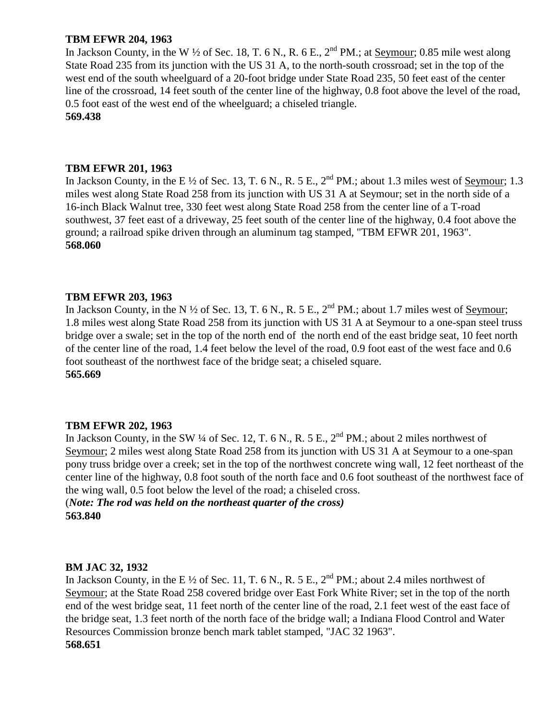## **TBM EFWR 204, 1963**

In Jackson County, in the W  $\frac{1}{2}$  of Sec. 18, T. 6 N., R. 6 E.,  $2^{nd}$  PM.; at Seymour; 0.85 mile west along State Road 235 from its junction with the US 31 A, to the north-south crossroad; set in the top of the west end of the south wheelguard of a 20-foot bridge under State Road 235, 50 feet east of the center line of the crossroad, 14 feet south of the center line of the highway, 0.8 foot above the level of the road, 0.5 foot east of the west end of the wheelguard; a chiseled triangle.

**569.438**

## **TBM EFWR 201, 1963**

In Jackson County, in the E  $\frac{1}{2}$  of Sec. 13, T. 6 N., R. 5 E.,  $2^{nd}$  PM.; about 1.3 miles west of Seymour; 1.3 miles west along State Road 258 from its junction with US 31 A at Seymour; set in the north side of a 16-inch Black Walnut tree, 330 feet west along State Road 258 from the center line of a T-road southwest, 37 feet east of a driveway, 25 feet south of the center line of the highway, 0.4 foot above the ground; a railroad spike driven through an aluminum tag stamped, "TBM EFWR 201, 1963". **568.060**

## **TBM EFWR 203, 1963**

In Jackson County, in the N  $\frac{1}{2}$  of Sec. 13, T. 6 N., R. 5 E.,  $2^{nd}$  PM.; about 1.7 miles west of <u>Seymour</u>; 1.8 miles west along State Road 258 from its junction with US 31 A at Seymour to a one-span steel truss bridge over a swale; set in the top of the north end of the north end of the east bridge seat, 10 feet north of the center line of the road, 1.4 feet below the level of the road, 0.9 foot east of the west face and 0.6 foot southeast of the northwest face of the bridge seat; a chiseled square. **565.669**

## **TBM EFWR 202, 1963**

In Jackson County, in the SW ¼ of Sec. 12, T. 6 N., R. 5 E.,  $2^{nd}$  PM.; about 2 miles northwest of Seymour; 2 miles west along State Road 258 from its junction with US 31 A at Seymour to a one-span pony truss bridge over a creek; set in the top of the northwest concrete wing wall, 12 feet northeast of the center line of the highway, 0.8 foot south of the north face and 0.6 foot southeast of the northwest face of the wing wall, 0.5 foot below the level of the road; a chiseled cross.

(*Note: The rod was held on the northeast quarter of the cross)* **563.840**

### **BM JAC 32, 1932**

In Jackson County, in the E  $\frac{1}{2}$  of Sec. 11, T. 6 N., R. 5 E., 2<sup>nd</sup> PM.; about 2.4 miles northwest of Seymour; at the State Road 258 covered bridge over East Fork White River; set in the top of the north end of the west bridge seat, 11 feet north of the center line of the road, 2.1 feet west of the east face of the bridge seat, 1.3 feet north of the north face of the bridge wall; a Indiana Flood Control and Water Resources Commission bronze bench mark tablet stamped, "JAC 32 1963". **568.651**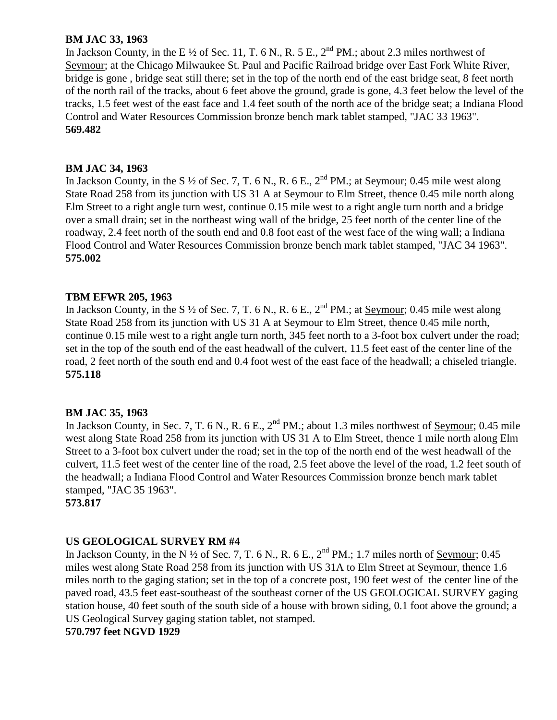# **BM JAC 33, 1963**

In Jackson County, in the E  $\frac{1}{2}$  of Sec. 11, T. 6 N., R. 5 E., 2<sup>nd</sup> PM.; about 2.3 miles northwest of Seymour; at the Chicago Milwaukee St. Paul and Pacific Railroad bridge over East Fork White River, bridge is gone , bridge seat still there; set in the top of the north end of the east bridge seat, 8 feet north of the north rail of the tracks, about 6 feet above the ground, grade is gone, 4.3 feet below the level of the tracks, 1.5 feet west of the east face and 1.4 feet south of the north ace of the bridge seat; a Indiana Flood Control and Water Resources Commission bronze bench mark tablet stamped, "JAC 33 1963". **569.482**

## **BM JAC 34, 1963**

In Jackson County, in the S  $\frac{1}{2}$  of Sec. 7, T. 6 N., R. 6 E.,  $2^{nd}$  PM.; at Seymour; 0.45 mile west along State Road 258 from its junction with US 31 A at Seymour to Elm Street, thence 0.45 mile north along Elm Street to a right angle turn west, continue 0.15 mile west to a right angle turn north and a bridge over a small drain; set in the northeast wing wall of the bridge, 25 feet north of the center line of the roadway, 2.4 feet north of the south end and 0.8 foot east of the west face of the wing wall; a Indiana Flood Control and Water Resources Commission bronze bench mark tablet stamped, "JAC 34 1963". **575.002**

# **TBM EFWR 205, 1963**

In Jackson County, in the S  $\frac{1}{2}$  of Sec. 7, T. 6 N., R. 6 E.,  $2^{nd}$  PM.; at <u>Seymour</u>; 0.45 mile west along State Road 258 from its junction with US 31 A at Seymour to Elm Street, thence 0.45 mile north, continue 0.15 mile west to a right angle turn north, 345 feet north to a 3-foot box culvert under the road; set in the top of the south end of the east headwall of the culvert, 11.5 feet east of the center line of the road, 2 feet north of the south end and 0.4 foot west of the east face of the headwall; a chiseled triangle. **575.118**

## **BM JAC 35, 1963**

In Jackson County, in Sec. 7, T. 6 N., R. 6 E.,  $2^{nd}$  PM.; about 1.3 miles northwest of Seymour; 0.45 mile west along State Road 258 from its junction with US 31 A to Elm Street, thence 1 mile north along Elm Street to a 3-foot box culvert under the road; set in the top of the north end of the west headwall of the culvert, 11.5 feet west of the center line of the road, 2.5 feet above the level of the road, 1.2 feet south of the headwall; a Indiana Flood Control and Water Resources Commission bronze bench mark tablet stamped, "JAC 35 1963".

**573.817**

# **US GEOLOGICAL SURVEY RM #4**

In Jackson County, in the N  $\frac{1}{2}$  of Sec. 7, T. 6 N., R. 6 E.,  $2^{nd}$  PM.; 1.7 miles north of Seymour; 0.45 miles west along State Road 258 from its junction with US 31A to Elm Street at Seymour, thence 1.6 miles north to the gaging station; set in the top of a concrete post, 190 feet west of the center line of the paved road, 43.5 feet east-southeast of the southeast corner of the US GEOLOGICAL SURVEY gaging station house, 40 feet south of the south side of a house with brown siding, 0.1 foot above the ground; a US Geological Survey gaging station tablet, not stamped.

**570.797 feet NGVD 1929**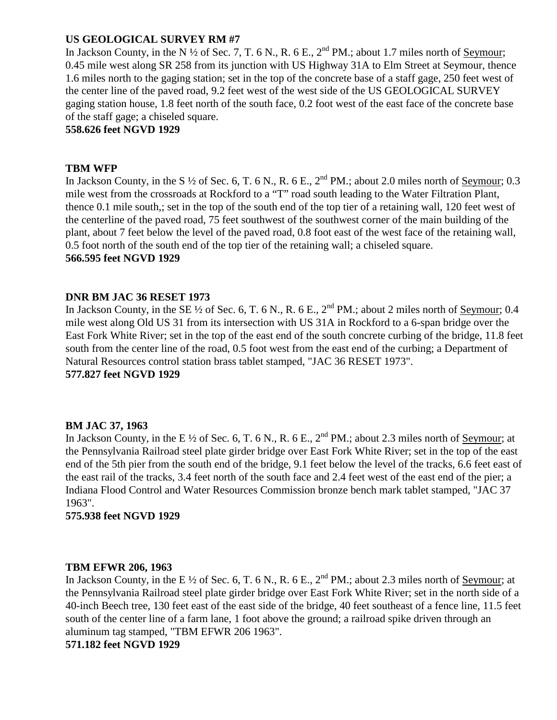# **US GEOLOGICAL SURVEY RM #7**

In Jackson County, in the N  $\frac{1}{2}$  of Sec. 7, T. 6 N., R. 6 E.,  $2^{nd}$  PM.; about 1.7 miles north of Seymour; 0.45 mile west along SR 258 from its junction with US Highway 31A to Elm Street at Seymour, thence 1.6 miles north to the gaging station; set in the top of the concrete base of a staff gage, 250 feet west of the center line of the paved road, 9.2 feet west of the west side of the US GEOLOGICAL SURVEY gaging station house, 1.8 feet north of the south face, 0.2 foot west of the east face of the concrete base of the staff gage; a chiseled square.

**558.626 feet NGVD 1929**

## **TBM WFP**

In Jackson County, in the S  $\frac{1}{2}$  of Sec. 6, T. 6 N., R. 6 E.,  $2^{nd}$  PM.; about 2.0 miles north of Seymour; 0.3 mile west from the crossroads at Rockford to a "T" road south leading to the Water Filtration Plant, thence 0.1 mile south,; set in the top of the south end of the top tier of a retaining wall, 120 feet west of the centerline of the paved road, 75 feet southwest of the southwest corner of the main building of the plant, about 7 feet below the level of the paved road, 0.8 foot east of the west face of the retaining wall, 0.5 foot north of the south end of the top tier of the retaining wall; a chiseled square. **566.595 feet NGVD 1929**

## **DNR BM JAC 36 RESET 1973**

In Jackson County, in the SE  $\frac{1}{2}$  of Sec. 6, T. 6 N., R. 6 E.,  $2^{nd}$  PM.; about 2 miles north of Seymour; 0.4 mile west along Old US 31 from its intersection with US 31A in Rockford to a 6-span bridge over the East Fork White River; set in the top of the east end of the south concrete curbing of the bridge, 11.8 feet south from the center line of the road, 0.5 foot west from the east end of the curbing; a Department of Natural Resources control station brass tablet stamped, "JAC 36 RESET 1973". **577.827 feet NGVD 1929**

## **BM JAC 37, 1963**

In Jackson County, in the E  $\frac{1}{2}$  of Sec. 6, T. 6 N., R. 6 E., 2<sup>nd</sup> PM.; about 2.3 miles north of Seymour; at the Pennsylvania Railroad steel plate girder bridge over East Fork White River; set in the top of the east end of the 5th pier from the south end of the bridge, 9.1 feet below the level of the tracks, 6.6 feet east of the east rail of the tracks, 3.4 feet north of the south face and 2.4 feet west of the east end of the pier; a Indiana Flood Control and Water Resources Commission bronze bench mark tablet stamped, "JAC 37 1963".

## **575.938 feet NGVD 1929**

#### **TBM EFWR 206, 1963**

In Jackson County, in the E <sup>1/2</sup> of Sec. 6, T. 6 N., R. 6 E., 2<sup>nd</sup> PM.; about 2.3 miles north of <u>Seymo</u>ur; at the Pennsylvania Railroad steel plate girder bridge over East Fork White River; set in the north side of a 40-inch Beech tree, 130 feet east of the east side of the bridge, 40 feet southeast of a fence line, 11.5 feet south of the center line of a farm lane, 1 foot above the ground; a railroad spike driven through an aluminum tag stamped, "TBM EFWR 206 1963".

### **571.182 feet NGVD 1929**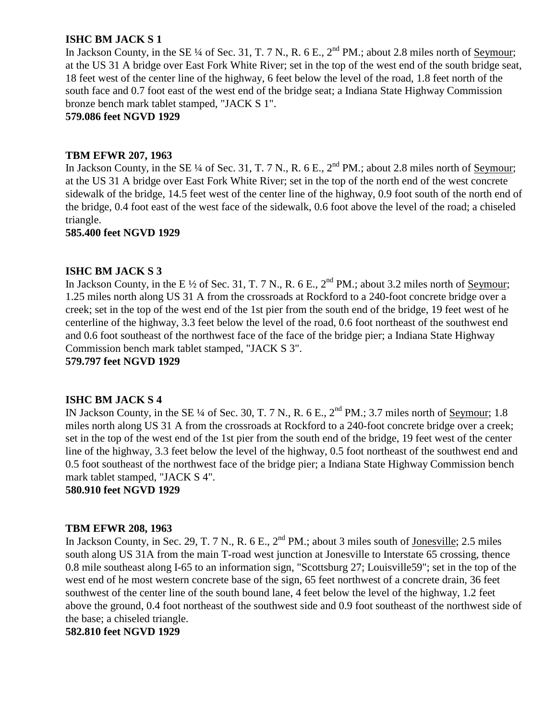# **ISHC BM JACK S 1**

In Jackson County, in the SE ¼ of Sec. 31, T. 7 N., R. 6 E.,  $2^{nd}$  PM.; about 2.8 miles north of Seymour; at the US 31 A bridge over East Fork White River; set in the top of the west end of the south bridge seat, 18 feet west of the center line of the highway, 6 feet below the level of the road, 1.8 feet north of the south face and 0.7 foot east of the west end of the bridge seat; a Indiana State Highway Commission bronze bench mark tablet stamped, "JACK S 1".

**579.086 feet NGVD 1929**

## **TBM EFWR 207, 1963**

In Jackson County, in the SE ¼ of Sec. 31, T. 7 N., R. 6 E.,  $2<sup>nd</sup> PM$ .; about 2.8 miles north of Seymour; at the US 31 A bridge over East Fork White River; set in the top of the north end of the west concrete sidewalk of the bridge, 14.5 feet west of the center line of the highway, 0.9 foot south of the north end of the bridge, 0.4 foot east of the west face of the sidewalk, 0.6 foot above the level of the road; a chiseled triangle.

**585.400 feet NGVD 1929**

# **ISHC BM JACK S 3**

In Jackson County, in the E  $\frac{1}{2}$  of Sec. 31, T. 7 N., R. 6 E.,  $2^{nd}$  PM.; about 3.2 miles north of <u>Seymour</u>; 1.25 miles north along US 31 A from the crossroads at Rockford to a 240-foot concrete bridge over a creek; set in the top of the west end of the 1st pier from the south end of the bridge, 19 feet west of he centerline of the highway, 3.3 feet below the level of the road, 0.6 foot northeast of the southwest end and 0.6 foot southeast of the northwest face of the face of the bridge pier; a Indiana State Highway Commission bench mark tablet stamped, "JACK S 3".

**579.797 feet NGVD 1929**

## **ISHC BM JACK S 4**

IN Jackson County, in the SE ¼ of Sec. 30, T. 7 N., R. 6 E., 2<sup>nd</sup> PM.; 3.7 miles north of <u>Seymour</u>; 1.8 miles north along US 31 A from the crossroads at Rockford to a 240-foot concrete bridge over a creek; set in the top of the west end of the 1st pier from the south end of the bridge, 19 feet west of the center line of the highway, 3.3 feet below the level of the highway, 0.5 foot northeast of the southwest end and 0.5 foot southeast of the northwest face of the bridge pier; a Indiana State Highway Commission bench mark tablet stamped, "JACK S 4".

**580.910 feet NGVD 1929**

#### **TBM EFWR 208, 1963**

In Jackson County, in Sec. 29, T. 7 N., R. 6 E.,  $2^{nd}$  PM.; about 3 miles south of Jonesville; 2.5 miles south along US 31A from the main T-road west junction at Jonesville to Interstate 65 crossing, thence 0.8 mile southeast along I-65 to an information sign, "Scottsburg 27; Louisville59"; set in the top of the west end of he most western concrete base of the sign, 65 feet northwest of a concrete drain, 36 feet southwest of the center line of the south bound lane, 4 feet below the level of the highway, 1.2 feet above the ground, 0.4 foot northeast of the southwest side and 0.9 foot southeast of the northwest side of the base; a chiseled triangle.

**582.810 feet NGVD 1929**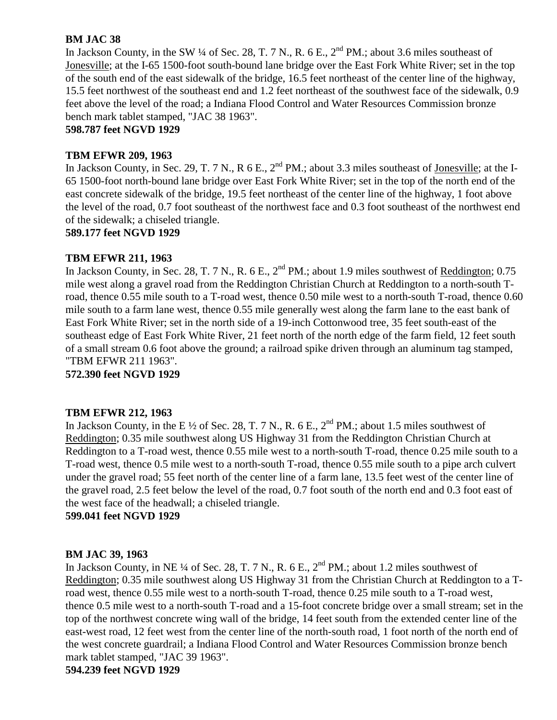# **BM JAC 38**

In Jackson County, in the SW  $\frac{1}{4}$  of Sec. 28, T. 7 N., R. 6 E., 2<sup>nd</sup> PM.; about 3.6 miles southeast of Jonesville; at the I-65 1500-foot south-bound lane bridge over the East Fork White River; set in the top of the south end of the east sidewalk of the bridge, 16.5 feet northeast of the center line of the highway, 15.5 feet northwest of the southeast end and 1.2 feet northeast of the southwest face of the sidewalk, 0.9 feet above the level of the road; a Indiana Flood Control and Water Resources Commission bronze bench mark tablet stamped, "JAC 38 1963".

**598.787 feet NGVD 1929**

## **TBM EFWR 209, 1963**

In Jackson County, in Sec. 29, T. 7 N., R  $6$  E.,  $2^{nd}$  PM.; about 3.3 miles southeast of Jonesville; at the I-65 1500-foot north-bound lane bridge over East Fork White River; set in the top of the north end of the east concrete sidewalk of the bridge, 19.5 feet northeast of the center line of the highway, 1 foot above the level of the road, 0.7 foot southeast of the northwest face and 0.3 foot southeast of the northwest end of the sidewalk; a chiseled triangle.

**589.177 feet NGVD 1929**

## **TBM EFWR 211, 1963**

In Jackson County, in Sec. 28, T. 7 N., R. 6 E., 2<sup>nd</sup> PM.; about 1.9 miles southwest of Reddington; 0.75 mile west along a gravel road from the Reddington Christian Church at Reddington to a north-south Troad, thence 0.55 mile south to a T-road west, thence 0.50 mile west to a north-south T-road, thence 0.60 mile south to a farm lane west, thence 0.55 mile generally west along the farm lane to the east bank of East Fork White River; set in the north side of a 19-inch Cottonwood tree, 35 feet south-east of the southeast edge of East Fork White River, 21 feet north of the north edge of the farm field, 12 feet south of a small stream 0.6 foot above the ground; a railroad spike driven through an aluminum tag stamped, "TBM EFWR 211 1963".

**572.390 feet NGVD 1929**

## **TBM EFWR 212, 1963**

In Jackson County, in the E  $\frac{1}{2}$  of Sec. 28, T. 7 N., R. 6 E.,  $2^{nd}$  PM.; about 1.5 miles southwest of Reddington; 0.35 mile southwest along US Highway 31 from the Reddington Christian Church at Reddington to a T-road west, thence 0.55 mile west to a north-south T-road, thence 0.25 mile south to a T-road west, thence 0.5 mile west to a north-south T-road, thence 0.55 mile south to a pipe arch culvert under the gravel road; 55 feet north of the center line of a farm lane, 13.5 feet west of the center line of the gravel road, 2.5 feet below the level of the road, 0.7 foot south of the north end and 0.3 foot east of the west face of the headwall; a chiseled triangle.

## **599.041 feet NGVD 1929**

#### **BM JAC 39, 1963**

In Jackson County, in NE ¼ of Sec. 28, T. 7 N., R. 6 E.,  $2<sup>nd</sup> PM$ .; about 1.2 miles southwest of Reddington; 0.35 mile southwest along US Highway 31 from the Christian Church at Reddington to a Troad west, thence 0.55 mile west to a north-south T-road, thence 0.25 mile south to a T-road west, thence 0.5 mile west to a north-south T-road and a 15-foot concrete bridge over a small stream; set in the top of the northwest concrete wing wall of the bridge, 14 feet south from the extended center line of the east-west road, 12 feet west from the center line of the north-south road, 1 foot north of the north end of the west concrete guardrail; a Indiana Flood Control and Water Resources Commission bronze bench mark tablet stamped, "JAC 39 1963". **594.239 feet NGVD 1929**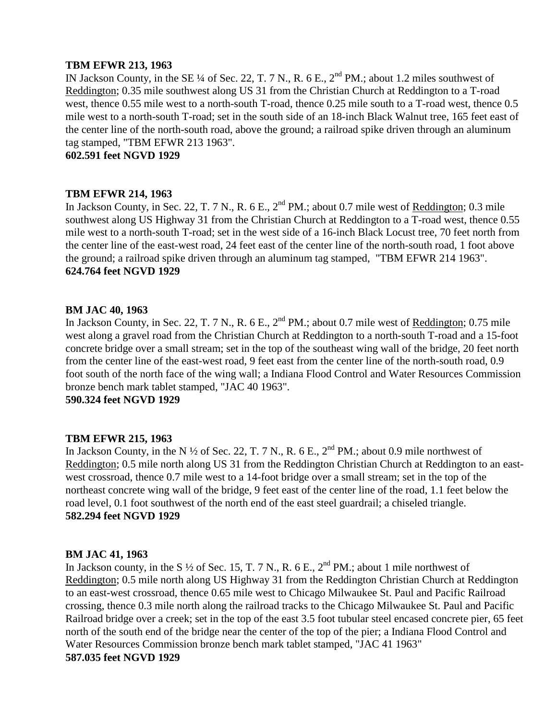## **TBM EFWR 213, 1963**

IN Jackson County, in the SE  $\frac{1}{4}$  of Sec. 22, T. 7 N., R. 6 E.,  $2^{nd}$  PM.; about 1.2 miles southwest of Reddington; 0.35 mile southwest along US 31 from the Christian Church at Reddington to a T-road west, thence 0.55 mile west to a north-south T-road, thence 0.25 mile south to a T-road west, thence 0.5 mile west to a north-south T-road; set in the south side of an 18-inch Black Walnut tree, 165 feet east of the center line of the north-south road, above the ground; a railroad spike driven through an aluminum tag stamped, "TBM EFWR 213 1963".

**602.591 feet NGVD 1929**

#### **TBM EFWR 214, 1963**

In Jackson County, in Sec. 22, T. 7 N., R. 6 E.,  $2^{nd}$  PM.; about 0.7 mile west of Reddington; 0.3 mile southwest along US Highway 31 from the Christian Church at Reddington to a T-road west, thence 0.55 mile west to a north-south T-road; set in the west side of a 16-inch Black Locust tree, 70 feet north from the center line of the east-west road, 24 feet east of the center line of the north-south road, 1 foot above the ground; a railroad spike driven through an aluminum tag stamped, "TBM EFWR 214 1963". **624.764 feet NGVD 1929**

#### **BM JAC 40, 1963**

In Jackson County, in Sec. 22, T. 7 N., R. 6 E., 2<sup>nd</sup> PM.; about 0.7 mile west of Reddington; 0.75 mile west along a gravel road from the Christian Church at Reddington to a north-south T-road and a 15-foot concrete bridge over a small stream; set in the top of the southeast wing wall of the bridge, 20 feet north from the center line of the east-west road, 9 feet east from the center line of the north-south road, 0.9 foot south of the north face of the wing wall; a Indiana Flood Control and Water Resources Commission bronze bench mark tablet stamped, "JAC 40 1963".

**590.324 feet NGVD 1929**

#### **TBM EFWR 215, 1963**

In Jackson County, in the N  $\frac{1}{2}$  of Sec. 22, T. 7 N., R. 6 E., 2<sup>nd</sup> PM.; about 0.9 mile northwest of Reddington; 0.5 mile north along US 31 from the Reddington Christian Church at Reddington to an eastwest crossroad, thence 0.7 mile west to a 14-foot bridge over a small stream; set in the top of the northeast concrete wing wall of the bridge, 9 feet east of the center line of the road, 1.1 feet below the road level, 0.1 foot southwest of the north end of the east steel guardrail; a chiseled triangle. **582.294 feet NGVD 1929**

#### **BM JAC 41, 1963**

In Jackson county, in the S  $\frac{1}{2}$  of Sec. 15, T. 7 N., R. 6 E.,  $2^{nd}$  PM.; about 1 mile northwest of Reddington; 0.5 mile north along US Highway 31 from the Reddington Christian Church at Reddington to an east-west crossroad, thence 0.65 mile west to Chicago Milwaukee St. Paul and Pacific Railroad crossing, thence 0.3 mile north along the railroad tracks to the Chicago Milwaukee St. Paul and Pacific Railroad bridge over a creek; set in the top of the east 3.5 foot tubular steel encased concrete pier, 65 feet north of the south end of the bridge near the center of the top of the pier; a Indiana Flood Control and Water Resources Commission bronze bench mark tablet stamped, "JAC 41 1963" **587.035 feet NGVD 1929**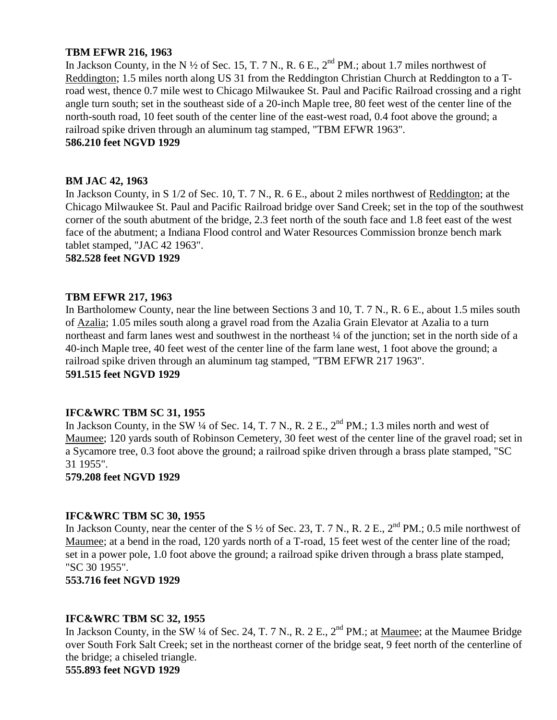## **TBM EFWR 216, 1963**

In Jackson County, in the N  $\frac{1}{2}$  of Sec. 15, T. 7 N., R. 6 E.,  $2^{nd}$  PM.; about 1.7 miles northwest of Reddington; 1.5 miles north along US 31 from the Reddington Christian Church at Reddington to a Troad west, thence 0.7 mile west to Chicago Milwaukee St. Paul and Pacific Railroad crossing and a right angle turn south; set in the southeast side of a 20-inch Maple tree, 80 feet west of the center line of the north-south road, 10 feet south of the center line of the east-west road, 0.4 foot above the ground; a railroad spike driven through an aluminum tag stamped, "TBM EFWR 1963".

# **586.210 feet NGVD 1929**

## **BM JAC 42, 1963**

In Jackson County, in S 1/2 of Sec. 10, T. 7 N., R. 6 E., about 2 miles northwest of Reddington; at the Chicago Milwaukee St. Paul and Pacific Railroad bridge over Sand Creek; set in the top of the southwest corner of the south abutment of the bridge, 2.3 feet north of the south face and 1.8 feet east of the west face of the abutment; a Indiana Flood control and Water Resources Commission bronze bench mark tablet stamped, "JAC 42 1963".

#### **582.528 feet NGVD 1929**

## **TBM EFWR 217, 1963**

In Bartholomew County, near the line between Sections 3 and 10, T. 7 N., R. 6 E., about 1.5 miles south of Azalia; 1.05 miles south along a gravel road from the Azalia Grain Elevator at Azalia to a turn northeast and farm lanes west and southwest in the northeast  $\frac{1}{4}$  of the junction; set in the north side of a 40-inch Maple tree, 40 feet west of the center line of the farm lane west, 1 foot above the ground; a railroad spike driven through an aluminum tag stamped, "TBM EFWR 217 1963". **591.515 feet NGVD 1929**

#### **IFC&WRC TBM SC 31, 1955**

In Jackson County, in the SW  $\frac{1}{4}$  of Sec. 14, T. 7 N., R. 2 E.,  $2^{\text{nd}}$  PM.; 1.3 miles north and west of Maumee; 120 yards south of Robinson Cemetery, 30 feet west of the center line of the gravel road; set in a Sycamore tree, 0.3 foot above the ground; a railroad spike driven through a brass plate stamped, "SC 31 1955".

**579.208 feet NGVD 1929**

#### **IFC&WRC TBM SC 30, 1955**

In Jackson County, near the center of the S <sup>1/2</sup> of Sec. 23, T. 7 N., R. 2 E., 2<sup>nd</sup> PM.; 0.5 mile northwest of Maumee; at a bend in the road, 120 yards north of a T-road, 15 feet west of the center line of the road; set in a power pole, 1.0 foot above the ground; a railroad spike driven through a brass plate stamped, "SC 30 1955".

**553.716 feet NGVD 1929**

#### **IFC&WRC TBM SC 32, 1955**

In Jackson County, in the SW ¼ of Sec. 24, T. 7 N., R. 2 E., 2<sup>nd</sup> PM.; at Maumee; at the Maumee Bridge over South Fork Salt Creek; set in the northeast corner of the bridge seat, 9 feet north of the centerline of the bridge; a chiseled triangle. **555.893 feet NGVD 1929**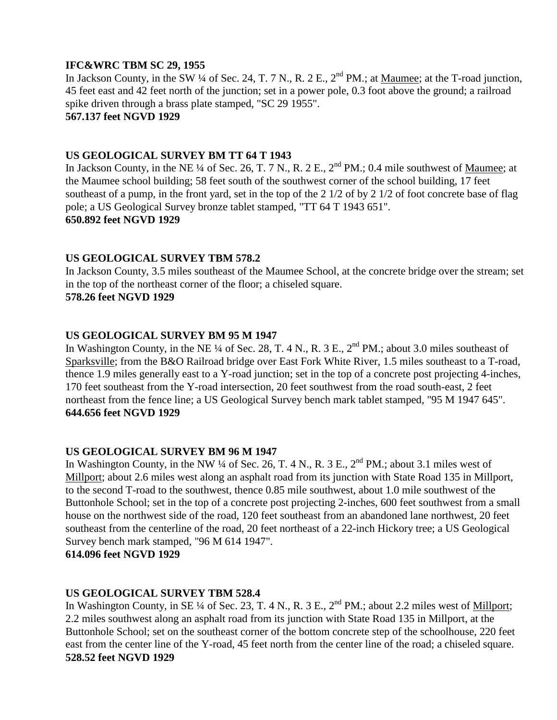## **IFC&WRC TBM SC 29, 1955**

In Jackson County, in the SW ¼ of Sec. 24, T. 7 N., R. 2 E., 2<sup>nd</sup> PM.; at <u>Maumee</u>; at the T-road junction, 45 feet east and 42 feet north of the junction; set in a power pole, 0.3 foot above the ground; a railroad spike driven through a brass plate stamped, "SC 29 1955".

# **567.137 feet NGVD 1929**

# **US GEOLOGICAL SURVEY BM TT 64 T 1943**

In Jackson County, in the NE ¼ of Sec. 26, T. 7 N., R. 2 E., 2<sup>nd</sup> PM.; 0.4 mile southwest of <u>Mau</u>mee; at the Maumee school building; 58 feet south of the southwest corner of the school building, 17 feet southeast of a pump, in the front yard, set in the top of the 2 1/2 of by 2 1/2 of foot concrete base of flag pole; a US Geological Survey bronze tablet stamped, "TT 64 T 1943 651". **650.892 feet NGVD 1929**

# **US GEOLOGICAL SURVEY TBM 578.2**

In Jackson County, 3.5 miles southeast of the Maumee School, at the concrete bridge over the stream; set in the top of the northeast corner of the floor; a chiseled square. **578.26 feet NGVD 1929**

# **US GEOLOGICAL SURVEY BM 95 M 1947**

In Washington County, in the NE ¼ of Sec. 28, T. 4 N., R. 3 E.,  $2<sup>nd</sup> PM$ .; about 3.0 miles southeast of Sparksville; from the B&O Railroad bridge over East Fork White River, 1.5 miles southeast to a T-road, thence 1.9 miles generally east to a Y-road junction; set in the top of a concrete post projecting 4-inches, 170 feet southeast from the Y-road intersection, 20 feet southwest from the road south-east, 2 feet northeast from the fence line; a US Geological Survey bench mark tablet stamped, "95 M 1947 645". **644.656 feet NGVD 1929**

## **US GEOLOGICAL SURVEY BM 96 M 1947**

In Washington County, in the NW  $\frac{1}{4}$  of Sec. 26, T. 4 N., R. 3 E.,  $2^{nd}$  PM.; about 3.1 miles west of Millport; about 2.6 miles west along an asphalt road from its junction with State Road 135 in Millport, to the second T-road to the southwest, thence 0.85 mile southwest, about 1.0 mile southwest of the Buttonhole School; set in the top of a concrete post projecting 2-inches, 600 feet southwest from a small house on the northwest side of the road, 120 feet southeast from an abandoned lane northwest, 20 feet southeast from the centerline of the road, 20 feet northeast of a 22-inch Hickory tree; a US Geological Survey bench mark stamped, "96 M 614 1947".

**614.096 feet NGVD 1929**

# **US GEOLOGICAL SURVEY TBM 528.4**

In Washington County, in SE ¼ of Sec. 23, T. 4 N., R. 3 E.,  $2^{nd}$  PM.; about 2.2 miles west of Millport; 2.2 miles southwest along an asphalt road from its junction with State Road 135 in Millport, at the Buttonhole School; set on the southeast corner of the bottom concrete step of the schoolhouse, 220 feet east from the center line of the Y-road, 45 feet north from the center line of the road; a chiseled square. **528.52 feet NGVD 1929**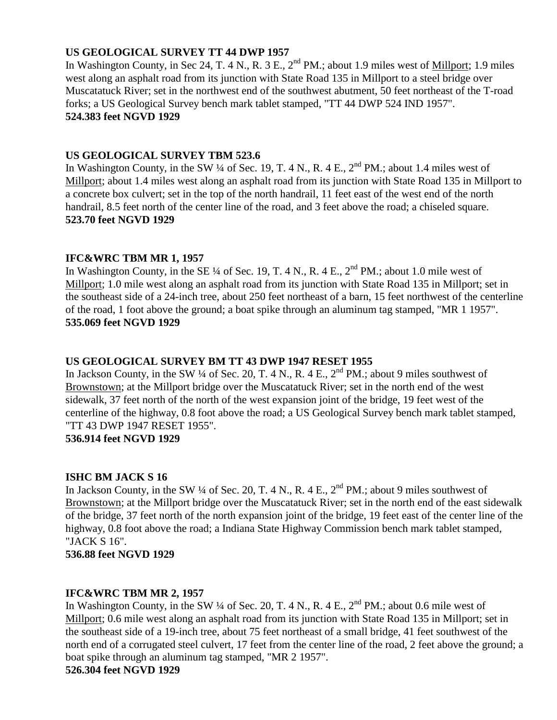# **US GEOLOGICAL SURVEY TT 44 DWP 1957**

In Washington County, in Sec 24, T. 4 N., R. 3 E.,  $2^{nd}$  PM.; about 1.9 miles west of Millport; 1.9 miles west along an asphalt road from its junction with State Road 135 in Millport to a steel bridge over Muscatatuck River; set in the northwest end of the southwest abutment, 50 feet northeast of the T-road forks; a US Geological Survey bench mark tablet stamped, "TT 44 DWP 524 IND 1957". **524.383 feet NGVD 1929**

## **US GEOLOGICAL SURVEY TBM 523.6**

In Washington County, in the SW  $\frac{1}{4}$  of Sec. 19, T. 4 N., R. 4 E.,  $2^{nd}$  PM.; about 1.4 miles west of Millport; about 1.4 miles west along an asphalt road from its junction with State Road 135 in Millport to a concrete box culvert; set in the top of the north handrail, 11 feet east of the west end of the north handrail, 8.5 feet north of the center line of the road, and 3 feet above the road; a chiseled square. **523.70 feet NGVD 1929**

## **IFC&WRC TBM MR 1, 1957**

In Washington County, in the SE  $\frac{1}{4}$  of Sec. 19, T. 4 N., R. 4 E.,  $2^{nd}$  PM.; about 1.0 mile west of Millport; 1.0 mile west along an asphalt road from its junction with State Road 135 in Millport; set in the southeast side of a 24-inch tree, about 250 feet northeast of a barn, 15 feet northwest of the centerline of the road, 1 foot above the ground; a boat spike through an aluminum tag stamped, "MR 1 1957". **535.069 feet NGVD 1929**

# **US GEOLOGICAL SURVEY BM TT 43 DWP 1947 RESET 1955**

In Jackson County, in the SW  $\frac{1}{4}$  of Sec. 20, T. 4 N., R. 4 E.,  $2^{nd}$  PM.; about 9 miles southwest of Brownstown; at the Millport bridge over the Muscatatuck River; set in the north end of the west sidewalk, 37 feet north of the north of the west expansion joint of the bridge, 19 feet west of the centerline of the highway, 0.8 foot above the road; a US Geological Survey bench mark tablet stamped, "TT 43 DWP 1947 RESET 1955".

## **536.914 feet NGVD 1929**

# **ISHC BM JACK S 16**

In Jackson County, in the SW  $\frac{1}{4}$  of Sec. 20, T. 4 N., R. 4 E.,  $2^{nd}$  PM.; about 9 miles southwest of Brownstown; at the Millport bridge over the Muscatatuck River; set in the north end of the east sidewalk of the bridge, 37 feet north of the north expansion joint of the bridge, 19 feet east of the center line of the highway, 0.8 foot above the road; a Indiana State Highway Commission bench mark tablet stamped, "JACK S 16".

**536.88 feet NGVD 1929**

# **IFC&WRC TBM MR 2, 1957**

In Washington County, in the SW ¼ of Sec. 20, T. 4 N., R. 4 E.,  $2<sup>nd</sup> PM$ .; about 0.6 mile west of Millport; 0.6 mile west along an asphalt road from its junction with State Road 135 in Millport; set in the southeast side of a 19-inch tree, about 75 feet northeast of a small bridge, 41 feet southwest of the north end of a corrugated steel culvert, 17 feet from the center line of the road, 2 feet above the ground; a boat spike through an aluminum tag stamped, "MR 2 1957". **526.304 feet NGVD 1929**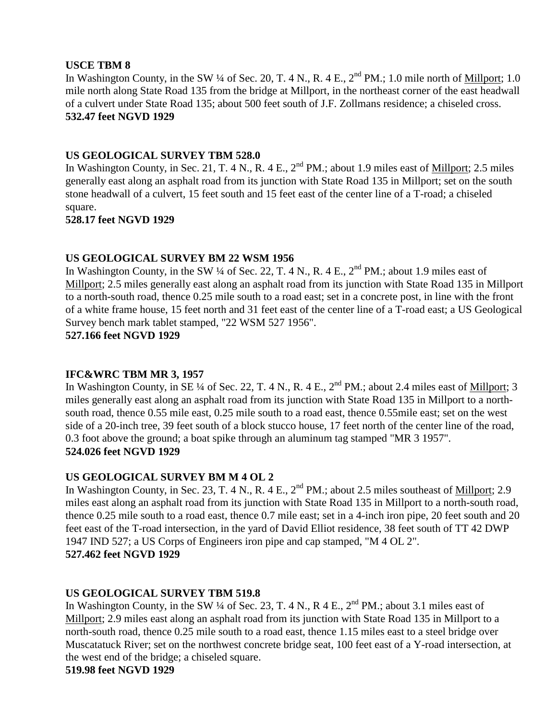# **USCE TBM 8**

In Washington County, in the SW ¼ of Sec. 20, T. 4 N., R. 4 E., 2<sup>nd</sup> PM.; 1.0 mile north of Millport; 1.0 mile north along State Road 135 from the bridge at Millport, in the northeast corner of the east headwall of a culvert under State Road 135; about 500 feet south of J.F. Zollmans residence; a chiseled cross. **532.47 feet NGVD 1929**

# **US GEOLOGICAL SURVEY TBM 528.0**

In Washington County, in Sec. 21, T. 4 N., R. 4 E., 2<sup>nd</sup> PM.; about 1.9 miles east of *Millport*; 2.5 miles generally east along an asphalt road from its junction with State Road 135 in Millport; set on the south stone headwall of a culvert, 15 feet south and 15 feet east of the center line of a T-road; a chiseled square.

**528.17 feet NGVD 1929**

## **US GEOLOGICAL SURVEY BM 22 WSM 1956**

In Washington County, in the SW  $\frac{1}{4}$  of Sec. 22, T. 4 N., R. 4 E.,  $2^{nd}$  PM.; about 1.9 miles east of Millport; 2.5 miles generally east along an asphalt road from its junction with State Road 135 in Millport to a north-south road, thence 0.25 mile south to a road east; set in a concrete post, in line with the front of a white frame house, 15 feet north and 31 feet east of the center line of a T-road east; a US Geological Survey bench mark tablet stamped, "22 WSM 527 1956".

**527.166 feet NGVD 1929**

## **IFC&WRC TBM MR 3, 1957**

In Washington County, in SE ¼ of Sec. 22, T. 4 N., R. 4 E., 2<sup>nd</sup> PM.; about 2.4 miles east of <u>Millport</u>; 3 miles generally east along an asphalt road from its junction with State Road 135 in Millport to a northsouth road, thence 0.55 mile east, 0.25 mile south to a road east, thence 0.55mile east; set on the west side of a 20-inch tree, 39 feet south of a block stucco house, 17 feet north of the center line of the road, 0.3 foot above the ground; a boat spike through an aluminum tag stamped "MR 3 1957". **524.026 feet NGVD 1929**

# **US GEOLOGICAL SURVEY BM M 4 OL 2**

In Washington County, in Sec. 23, T. 4 N., R. 4 E., 2<sup>nd</sup> PM.; about 2.5 miles southeast of *Millport*; 2.9 miles east along an asphalt road from its junction with State Road 135 in Millport to a north-south road, thence 0.25 mile south to a road east, thence 0.7 mile east; set in a 4-inch iron pipe, 20 feet south and 20 feet east of the T-road intersection, in the yard of David Elliot residence, 38 feet south of TT 42 DWP 1947 IND 527; a US Corps of Engineers iron pipe and cap stamped, "M 4 OL 2". **527.462 feet NGVD 1929**

# **US GEOLOGICAL SURVEY TBM 519.8**

In Washington County, in the SW  $\frac{1}{4}$  of Sec. 23, T. 4 N., R 4 E.,  $2^{nd}$  PM.; about 3.1 miles east of Millport; 2.9 miles east along an asphalt road from its junction with State Road 135 in Millport to a north-south road, thence 0.25 mile south to a road east, thence 1.15 miles east to a steel bridge over Muscatatuck River; set on the northwest concrete bridge seat, 100 feet east of a Y-road intersection, at the west end of the bridge; a chiseled square.

**519.98 feet NGVD 1929**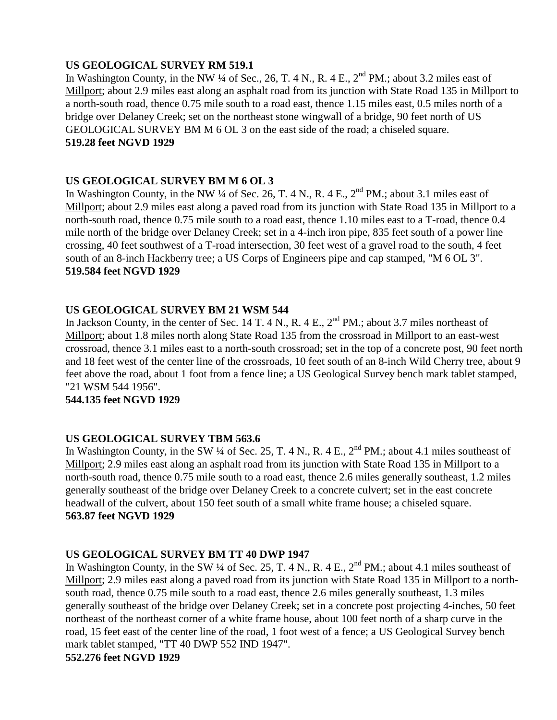# **US GEOLOGICAL SURVEY RM 519.1**

In Washington County, in the NW  $\frac{1}{4}$  of Sec., 26, T. 4 N., R. 4 E.,  $2^{nd}$  PM.; about 3.2 miles east of Millport; about 2.9 miles east along an asphalt road from its junction with State Road 135 in Millport to a north-south road, thence 0.75 mile south to a road east, thence 1.15 miles east, 0.5 miles north of a bridge over Delaney Creek; set on the northeast stone wingwall of a bridge, 90 feet north of US GEOLOGICAL SURVEY BM M 6 OL 3 on the east side of the road; a chiseled square. **519.28 feet NGVD 1929**

# **US GEOLOGICAL SURVEY BM M 6 OL 3**

In Washington County, in the NW  $\frac{1}{4}$  of Sec. 26, T. 4 N., R. 4 E.,  $2^{nd}$  PM.; about 3.1 miles east of Millport; about 2.9 miles east along a paved road from its junction with State Road 135 in Millport to a north-south road, thence 0.75 mile south to a road east, thence 1.10 miles east to a T-road, thence 0.4 mile north of the bridge over Delaney Creek; set in a 4-inch iron pipe, 835 feet south of a power line crossing, 40 feet southwest of a T-road intersection, 30 feet west of a gravel road to the south, 4 feet south of an 8-inch Hackberry tree; a US Corps of Engineers pipe and cap stamped, "M 6 OL 3". **519.584 feet NGVD 1929**

# **US GEOLOGICAL SURVEY BM 21 WSM 544**

In Jackson County, in the center of Sec. 14 T. 4 N., R. 4 E.,  $2^{nd}$  PM.; about 3.7 miles northeast of Millport; about 1.8 miles north along State Road 135 from the crossroad in Millport to an east-west crossroad, thence 3.1 miles east to a north-south crossroad; set in the top of a concrete post, 90 feet north and 18 feet west of the center line of the crossroads, 10 feet south of an 8-inch Wild Cherry tree, about 9 feet above the road, about 1 foot from a fence line; a US Geological Survey bench mark tablet stamped, "21 WSM 544 1956".

## **544.135 feet NGVD 1929**

## **US GEOLOGICAL SURVEY TBM 563.6**

In Washington County, in the SW ¼ of Sec. 25, T. 4 N., R. 4 E.,  $2<sup>nd</sup> PM$ .; about 4.1 miles southeast of Millport; 2.9 miles east along an asphalt road from its junction with State Road 135 in Millport to a north-south road, thence 0.75 mile south to a road east, thence 2.6 miles generally southeast, 1.2 miles generally southeast of the bridge over Delaney Creek to a concrete culvert; set in the east concrete headwall of the culvert, about 150 feet south of a small white frame house; a chiseled square. **563.87 feet NGVD 1929**

## **US GEOLOGICAL SURVEY BM TT 40 DWP 1947**

In Washington County, in the SW ¼ of Sec. 25, T. 4 N., R. 4 E.,  $2<sup>nd</sup> PM$ .; about 4.1 miles southeast of Millport; 2.9 miles east along a paved road from its junction with State Road 135 in Millport to a northsouth road, thence 0.75 mile south to a road east, thence 2.6 miles generally southeast, 1.3 miles generally southeast of the bridge over Delaney Creek; set in a concrete post projecting 4-inches, 50 feet northeast of the northeast corner of a white frame house, about 100 feet north of a sharp curve in the road, 15 feet east of the center line of the road, 1 foot west of a fence; a US Geological Survey bench mark tablet stamped, "TT 40 DWP 552 IND 1947". **552.276 feet NGVD 1929**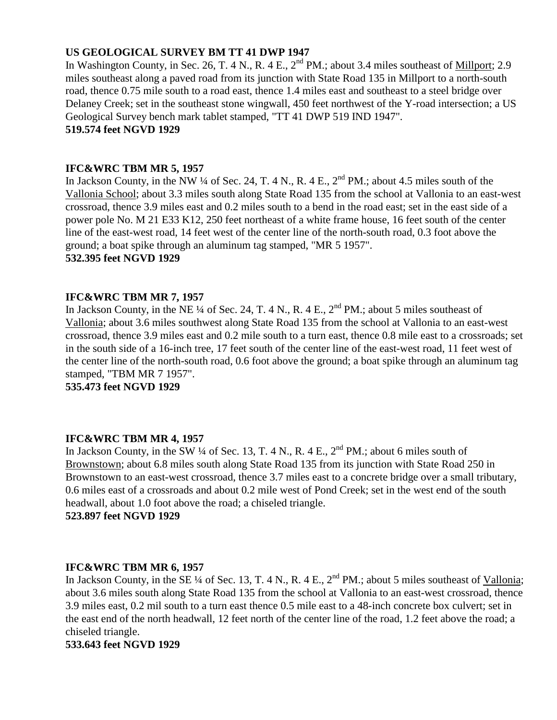# **US GEOLOGICAL SURVEY BM TT 41 DWP 1947**

In Washington County, in Sec. 26, T. 4 N., R. 4 E.,  $2^{nd}$  PM.; about 3.4 miles southeast of Millport; 2.9 miles southeast along a paved road from its junction with State Road 135 in Millport to a north-south road, thence 0.75 mile south to a road east, thence 1.4 miles east and southeast to a steel bridge over Delaney Creek; set in the southeast stone wingwall, 450 feet northwest of the Y-road intersection; a US Geological Survey bench mark tablet stamped, "TT 41 DWP 519 IND 1947". **519.574 feet NGVD 1929**

## **IFC&WRC TBM MR 5, 1957**

In Jackson County, in the NW ¼ of Sec. 24, T. 4 N., R. 4 E., 2<sup>nd</sup> PM.; about 4.5 miles south of the Vallonia School; about 3.3 miles south along State Road 135 from the school at Vallonia to an east-west crossroad, thence 3.9 miles east and 0.2 miles south to a bend in the road east; set in the east side of a power pole No. M 21 E33 K12, 250 feet northeast of a white frame house, 16 feet south of the center line of the east-west road, 14 feet west of the center line of the north-south road, 0.3 foot above the ground; a boat spike through an aluminum tag stamped, "MR 5 1957".

## **532.395 feet NGVD 1929**

## **IFC&WRC TBM MR 7, 1957**

In Jackson County, in the NE  $\frac{1}{4}$  of Sec. 24, T. 4 N., R. 4 E.,  $2^{nd}$  PM.; about 5 miles southeast of Vallonia; about 3.6 miles southwest along State Road 135 from the school at Vallonia to an east-west crossroad, thence 3.9 miles east and 0.2 mile south to a turn east, thence 0.8 mile east to a crossroads; set in the south side of a 16-inch tree, 17 feet south of the center line of the east-west road, 11 feet west of the center line of the north-south road, 0.6 foot above the ground; a boat spike through an aluminum tag stamped, "TBM MR 7 1957".

**535.473 feet NGVD 1929**

## **IFC&WRC TBM MR 4, 1957**

In Jackson County, in the SW  $\frac{1}{4}$  of Sec. 13, T. 4 N., R. 4 E.,  $2^{nd}$  PM.; about 6 miles south of Brownstown; about 6.8 miles south along State Road 135 from its junction with State Road 250 in Brownstown to an east-west crossroad, thence 3.7 miles east to a concrete bridge over a small tributary, 0.6 miles east of a crossroads and about 0.2 mile west of Pond Creek; set in the west end of the south headwall, about 1.0 foot above the road; a chiseled triangle.

**523.897 feet NGVD 1929**

## **IFC&WRC TBM MR 6, 1957**

In Jackson County, in the SE ¼ of Sec. 13, T. 4 N., R. 4 E.,  $2<sup>nd</sup> PM$ .; about 5 miles southeast of Vallonia; about 3.6 miles south along State Road 135 from the school at Vallonia to an east-west crossroad, thence 3.9 miles east, 0.2 mil south to a turn east thence 0.5 mile east to a 48-inch concrete box culvert; set in the east end of the north headwall, 12 feet north of the center line of the road, 1.2 feet above the road; a chiseled triangle.

#### **533.643 feet NGVD 1929**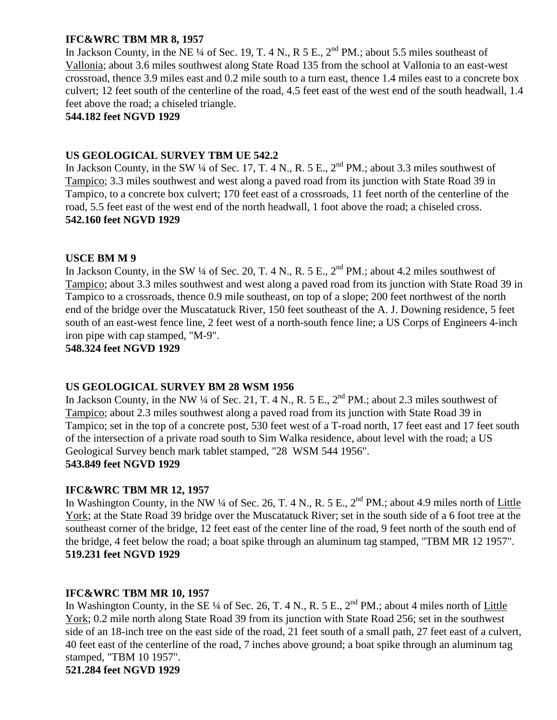# **IFC&WRC TBM MR 8, 1957**

In Jackson County, in the NE  $\frac{1}{4}$  of Sec. 19, T. 4 N., R 5 E.,  $2^{nd}$  PM.; about 5.5 miles southeast of Vallonia; about 3.6 miles southwest along State Road 135 from the school at Vallonia to an east-west crossroad, thence 3.9 miles east and 0.2 mile south to a turn east, thence 1.4 miles east to a concrete box culvert; 12 feet south of the centerline of the road, 4.5 feet east of the west end of the south headwall, 1.4 feet above the road; a chiseled triangle.

## **544.182 feet NGVD 1929**

# **US GEOLOGICAL SURVEY TBM UE 542.2**

In Jackson County, in the SW  $\frac{1}{4}$  of Sec. 17, T. 4 N., R. 5 E.,  $2^{nd}$  PM.; about 3.3 miles southwest of Tampico; 3.3 miles southwest and west along a paved road from its junction with State Road 39 in Tampico, to a concrete box culvert; 170 feet east of a crossroads, 11 feet north of the centerline of the road, 5.5 feet east of the west end of the north headwall, 1 foot above the road; a chiseled cross. **542.160 feet NGVD 1929**

## **USCE BM M 9**

In Jackson County, in the SW  $\frac{1}{4}$  of Sec. 20, T. 4 N., R. 5 E.,  $2^{nd}$  PM.; about 4.2 miles southwest of Tampico; about 3.3 miles southwest and west along a paved road from its junction with State Road 39 in Tampico to a crossroads, thence 0.9 mile southeast, on top of a slope; 200 feet northwest of the north end of the bridge over the Muscatatuck River, 150 feet southeast of the A. J. Downing residence, 5 feet south of an east-west fence line, 2 feet west of a north-south fence line; a US Corps of Engineers 4-inch iron pipe with cap stamped, "M-9".

## **548.324 feet NGVD 1929**

## **US GEOLOGICAL SURVEY BM 28 WSM 1956**

In Jackson County, in the NW  $\frac{1}{4}$  of Sec. 21, T. 4 N., R. 5 E.,  $2^{nd}$  PM.; about 2.3 miles southwest of Tampico; about 2.3 miles southwest along a paved road from its junction with State Road 39 in Tampico; set in the top of a concrete post, 530 feet west of a T-road north, 17 feet east and 17 feet south of the intersection of a private road south to Sim Walka residence, about level with the road; a US Geological Survey bench mark tablet stamped, "28 WSM 544 1956". **543.849 feet NGVD 1929**

## **IFC&WRC TBM MR 12, 1957**

In Washington County, in the NW ¼ of Sec. 26, T. 4 N., R. 5 E., 2<sup>nd</sup> PM.; about 4.9 miles north of Little York; at the State Road 39 bridge over the Muscatatuck River; set in the south side of a 6 foot tree at the southeast corner of the bridge, 12 feet east of the center line of the road, 9 feet north of the south end of the bridge, 4 feet below the road; a boat spike through an aluminum tag stamped, "TBM MR 12 1957". **519.231 feet NGVD 1929**

## **IFC&WRC TBM MR 10, 1957**

In Washington County, in the SE  $\frac{1}{4}$  of Sec. 26, T. 4 N., R. 5 E.,  $2^{nd}$  PM.; about 4 miles north of Little York; 0.2 mile north along State Road 39 from its junction with State Road 256; set in the southwest side of an 18-inch tree on the east side of the road, 21 feet south of a small path, 27 feet east of a culvert, 40 feet east of the centerline of the road, 7 inches above ground; a boat spike through an aluminum tag stamped, "TBM 10 1957".

**521.284 feet NGVD 1929**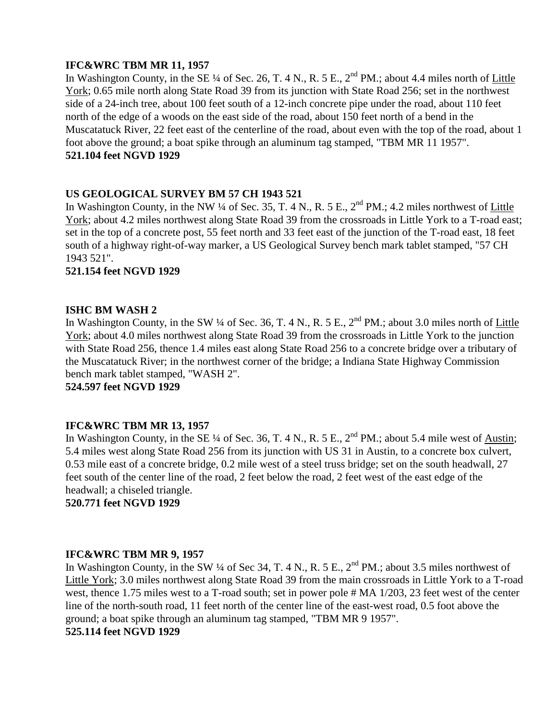## **IFC&WRC TBM MR 11, 1957**

In Washington County, in the SE ¼ of Sec. 26, T. 4 N., R. 5 E., 2<sup>nd</sup> PM.; about 4.4 miles north of Little York; 0.65 mile north along State Road 39 from its junction with State Road 256; set in the northwest side of a 24-inch tree, about 100 feet south of a 12-inch concrete pipe under the road, about 110 feet north of the edge of a woods on the east side of the road, about 150 feet north of a bend in the Muscatatuck River, 22 feet east of the centerline of the road, about even with the top of the road, about 1 foot above the ground; a boat spike through an aluminum tag stamped, "TBM MR 11 1957". **521.104 feet NGVD 1929**

# **US GEOLOGICAL SURVEY BM 57 CH 1943 521**

In Washington County, in the NW ¼ of Sec. 35, T. 4 N., R. 5 E.,  $2^{nd}$  PM.; 4.2 miles northwest of Little York; about 4.2 miles northwest along State Road 39 from the crossroads in Little York to a T-road east; set in the top of a concrete post, 55 feet north and 33 feet east of the junction of the T-road east, 18 feet south of a highway right-of-way marker, a US Geological Survey bench mark tablet stamped, "57 CH 1943 521".

## **521.154 feet NGVD 1929**

# **ISHC BM WASH 2**

In Washington County, in the SW  $\frac{1}{4}$  of Sec. 36, T. 4 N., R. 5 E.,  $2^{nd}$  PM.; about 3.0 miles north of Little York; about 4.0 miles northwest along State Road 39 from the crossroads in Little York to the junction with State Road 256, thence 1.4 miles east along State Road 256 to a concrete bridge over a tributary of the Muscatatuck River; in the northwest corner of the bridge; a Indiana State Highway Commission bench mark tablet stamped, "WASH 2".

**524.597 feet NGVD 1929**

## **IFC&WRC TBM MR 13, 1957**

In Washington County, in the SE  $\frac{1}{4}$  of Sec. 36, T. 4 N., R. 5 E.,  $2^{nd}$  PM.; about 5.4 mile west of Austin; 5.4 miles west along State Road 256 from its junction with US 31 in Austin, to a concrete box culvert, 0.53 mile east of a concrete bridge, 0.2 mile west of a steel truss bridge; set on the south headwall, 27 feet south of the center line of the road, 2 feet below the road, 2 feet west of the east edge of the headwall; a chiseled triangle.

**520.771 feet NGVD 1929**

## **IFC&WRC TBM MR 9, 1957**

In Washington County, in the SW ¼ of Sec 34, T. 4 N., R. 5 E.,  $2<sup>nd</sup> PM$ .; about 3.5 miles northwest of Little York; 3.0 miles northwest along State Road 39 from the main crossroads in Little York to a T-road west, thence 1.75 miles west to a T-road south; set in power pole # MA 1/203, 23 feet west of the center line of the north-south road, 11 feet north of the center line of the east-west road, 0.5 foot above the ground; a boat spike through an aluminum tag stamped, "TBM MR 9 1957". **525.114 feet NGVD 1929**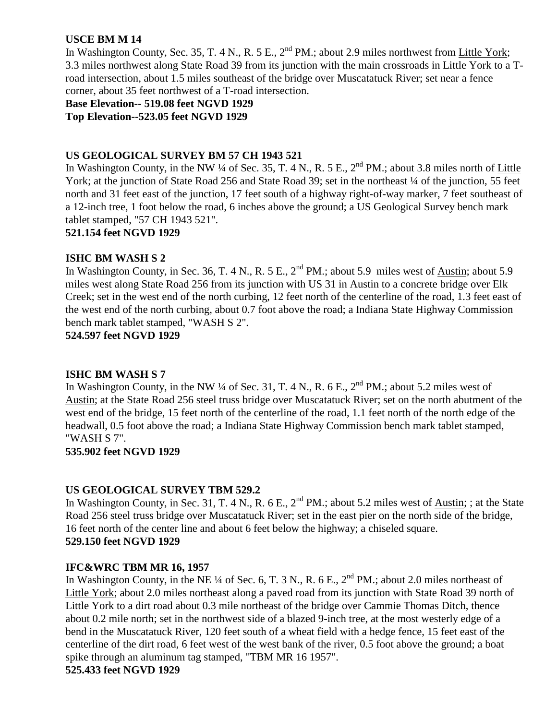# **USCE BM M 14**

In Washington County, Sec. 35, T. 4 N., R. 5 E.,  $2^{nd}$  PM.; about 2.9 miles northwest from Little York; 3.3 miles northwest along State Road 39 from its junction with the main crossroads in Little York to a Troad intersection, about 1.5 miles southeast of the bridge over Muscatatuck River; set near a fence corner, about 35 feet northwest of a T-road intersection.

**Base Elevation-- 519.08 feet NGVD 1929 Top Elevation--523.05 feet NGVD 1929**

# **US GEOLOGICAL SURVEY BM 57 CH 1943 521**

In Washington County, in the NW  $\frac{1}{4}$  of Sec. 35, T. 4 N., R. 5 E.,  $2^{nd}$  PM.; about 3.8 miles north of Little York; at the junction of State Road 256 and State Road 39; set in the northeast  $\frac{1}{4}$  of the junction, 55 feet north and 31 feet east of the junction, 17 feet south of a highway right-of-way marker, 7 feet southeast of a 12-inch tree, 1 foot below the road, 6 inches above the ground; a US Geological Survey bench mark tablet stamped, "57 CH 1943 521".

## **521.154 feet NGVD 1929**

## **ISHC BM WASH S 2**

In Washington County, in Sec. 36, T. 4 N., R. 5 E.,  $2^{nd}$  PM.; about 5.9 miles west of Austin; about 5.9 miles west along State Road 256 from its junction with US 31 in Austin to a concrete bridge over Elk Creek; set in the west end of the north curbing, 12 feet north of the centerline of the road, 1.3 feet east of the west end of the north curbing, about 0.7 foot above the road; a Indiana State Highway Commission bench mark tablet stamped, "WASH S 2".

**524.597 feet NGVD 1929**

## **ISHC BM WASH S 7**

In Washington County, in the NW  $\frac{1}{4}$  of Sec. 31, T. 4 N., R. 6 E.,  $2^{nd}$  PM.; about 5.2 miles west of Austin; at the State Road 256 steel truss bridge over Muscatatuck River; set on the north abutment of the west end of the bridge, 15 feet north of the centerline of the road, 1.1 feet north of the north edge of the headwall, 0.5 foot above the road; a Indiana State Highway Commission bench mark tablet stamped, "WASH S 7".

## **535.902 feet NGVD 1929**

# **US GEOLOGICAL SURVEY TBM 529.2**

In Washington County, in Sec. 31, T. 4 N., R. 6 E., 2<sup>nd</sup> PM.; about 5.2 miles west of Austin; ; at the State Road 256 steel truss bridge over Muscatatuck River; set in the east pier on the north side of the bridge, 16 feet north of the center line and about 6 feet below the highway; a chiseled square. **529.150 feet NGVD 1929**

## **IFC&WRC TBM MR 16, 1957**

In Washington County, in the NE ¼ of Sec. 6, T. 3 N., R. 6 E., 2<sup>nd</sup> PM.; about 2.0 miles northeast of Little York; about 2.0 miles northeast along a paved road from its junction with State Road 39 north of Little York to a dirt road about 0.3 mile northeast of the bridge over Cammie Thomas Ditch, thence about 0.2 mile north; set in the northwest side of a blazed 9-inch tree, at the most westerly edge of a bend in the Muscatatuck River, 120 feet south of a wheat field with a hedge fence, 15 feet east of the centerline of the dirt road, 6 feet west of the west bank of the river, 0.5 foot above the ground; a boat spike through an aluminum tag stamped, "TBM MR 16 1957". **525.433 feet NGVD 1929**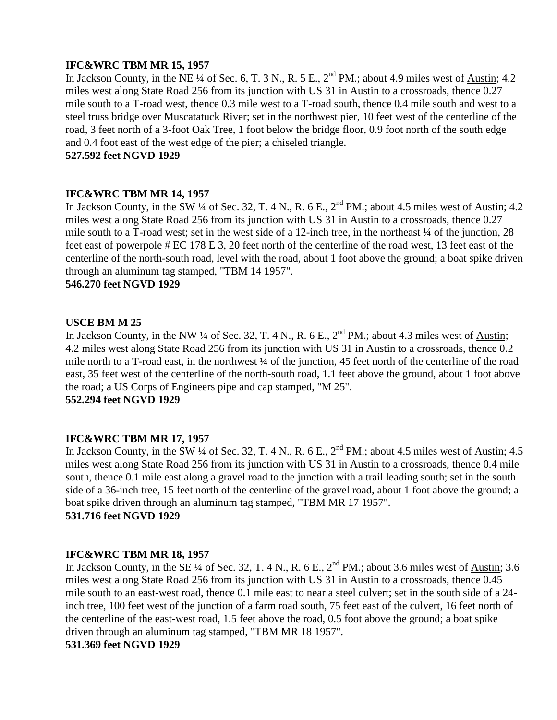# **IFC&WRC TBM MR 15, 1957**

In Jackson County, in the NE ¼ of Sec. 6, T. 3 N., R. 5 E., 2<sup>nd</sup> PM.; about 4.9 miles west of Austin; 4.2 miles west along State Road 256 from its junction with US 31 in Austin to a crossroads, thence 0.27 mile south to a T-road west, thence 0.3 mile west to a T-road south, thence 0.4 mile south and west to a steel truss bridge over Muscatatuck River; set in the northwest pier, 10 feet west of the centerline of the road, 3 feet north of a 3-foot Oak Tree, 1 foot below the bridge floor, 0.9 foot north of the south edge and 0.4 foot east of the west edge of the pier; a chiseled triangle.

# **527.592 feet NGVD 1929**

## **IFC&WRC TBM MR 14, 1957**

In Jackson County, in the SW ¼ of Sec. 32, T. 4 N., R. 6 E.,  $2^{nd}$  PM.; about 4.5 miles west of Austin; 4.2 miles west along State Road 256 from its junction with US 31 in Austin to a crossroads, thence 0.27 mile south to a T-road west; set in the west side of a 12-inch tree, in the northeast ¼ of the junction, 28 feet east of powerpole # EC 178 E 3, 20 feet north of the centerline of the road west, 13 feet east of the centerline of the north-south road, level with the road, about 1 foot above the ground; a boat spike driven through an aluminum tag stamped, "TBM 14 1957".

**546.270 feet NGVD 1929**

## **USCE BM M 25**

In Jackson County, in the NW ¼ of Sec. 32, T. 4 N., R. 6 E.,  $2<sup>nd</sup> PM$ .; about 4.3 miles west of Austin; 4.2 miles west along State Road 256 from its junction with US 31 in Austin to a crossroads, thence 0.2 mile north to a T-road east, in the northwest ¼ of the junction, 45 feet north of the centerline of the road east, 35 feet west of the centerline of the north-south road, 1.1 feet above the ground, about 1 foot above the road; a US Corps of Engineers pipe and cap stamped, "M 25".

# **552.294 feet NGVD 1929**

## **IFC&WRC TBM MR 17, 1957**

In Jackson County, in the SW ¼ of Sec. 32, T. 4 N., R. 6 E.,  $2^{nd}$  PM.; about 4.5 miles west of Austin; 4.5 miles west along State Road 256 from its junction with US 31 in Austin to a crossroads, thence 0.4 mile south, thence 0.1 mile east along a gravel road to the junction with a trail leading south; set in the south side of a 36-inch tree, 15 feet north of the centerline of the gravel road, about 1 foot above the ground; a boat spike driven through an aluminum tag stamped, "TBM MR 17 1957". **531.716 feet NGVD 1929**

## **IFC&WRC TBM MR 18, 1957**

In Jackson County, in the SE ¼ of Sec. 32, T. 4 N., R. 6 E., 2<sup>nd</sup> PM.; about 3.6 miles west of Austin; 3.6 miles west along State Road 256 from its junction with US 31 in Austin to a crossroads, thence 0.45 mile south to an east-west road, thence 0.1 mile east to near a steel culvert; set in the south side of a 24 inch tree, 100 feet west of the junction of a farm road south, 75 feet east of the culvert, 16 feet north of the centerline of the east-west road, 1.5 feet above the road, 0.5 foot above the ground; a boat spike driven through an aluminum tag stamped, "TBM MR 18 1957". **531.369 feet NGVD 1929**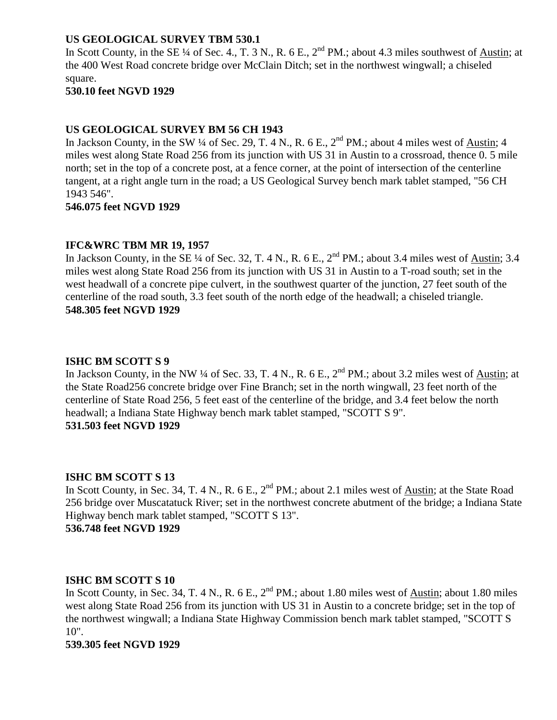# **US GEOLOGICAL SURVEY TBM 530.1**

In Scott County, in the SE ¼ of Sec. 4., T. 3 N., R. 6 E.,  $2<sup>nd</sup> PM$ .; about 4.3 miles southwest of Austin; at the 400 West Road concrete bridge over McClain Ditch; set in the northwest wingwall; a chiseled square.

# **530.10 feet NGVD 1929**

# **US GEOLOGICAL SURVEY BM 56 CH 1943**

In Jackson County, in the SW ¼ of Sec. 29, T. 4 N., R. 6 E.,  $2<sup>nd</sup> PM$ .; about 4 miles west of Austin; 4 miles west along State Road 256 from its junction with US 31 in Austin to a crossroad, thence 0. 5 mile north; set in the top of a concrete post, at a fence corner, at the point of intersection of the centerline tangent, at a right angle turn in the road; a US Geological Survey bench mark tablet stamped, "56 CH 1943 546".

## **546.075 feet NGVD 1929**

## **IFC&WRC TBM MR 19, 1957**

In Jackson County, in the SE ¼ of Sec. 32, T. 4 N., R. 6 E.,  $2<sup>nd</sup> PM$ .; about 3.4 miles west of Austin; 3.4 miles west along State Road 256 from its junction with US 31 in Austin to a T-road south; set in the west headwall of a concrete pipe culvert, in the southwest quarter of the junction, 27 feet south of the centerline of the road south, 3.3 feet south of the north edge of the headwall; a chiseled triangle. **548.305 feet NGVD 1929**

## **ISHC BM SCOTT S 9**

In Jackson County, in the NW ¼ of Sec. 33, T. 4 N., R. 6 E.,  $2<sup>nd</sup> PM$ .; about 3.2 miles west of Austin; at the State Road256 concrete bridge over Fine Branch; set in the north wingwall, 23 feet north of the centerline of State Road 256, 5 feet east of the centerline of the bridge, and 3.4 feet below the north headwall; a Indiana State Highway bench mark tablet stamped, "SCOTT S 9". **531.503 feet NGVD 1929**

## **ISHC BM SCOTT S 13**

In Scott County, in Sec. 34, T. 4 N., R. 6 E., 2<sup>nd</sup> PM.; about 2.1 miles west of Austin; at the State Road 256 bridge over Muscatatuck River; set in the northwest concrete abutment of the bridge; a Indiana State Highway bench mark tablet stamped, "SCOTT S 13". **536.748 feet NGVD 1929**

# **ISHC BM SCOTT S 10**

In Scott County, in Sec. 34, T. 4 N., R. 6 E.,  $2<sup>nd</sup> PM$ .; about 1.80 miles west of Austin; about 1.80 miles west along State Road 256 from its junction with US 31 in Austin to a concrete bridge; set in the top of the northwest wingwall; a Indiana State Highway Commission bench mark tablet stamped, "SCOTT S 10".

#### **539.305 feet NGVD 1929**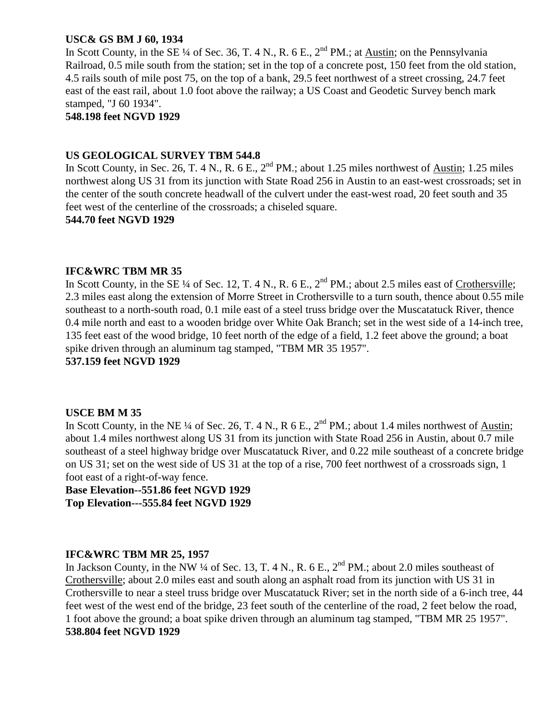## **USC& GS BM J 60, 1934**

In Scott County, in the SE  $\frac{1}{4}$  of Sec. 36, T. 4 N., R. 6 E., 2<sup>nd</sup> PM.; at Austin; on the Pennsylvania Railroad, 0.5 mile south from the station; set in the top of a concrete post, 150 feet from the old station, 4.5 rails south of mile post 75, on the top of a bank, 29.5 feet northwest of a street crossing, 24.7 feet east of the east rail, about 1.0 foot above the railway; a US Coast and Geodetic Survey bench mark stamped, "J 60 1934".

## **548.198 feet NGVD 1929**

## **US GEOLOGICAL SURVEY TBM 544.8**

In Scott County, in Sec. 26, T. 4 N., R. 6 E.,  $2^{nd}$  PM.; about 1.25 miles northwest of Austin; 1.25 miles northwest along US 31 from its junction with State Road 256 in Austin to an east-west crossroads; set in the center of the south concrete headwall of the culvert under the east-west road, 20 feet south and 35 feet west of the centerline of the crossroads; a chiseled square.

**544.70 feet NGVD 1929**

## **IFC&WRC TBM MR 35**

In Scott County, in the SE  $\frac{1}{4}$  of Sec. 12, T. 4 N., R. 6 E.,  $2^{nd}$  PM.; about 2.5 miles east of Crothersville; 2.3 miles east along the extension of Morre Street in Crothersville to a turn south, thence about 0.55 mile southeast to a north-south road, 0.1 mile east of a steel truss bridge over the Muscatatuck River, thence 0.4 mile north and east to a wooden bridge over White Oak Branch; set in the west side of a 14-inch tree, 135 feet east of the wood bridge, 10 feet north of the edge of a field, 1.2 feet above the ground; a boat spike driven through an aluminum tag stamped, "TBM MR 35 1957".

**537.159 feet NGVD 1929**

## **USCE BM M 35**

In Scott County, in the NE ¼ of Sec. 26, T. 4 N., R  $6$  E.,  $2<sup>nd</sup>$  PM.; about 1.4 miles northwest of Austin; about 1.4 miles northwest along US 31 from its junction with State Road 256 in Austin, about 0.7 mile southeast of a steel highway bridge over Muscatatuck River, and 0.22 mile southeast of a concrete bridge on US 31; set on the west side of US 31 at the top of a rise, 700 feet northwest of a crossroads sign, 1 foot east of a right-of-way fence.

**Base Elevation--551.86 feet NGVD 1929 Top Elevation---555.84 feet NGVD 1929**

# **IFC&WRC TBM MR 25, 1957**

In Jackson County, in the NW  $\frac{1}{4}$  of Sec. 13, T. 4 N., R. 6 E.,  $2^{nd}$  PM.; about 2.0 miles southeast of Crothersville; about 2.0 miles east and south along an asphalt road from its junction with US 31 in Crothersville to near a steel truss bridge over Muscatatuck River; set in the north side of a 6-inch tree, 44 feet west of the west end of the bridge, 23 feet south of the centerline of the road, 2 feet below the road, 1 foot above the ground; a boat spike driven through an aluminum tag stamped, "TBM MR 25 1957". **538.804 feet NGVD 1929**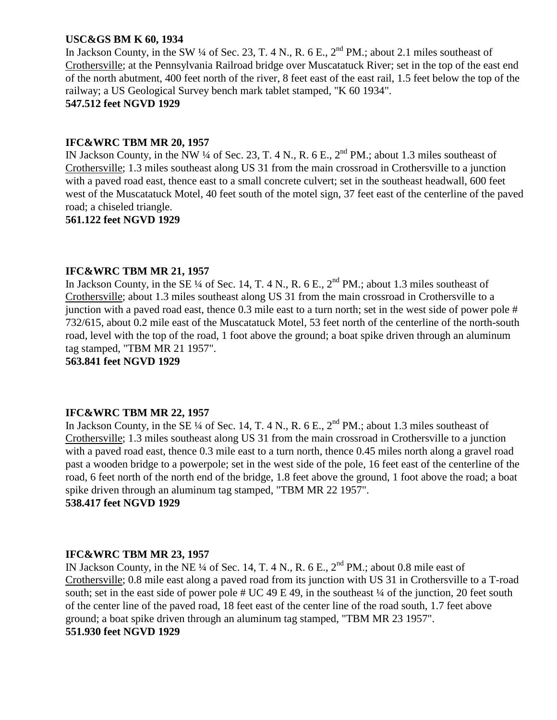## **USC&GS BM K 60, 1934**

In Jackson County, in the SW  $\frac{1}{4}$  of Sec. 23, T. 4 N., R. 6 E., 2<sup>nd</sup> PM.; about 2.1 miles southeast of Crothersville; at the Pennsylvania Railroad bridge over Muscatatuck River; set in the top of the east end of the north abutment, 400 feet north of the river, 8 feet east of the east rail, 1.5 feet below the top of the railway; a US Geological Survey bench mark tablet stamped, "K 60 1934".

# **547.512 feet NGVD 1929**

# **IFC&WRC TBM MR 20, 1957**

IN Jackson County, in the NW  $\frac{1}{4}$  of Sec. 23, T. 4 N., R. 6 E.,  $2^{nd}$  PM.; about 1.3 miles southeast of Crothersville; 1.3 miles southeast along US 31 from the main crossroad in Crothersville to a junction with a paved road east, thence east to a small concrete culvert; set in the southeast headwall, 600 feet west of the Muscatatuck Motel, 40 feet south of the motel sign, 37 feet east of the centerline of the paved road; a chiseled triangle.

**561.122 feet NGVD 1929**

## **IFC&WRC TBM MR 21, 1957**

In Jackson County, in the SE  $\frac{1}{4}$  of Sec. 14, T. 4 N., R. 6 E.,  $2^{nd}$  PM.; about 1.3 miles southeast of Crothersville; about 1.3 miles southeast along US 31 from the main crossroad in Crothersville to a junction with a paved road east, thence 0.3 mile east to a turn north; set in the west side of power pole # 732/615, about 0.2 mile east of the Muscatatuck Motel, 53 feet north of the centerline of the north-south road, level with the top of the road, 1 foot above the ground; a boat spike driven through an aluminum tag stamped, "TBM MR 21 1957".

**563.841 feet NGVD 1929**

# **IFC&WRC TBM MR 22, 1957**

In Jackson County, in the SE ¼ of Sec. 14, T. 4 N., R. 6 E.,  $2<sup>nd</sup> PM$ .; about 1.3 miles southeast of Crothersville; 1.3 miles southeast along US 31 from the main crossroad in Crothersville to a junction with a paved road east, thence 0.3 mile east to a turn north, thence 0.45 miles north along a gravel road past a wooden bridge to a powerpole; set in the west side of the pole, 16 feet east of the centerline of the road, 6 feet north of the north end of the bridge, 1.8 feet above the ground, 1 foot above the road; a boat spike driven through an aluminum tag stamped, "TBM MR 22 1957".

# **538.417 feet NGVD 1929**

## **IFC&WRC TBM MR 23, 1957**

IN Jackson County, in the NE  $\frac{1}{4}$  of Sec. 14, T. 4 N., R. 6 E.,  $2<sup>nd</sup>$  PM.; about 0.8 mile east of Crothersville; 0.8 mile east along a paved road from its junction with US 31 in Crothersville to a T-road south; set in the east side of power pole  $\#$  UC 49 E 49, in the southeast  $\frac{1}{4}$  of the junction, 20 feet south of the center line of the paved road, 18 feet east of the center line of the road south, 1.7 feet above ground; a boat spike driven through an aluminum tag stamped, "TBM MR 23 1957". **551.930 feet NGVD 1929**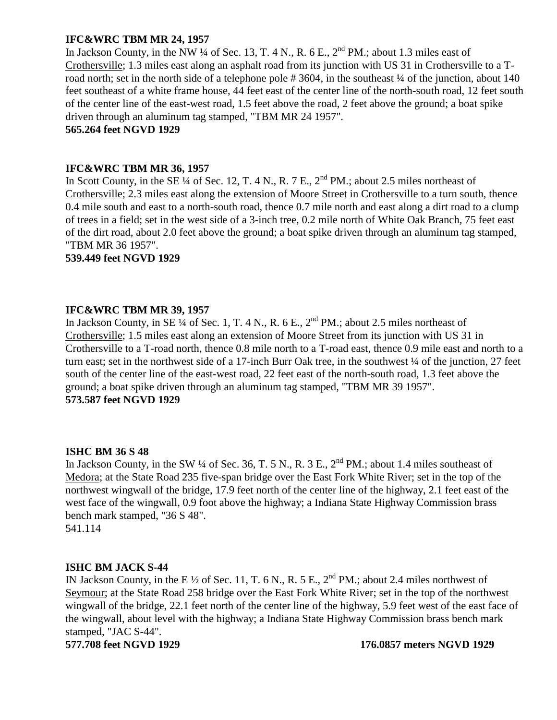# **IFC&WRC TBM MR 24, 1957**

In Jackson County, in the NW ¼ of Sec. 13, T. 4 N., R. 6 E.,  $2^{nd}$  PM.; about 1.3 miles east of Crothersville; 1.3 miles east along an asphalt road from its junction with US 31 in Crothersville to a Troad north; set in the north side of a telephone pole #3604, in the southeast ¼ of the junction, about 140 feet southeast of a white frame house, 44 feet east of the center line of the north-south road, 12 feet south of the center line of the east-west road, 1.5 feet above the road, 2 feet above the ground; a boat spike driven through an aluminum tag stamped, "TBM MR 24 1957".

**565.264 feet NGVD 1929**

## **IFC&WRC TBM MR 36, 1957**

In Scott County, in the SE  $\frac{1}{4}$  of Sec. 12, T. 4 N., R. 7 E.,  $2^{nd}$  PM.; about 2.5 miles northeast of Crothersville; 2.3 miles east along the extension of Moore Street in Crothersville to a turn south, thence 0.4 mile south and east to a north-south road, thence 0.7 mile north and east along a dirt road to a clump of trees in a field; set in the west side of a 3-inch tree, 0.2 mile north of White Oak Branch, 75 feet east of the dirt road, about 2.0 feet above the ground; a boat spike driven through an aluminum tag stamped, "TBM MR 36 1957".

## **539.449 feet NGVD 1929**

## **IFC&WRC TBM MR 39, 1957**

In Jackson County, in SE  $\frac{1}{4}$  of Sec. 1, T. 4 N., R. 6 E., 2<sup>nd</sup> PM.; about 2.5 miles northeast of Crothersville; 1.5 miles east along an extension of Moore Street from its junction with US 31 in Crothersville to a T-road north, thence 0.8 mile north to a T-road east, thence 0.9 mile east and north to a turn east; set in the northwest side of a 17-inch Burr Oak tree, in the southwest ¼ of the junction, 27 feet south of the center line of the east-west road, 22 feet east of the north-south road, 1.3 feet above the ground; a boat spike driven through an aluminum tag stamped, "TBM MR 39 1957". **573.587 feet NGVD 1929**

## **ISHC BM 36 S 48**

In Jackson County, in the SW  $\frac{1}{4}$  of Sec. 36, T. 5 N., R. 3 E., 2<sup>nd</sup> PM.; about 1.4 miles southeast of Medora; at the State Road 235 five-span bridge over the East Fork White River; set in the top of the northwest wingwall of the bridge, 17.9 feet north of the center line of the highway, 2.1 feet east of the west face of the wingwall, 0.9 foot above the highway; a Indiana State Highway Commission brass bench mark stamped, "36 S 48".

541.114

## **ISHC BM JACK S-44**

IN Jackson County, in the E  $\frac{1}{2}$  of Sec. 11, T. 6 N., R. 5 E., 2<sup>nd</sup> PM.; about 2.4 miles northwest of Seymour; at the State Road 258 bridge over the East Fork White River; set in the top of the northwest wingwall of the bridge, 22.1 feet north of the center line of the highway, 5.9 feet west of the east face of the wingwall, about level with the highway; a Indiana State Highway Commission brass bench mark stamped, "JAC S-44".

**577.708 feet NGVD 1929 176.0857 meters NGVD 1929**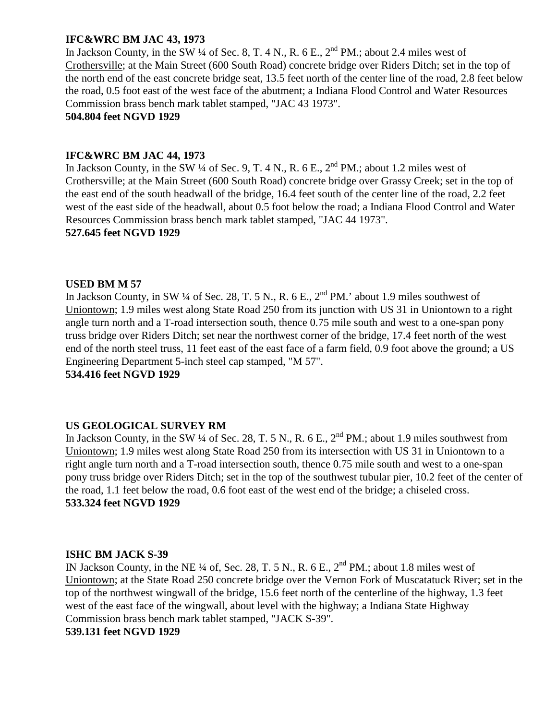# **IFC&WRC BM JAC 43, 1973**

In Jackson County, in the SW  $\frac{1}{4}$  of Sec. 8, T. 4 N., R. 6 E.,  $2^{nd}$  PM.; about 2.4 miles west of Crothersville; at the Main Street (600 South Road) concrete bridge over Riders Ditch; set in the top of the north end of the east concrete bridge seat, 13.5 feet north of the center line of the road, 2.8 feet below the road, 0.5 foot east of the west face of the abutment; a Indiana Flood Control and Water Resources Commission brass bench mark tablet stamped, "JAC 43 1973".

**504.804 feet NGVD 1929**

## **IFC&WRC BM JAC 44, 1973**

In Jackson County, in the SW  $\frac{1}{4}$  of Sec. 9, T. 4 N., R. 6 E.,  $2^{nd}$  PM.; about 1.2 miles west of Crothersville; at the Main Street (600 South Road) concrete bridge over Grassy Creek; set in the top of the east end of the south headwall of the bridge, 16.4 feet south of the center line of the road, 2.2 feet west of the east side of the headwall, about 0.5 foot below the road; a Indiana Flood Control and Water Resources Commission brass bench mark tablet stamped, "JAC 44 1973".

## **527.645 feet NGVD 1929**

## **USED BM M 57**

In Jackson County, in SW  $\frac{1}{4}$  of Sec. 28, T. 5 N., R. 6 E.,  $2^{nd}$  PM.' about 1.9 miles southwest of Uniontown; 1.9 miles west along State Road 250 from its junction with US 31 in Uniontown to a right angle turn north and a T-road intersection south, thence 0.75 mile south and west to a one-span pony truss bridge over Riders Ditch; set near the northwest corner of the bridge, 17.4 feet north of the west end of the north steel truss, 11 feet east of the east face of a farm field, 0.9 foot above the ground; a US Engineering Department 5-inch steel cap stamped, "M 57".

**534.416 feet NGVD 1929**

# **US GEOLOGICAL SURVEY RM**

In Jackson County, in the SW  $\frac{1}{4}$  of Sec. 28, T. 5 N., R. 6 E.,  $2^{nd}$  PM.; about 1.9 miles southwest from Uniontown; 1.9 miles west along State Road 250 from its intersection with US 31 in Uniontown to a right angle turn north and a T-road intersection south, thence 0.75 mile south and west to a one-span pony truss bridge over Riders Ditch; set in the top of the southwest tubular pier, 10.2 feet of the center of the road, 1.1 feet below the road, 0.6 foot east of the west end of the bridge; a chiseled cross. **533.324 feet NGVD 1929**

## **ISHC BM JACK S-39**

IN Jackson County, in the NE  $\frac{1}{4}$  of, Sec. 28, T. 5 N., R. 6 E., 2<sup>nd</sup> PM.; about 1.8 miles west of Uniontown; at the State Road 250 concrete bridge over the Vernon Fork of Muscatatuck River; set in the top of the northwest wingwall of the bridge, 15.6 feet north of the centerline of the highway, 1.3 feet west of the east face of the wingwall, about level with the highway; a Indiana State Highway Commission brass bench mark tablet stamped, "JACK S-39". **539.131 feet NGVD 1929**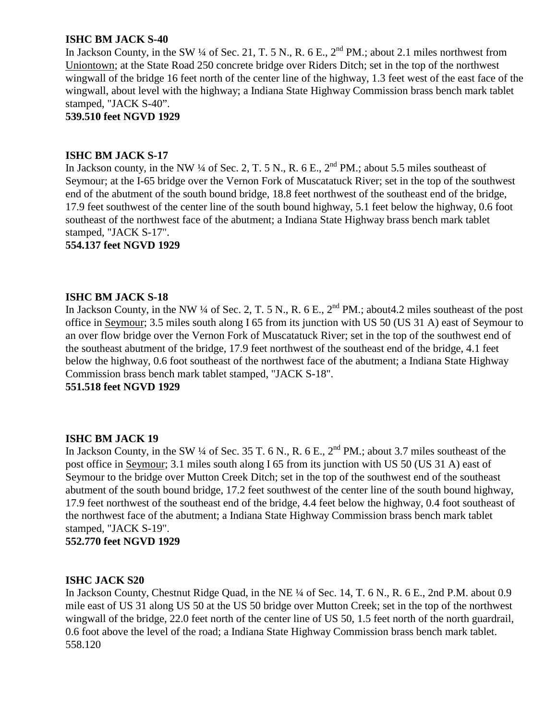# **ISHC BM JACK S-40**

In Jackson County, in the SW  $\frac{1}{4}$  of Sec. 21, T. 5 N., R. 6 E.,  $2^{nd}$  PM.; about 2.1 miles northwest from Uniontown; at the State Road 250 concrete bridge over Riders Ditch; set in the top of the northwest wingwall of the bridge 16 feet north of the center line of the highway, 1.3 feet west of the east face of the wingwall, about level with the highway; a Indiana State Highway Commission brass bench mark tablet stamped, "JACK S-40".

**539.510 feet NGVD 1929**

### **ISHC BM JACK S-17**

In Jackson county, in the NW ¼ of Sec. 2, T. 5 N., R. 6 E.,  $2^{nd}$  PM.; about 5.5 miles southeast of Seymour; at the I-65 bridge over the Vernon Fork of Muscatatuck River; set in the top of the southwest end of the abutment of the south bound bridge, 18.8 feet northwest of the southeast end of the bridge, 17.9 feet southwest of the center line of the south bound highway, 5.1 feet below the highway, 0.6 foot southeast of the northwest face of the abutment; a Indiana State Highway brass bench mark tablet stamped, "JACK S-17".

**554.137 feet NGVD 1929**

#### **ISHC BM JACK S-18**

In Jackson County, in the NW  $\frac{1}{4}$  of Sec. 2, T. 5 N., R. 6 E.,  $2^{nd}$  PM.; about 4.2 miles southeast of the post office in Seymour; 3.5 miles south along I 65 from its junction with US 50 (US 31 A) east of Seymour to an over flow bridge over the Vernon Fork of Muscatatuck River; set in the top of the southwest end of the southeast abutment of the bridge, 17.9 feet northwest of the southeast end of the bridge, 4.1 feet below the highway, 0.6 foot southeast of the northwest face of the abutment; a Indiana State Highway Commission brass bench mark tablet stamped, "JACK S-18".

**551.518 feet NGVD 1929**

#### **ISHC BM JACK 19**

In Jackson County, in the SW  $\frac{1}{4}$  of Sec. 35 T. 6 N., R. 6 E.,  $2^{nd}$  PM.; about 3.7 miles southeast of the post office in Seymour; 3.1 miles south along I 65 from its junction with US 50 (US 31 A) east of Seymour to the bridge over Mutton Creek Ditch; set in the top of the southwest end of the southeast abutment of the south bound bridge, 17.2 feet southwest of the center line of the south bound highway, 17.9 feet northwest of the southeast end of the bridge, 4.4 feet below the highway, 0.4 foot southeast of the northwest face of the abutment; a Indiana State Highway Commission brass bench mark tablet stamped, "JACK S-19".

### **552.770 feet NGVD 1929**

#### **ISHC JACK S20**

In Jackson County, Chestnut Ridge Quad, in the NE ¼ of Sec. 14, T. 6 N., R. 6 E., 2nd P.M. about 0.9 mile east of US 31 along US 50 at the US 50 bridge over Mutton Creek; set in the top of the northwest wingwall of the bridge, 22.0 feet north of the center line of US 50, 1.5 feet north of the north guardrail, 0.6 foot above the level of the road; a Indiana State Highway Commission brass bench mark tablet. 558.120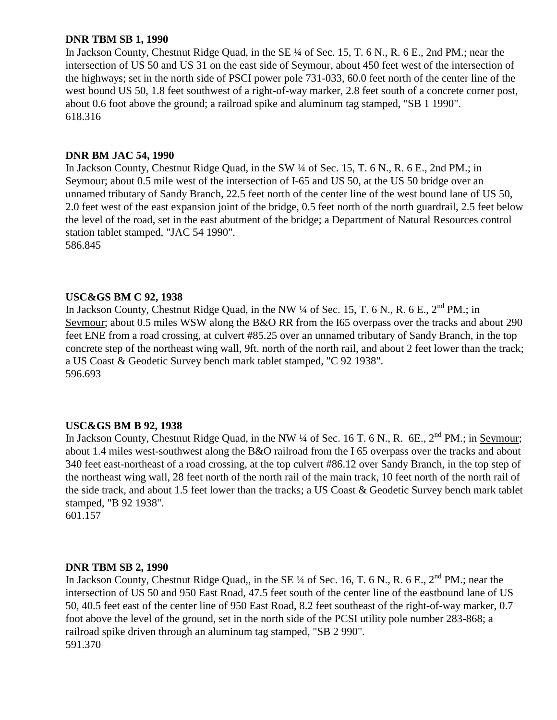### **DNR TBM SB 1, 1990**

In Jackson County, Chestnut Ridge Quad, in the SE ¼ of Sec. 15, T. 6 N., R. 6 E., 2nd PM.; near the intersection of US 50 and US 31 on the east side of Seymour, about 450 feet west of the intersection of the highways; set in the north side of PSCI power pole 731-033, 60.0 feet north of the center line of the west bound US 50, 1.8 feet southwest of a right-of-way marker, 2.8 feet south of a concrete corner post, about 0.6 foot above the ground; a railroad spike and aluminum tag stamped, "SB 1 1990". 618.316

# **DNR BM JAC 54, 1990**

In Jackson County, Chestnut Ridge Quad, in the SW  $\frac{1}{4}$  of Sec. 15, T. 6 N., R. 6 E., 2nd PM.; in Seymour; about 0.5 mile west of the intersection of I-65 and US 50, at the US 50 bridge over an unnamed tributary of Sandy Branch, 22.5 feet north of the center line of the west bound lane of US 50, 2.0 feet west of the east expansion joint of the bridge, 0.5 feet north of the north guardrail, 2.5 feet below the level of the road, set in the east abutment of the bridge; a Department of Natural Resources control station tablet stamped, "JAC 54 1990". 586.845

# **USC&GS BM C 92, 1938**

In Jackson County, Chestnut Ridge Quad, in the NW  $\frac{1}{4}$  of Sec. 15, T. 6 N., R. 6 E.,  $2^{nd}$  PM.; in Seymour; about 0.5 miles WSW along the B&O RR from the I65 overpass over the tracks and about 290 feet ENE from a road crossing, at culvert #85.25 over an unnamed tributary of Sandy Branch, in the top concrete step of the northeast wing wall, 9ft. north of the north rail, and about 2 feet lower than the track; a US Coast & Geodetic Survey bench mark tablet stamped, "C 92 1938". 596.693

#### **USC&GS BM B 92, 1938**

In Jackson County, Chestnut Ridge Quad, in the NW  $\frac{1}{4}$  of Sec. 16 T. 6 N., R. 6E.,  $2^{nd}$  PM.; in Seymour; about 1.4 miles west-southwest along the B&O railroad from the I 65 overpass over the tracks and about 340 feet east-northeast of a road crossing, at the top culvert #86.12 over Sandy Branch, in the top step of the northeast wing wall, 28 feet north of the north rail of the main track, 10 feet north of the north rail of the side track, and about 1.5 feet lower than the tracks; a US Coast & Geodetic Survey bench mark tablet stamped, "B 92 1938".

601.157

#### **DNR TBM SB 2, 1990**

In Jackson County, Chestnut Ridge Quad,, in the SE  $\frac{1}{4}$  of Sec. 16, T. 6 N., R. 6 E.,  $2^{nd}$  PM.; near the intersection of US 50 and 950 East Road, 47.5 feet south of the center line of the eastbound lane of US 50, 40.5 feet east of the center line of 950 East Road, 8.2 feet southeast of the right-of-way marker, 0.7 foot above the level of the ground, set in the north side of the PCSI utility pole number 283-868; a railroad spike driven through an aluminum tag stamped, "SB 2 990". 591.370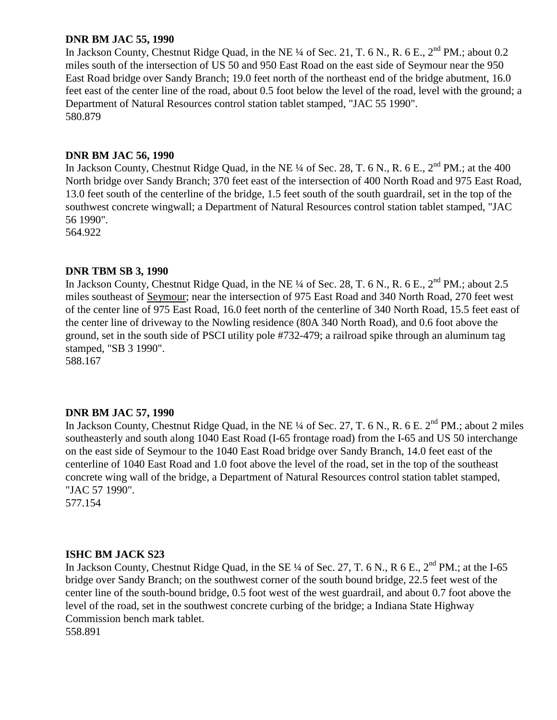### **DNR BM JAC 55, 1990**

In Jackson County, Chestnut Ridge Quad, in the NE ¼ of Sec. 21, T. 6 N., R. 6 E., 2<sup>nd</sup> PM.; about 0.2 miles south of the intersection of US 50 and 950 East Road on the east side of Seymour near the 950 East Road bridge over Sandy Branch; 19.0 feet north of the northeast end of the bridge abutment, 16.0 feet east of the center line of the road, about 0.5 foot below the level of the road, level with the ground; a Department of Natural Resources control station tablet stamped, "JAC 55 1990". 580.879

# **DNR BM JAC 56, 1990**

In Jackson County, Chestnut Ridge Quad, in the NE  $\frac{1}{4}$  of Sec. 28, T. 6 N., R. 6 E., 2<sup>nd</sup> PM.; at the 400 North bridge over Sandy Branch; 370 feet east of the intersection of 400 North Road and 975 East Road, 13.0 feet south of the centerline of the bridge, 1.5 feet south of the south guardrail, set in the top of the southwest concrete wingwall; a Department of Natural Resources control station tablet stamped, "JAC 56 1990".

564.922

# **DNR TBM SB 3, 1990**

In Jackson County, Chestnut Ridge Quad, in the NE  $\frac{1}{4}$  of Sec. 28, T. 6 N., R. 6 E.,  $2^{nd}$  PM.; about 2.5 miles southeast of Seymour; near the intersection of 975 East Road and 340 North Road, 270 feet west of the center line of 975 East Road, 16.0 feet north of the centerline of 340 North Road, 15.5 feet east of the center line of driveway to the Nowling residence (80A 340 North Road), and 0.6 foot above the ground, set in the south side of PSCI utility pole #732-479; a railroad spike through an aluminum tag stamped, "SB 3 1990".

588.167

# **DNR BM JAC 57, 1990**

In Jackson County, Chestnut Ridge Quad, in the NE ¼ of Sec. 27, T. 6 N., R. 6 E. 2<sup>nd</sup> PM.; about 2 miles southeasterly and south along 1040 East Road (I-65 frontage road) from the I-65 and US 50 interchange on the east side of Seymour to the 1040 East Road bridge over Sandy Branch, 14.0 feet east of the centerline of 1040 East Road and 1.0 foot above the level of the road, set in the top of the southeast concrete wing wall of the bridge, a Department of Natural Resources control station tablet stamped, "JAC 57 1990".

577.154

#### **ISHC BM JACK S23**

In Jackson County, Chestnut Ridge Quad, in the SE ¼ of Sec. 27, T. 6 N., R 6 E., 2<sup>nd</sup> PM.; at the I-65 bridge over Sandy Branch; on the southwest corner of the south bound bridge, 22.5 feet west of the center line of the south-bound bridge, 0.5 foot west of the west guardrail, and about 0.7 foot above the level of the road, set in the southwest concrete curbing of the bridge; a Indiana State Highway Commission bench mark tablet. 558.891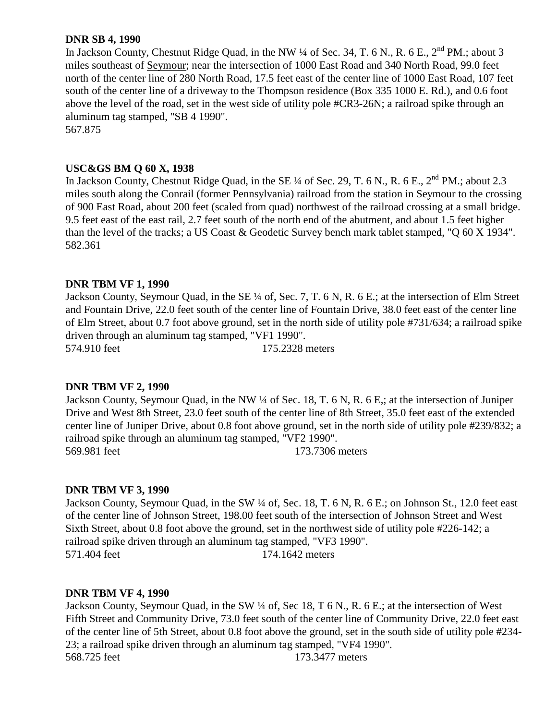### **DNR SB 4, 1990**

In Jackson County, Chestnut Ridge Quad, in the NW ¼ of Sec. 34, T. 6 N., R. 6 E., 2<sup>nd</sup> PM.; about 3 miles southeast of Seymour; near the intersection of 1000 East Road and 340 North Road, 99.0 feet north of the center line of 280 North Road, 17.5 feet east of the center line of 1000 East Road, 107 feet south of the center line of a driveway to the Thompson residence (Box 335 1000 E. Rd.), and 0.6 foot above the level of the road, set in the west side of utility pole #CR3-26N; a railroad spike through an aluminum tag stamped, "SB 4 1990". 567.875

# **USC&GS BM Q 60 X, 1938**

In Jackson County, Chestnut Ridge Quad, in the SE 1/4 of Sec. 29, T. 6 N., R. 6 E., 2<sup>nd</sup> PM.; about 2.3 miles south along the Conrail (former Pennsylvania) railroad from the station in Seymour to the crossing of 900 East Road, about 200 feet (scaled from quad) northwest of the railroad crossing at a small bridge. 9.5 feet east of the east rail, 2.7 feet south of the north end of the abutment, and about 1.5 feet higher than the level of the tracks; a US Coast & Geodetic Survey bench mark tablet stamped, "Q 60 X 1934". 582.361

#### **DNR TBM VF 1, 1990**

Jackson County, Seymour Quad, in the SE ¼ of, Sec. 7, T. 6 N, R. 6 E.; at the intersection of Elm Street and Fountain Drive, 22.0 feet south of the center line of Fountain Drive, 38.0 feet east of the center line of Elm Street, about 0.7 foot above ground, set in the north side of utility pole #731/634; a railroad spike driven through an aluminum tag stamped, "VF1 1990". 574.910 feet 175.2328 meters

#### **DNR TBM VF 2, 1990**

Jackson County, Seymour Quad, in the NW ¼ of Sec. 18, T. 6 N, R. 6 E,; at the intersection of Juniper Drive and West 8th Street, 23.0 feet south of the center line of 8th Street, 35.0 feet east of the extended center line of Juniper Drive, about 0.8 foot above ground, set in the north side of utility pole #239/832; a railroad spike through an aluminum tag stamped, "VF2 1990". 569.981 feet 173.7306 meters

#### **DNR TBM VF 3, 1990**

Jackson County, Seymour Quad, in the SW ¼ of, Sec. 18, T. 6 N, R. 6 E.; on Johnson St., 12.0 feet east of the center line of Johnson Street, 198.00 feet south of the intersection of Johnson Street and West Sixth Street, about 0.8 foot above the ground, set in the northwest side of utility pole #226-142; a railroad spike driven through an aluminum tag stamped, "VF3 1990". 571.404 feet 174.1642 meters

#### **DNR TBM VF 4, 1990**

Jackson County, Seymour Quad, in the SW ¼ of, Sec 18, T 6 N., R. 6 E.; at the intersection of West Fifth Street and Community Drive, 73.0 feet south of the center line of Community Drive, 22.0 feet east of the center line of 5th Street, about 0.8 foot above the ground, set in the south side of utility pole #234- 23; a railroad spike driven through an aluminum tag stamped, "VF4 1990". 568.725 feet 173.3477 meters